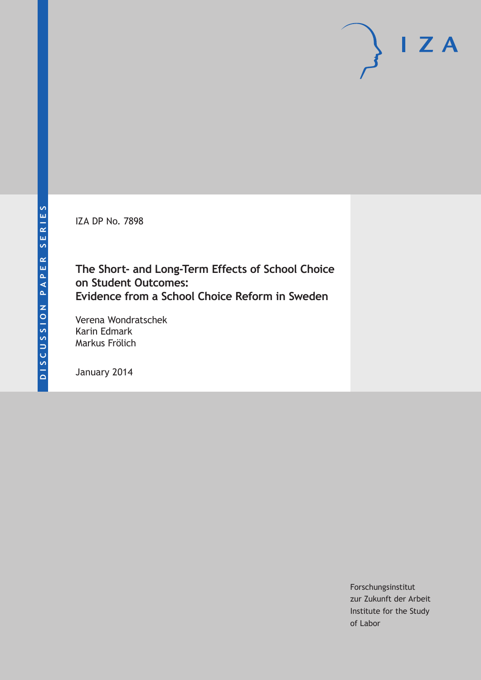IZA DP No. 7898

# **The Short- and Long-Term Effects of School Choice on Student Outcomes: Evidence from a School Choice Reform in Sweden**

Verena Wondratschek Karin Edmark Markus Frölich

January 2014

Forschungsinstitut zur Zukunft der Arbeit Institute for the Study of Labor

 $I Z A$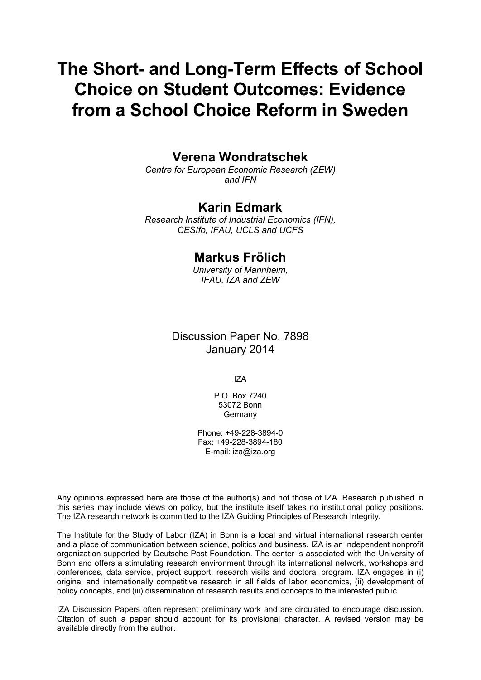# **The Short- and Long-Term Effects of School Choice on Student Outcomes: Evidence from a School Choice Reform in Sweden**

# **Verena Wondratschek**

*Centre for European Economic Research (ZEW) and IFN*

# **Karin Edmark**

*Research Institute of Industrial Economics (IFN), CESIfo, IFAU, UCLS and UCFS*

# **Markus Frölich**

*University of Mannheim, IFAU, IZA and ZEW*

# Discussion Paper No. 7898 January 2014

IZA

P.O. Box 7240 53072 Bonn Germany

Phone: +49-228-3894-0 Fax: +49-228-3894-180 E-mail: [iza@iza.org](mailto:iza@iza.org)

Any opinions expressed here are those of the author(s) and not those of IZA. Research published in this series may include views on policy, but the institute itself takes no institutional policy positions. The IZA research network is committed to the IZA Guiding Principles of Research Integrity.

<span id="page-1-0"></span>The Institute for the Study of Labor (IZA) in Bonn is a local and virtual international research center and a place of communication between science, politics and business. IZA is an independent nonprofit organization supported by Deutsche Post Foundation. The center is associated with the University of Bonn and offers a stimulating research environment through its international network, workshops and conferences, data service, project support, research visits and doctoral program. IZA engages in (i) original and internationally competitive research in all fields of labor economics, (ii) development of policy concepts, and (iii) dissemination of research results and concepts to the interested public.

IZA Discussion Papers often represent preliminary work and are circulated to encourage discussion. Citation of such a paper should account for its provisional character. A revised version may be available directly from the author.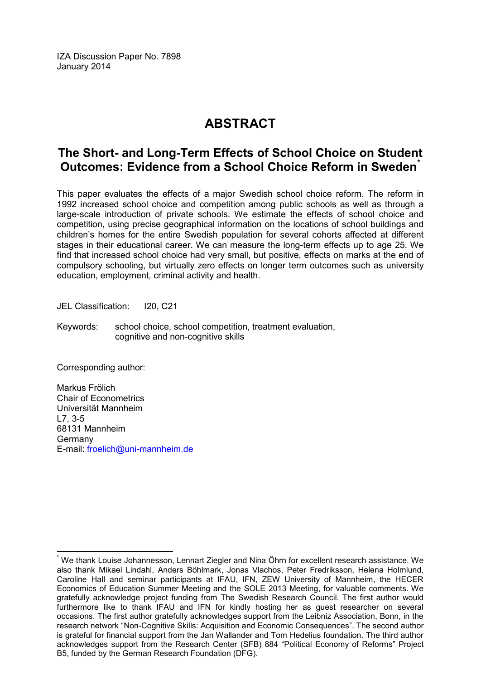IZA Discussion Paper No. 7898 January 2014

# **ABSTRACT**

# **The Short- and Long-Term Effects of School Choice on Student Outcomes: Evidence from a School Choice Reform in Sweden[\\*](#page-1-0)**

This paper evaluates the effects of a major Swedish school choice reform. The reform in 1992 increased school choice and competition among public schools as well as through a large-scale introduction of private schools. We estimate the effects of school choice and competition, using precise geographical information on the locations of school buildings and children's homes for the entire Swedish population for several cohorts affected at different stages in their educational career. We can measure the long-term effects up to age 25. We find that increased school choice had very small, but positive, effects on marks at the end of compulsory schooling, but virtually zero effects on longer term outcomes such as university education, employment, criminal activity and health.

JEL Classification: I20, C21

Keywords: school choice, school competition, treatment evaluation, cognitive and non-cognitive skills

Corresponding author:

Markus Frölich Chair of Econometrics Universität Mannheim L7, 3-5 68131 Mannheim Germany E-mail: [froelich@uni-mannheim.de](mailto:froelich@uni-mannheim.de)

We thank Louise Johannesson, Lennart Ziegler and Nina Öhrn for excellent research assistance. We also thank Mikael Lindahl, Anders Böhlmark, Jonas Vlachos, Peter Fredriksson, Helena Holmlund, Caroline Hall and seminar participants at IFAU, IFN, ZEW University of Mannheim, the HECER Economics of Education Summer Meeting and the SOLE 2013 Meeting, for valuable comments. We gratefully acknowledge project funding from The Swedish Research Council. The first author would furthermore like to thank IFAU and IFN for kindly hosting her as guest researcher on several occasions. The first author gratefully acknowledges support from the Leibniz Association, Bonn, in the research network "Non-Cognitive Skills: Acquisition and Economic Consequences". The second author is grateful for financial support from the Jan Wallander and Tom Hedelius foundation. The third author acknowledges support from the Research Center (SFB) 884 "Political Economy of Reforms" Project B5, funded by the German Research Foundation (DFG).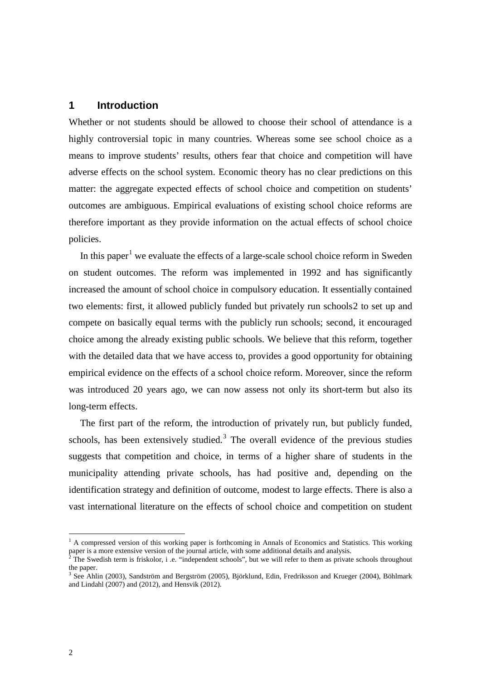# **1 Introduction**

Whether or not students should be allowed to choose their school of attendance is a highly controversial topic in many countries. Whereas some see school choice as a means to improve students' results, others fear that choice and competition will have adverse effects on the school system. Economic theory has no clear predictions on this matter: the aggregate expected effects of school choice and competition on students' outcomes are ambiguous. Empirical evaluations of existing school choice reforms are therefore important as they provide information on the actual effects of school choice policies.

In this paper<sup>[1](#page-76-0)</sup> we evaluate the effects of a large-scale school choice reform in Sweden on student outcomes. The reform was implemented in 1992 and has significantly increased the amount of school choice in compulsory education. It essentially contained two elements: first, it allowed publicly funded but privately run schools[2](#page-3-0) to set up and compete on basically equal terms with the publicly run schools; second, it encouraged choice among the already existing public schools. We believe that this reform, together with the detailed data that we have access to, provides a good opportunity for obtaining empirical evidence on the effects of a school choice reform. Moreover, since the reform was introduced 20 years ago, we can now assess not only its short-term but also its long-term effects.

The first part of the reform, the introduction of privately run, but publicly funded, schools, has been extensively studied. $3$  The overall evidence of the previous studies suggests that competition and choice, in terms of a higher share of students in the municipality attending private schools, has had positive and, depending on the identification strategy and definition of outcome, modest to large effects. There is also a vast international literature on the effects of school choice and competition on student

<span id="page-3-2"></span> $<sup>1</sup>$  A compressed version of this working paper is forthcoming in Annals of Economics and Statistics. This working</sup> paper is a more extensive version of the journal article, with some additional details and analysis.

<span id="page-3-0"></span> $2^2$  The Swedish term is friskolor, i .e. "independent schools", but we will refer to them as private schools throughout the paper.

<span id="page-3-1"></span><sup>3</sup> See Ahlin (2003), Sandström and Bergström (2005), Björklund, Edin, Fredriksson and Krueger (2004), Böhlmark and Lindahl (2007) and (2012), and Hensvik (2012).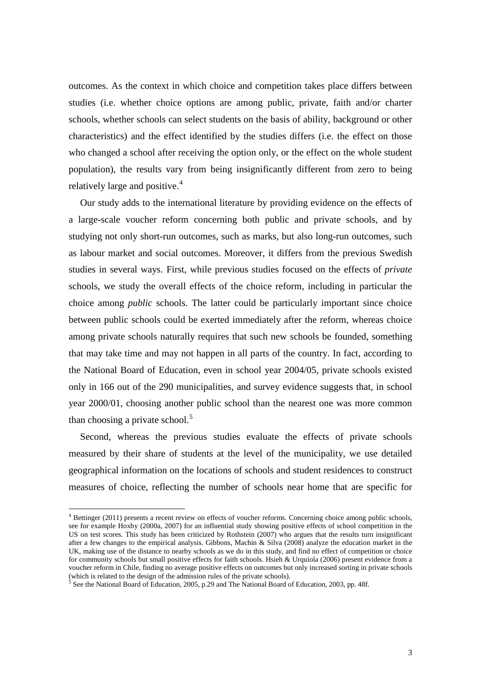outcomes. As the context in which choice and competition takes place differs between studies (i.e. whether choice options are among public, private, faith and/or charter schools, whether schools can select students on the basis of ability, background or other characteristics) and the effect identified by the studies differs (i.e. the effect on those who changed a school after receiving the option only, or the effect on the whole student population), the results vary from being insignificantly different from zero to being relatively large and positive.<sup>[4](#page-3-2)</sup>

Our study adds to the international literature by providing evidence on the effects of a large-scale voucher reform concerning both public and private schools, and by studying not only short-run outcomes, such as marks, but also long-run outcomes, such as labour market and social outcomes. Moreover, it differs from the previous Swedish studies in several ways. First, while previous studies focused on the effects of *private* schools, we study the overall effects of the choice reform, including in particular the choice among *public* schools. The latter could be particularly important since choice between public schools could be exerted immediately after the reform, whereas choice among private schools naturally requires that such new schools be founded, something that may take time and may not happen in all parts of the country. In fact, according to the National Board of Education, even in school year 2004/05, private schools existed only in 166 out of the 290 municipalities, and survey evidence suggests that, in school year 2000/01, choosing another public school than the nearest one was more common than choosing a private school.<sup>[5](#page-4-0)</sup>

Second, whereas the previous studies evaluate the effects of private schools measured by their share of students at the level of the municipality, we use detailed geographical information on the locations of schools and student residences to construct measures of choice, reflecting the number of schools near home that are specific for

<span id="page-4-1"></span> <sup>4</sup> Bettinger (2011) presents a recent review on effects of voucher reforms. Concerning choice among public schools, see for example Hoxby (2000a, 2007) for an influential study showing positive effects of school competition in the US on test scores. This study has been criticized by Rothstein (2007) who argues that the results turn insignificant after a few changes to the empirical analysis. Gibbons, Machin & Silva (2008) analyze the education market in the UK, making use of the distance to nearby schools as we do in this study, and find no effect of competition or choice for community schools but small positive effects for faith schools. Hsieh & Urquiola (2006) present evidence from a voucher reform in Chile, finding no average positive effects on outcomes but only increased sorting in private schools (which is related to the design of the admission rules of the private schools).<br><sup>5</sup> See the National Board of Education, 2005, p.29 and The National Board of Education, 2003, pp. 48f.

<span id="page-4-0"></span>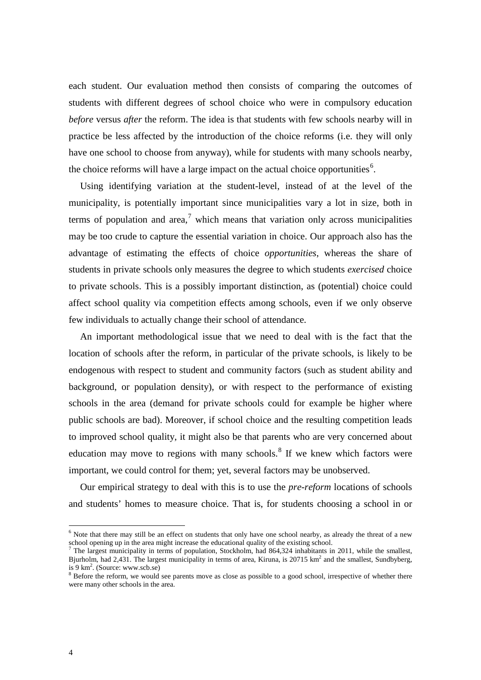each student. Our evaluation method then consists of comparing the outcomes of students with different degrees of school choice who were in compulsory education *before* versus *after* the reform. The idea is that students with few schools nearby will in practice be less affected by the introduction of the choice reforms (i.e. they will only have one school to choose from anyway), while for students with many schools nearby, the choice reforms will have a large impact on the actual choice opportunities<sup>[6](#page-4-1)</sup>.

Using identifying variation at the student-level, instead of at the level of the municipality, is potentially important since municipalities vary a lot in size, both in terms of population and area.<sup>[7](#page-5-0)</sup> which means that variation only across municipalities may be too crude to capture the essential variation in choice. Our approach also has the advantage of estimating the effects of choice *opportunities*, whereas the share of students in private schools only measures the degree to which students *exercised* choice to private schools. This is a possibly important distinction, as (potential) choice could affect school quality via competition effects among schools, even if we only observe few individuals to actually change their school of attendance.

An important methodological issue that we need to deal with is the fact that the location of schools after the reform, in particular of the private schools, is likely to be endogenous with respect to student and community factors (such as student ability and background, or population density), or with respect to the performance of existing schools in the area (demand for private schools could for example be higher where public schools are bad). Moreover, if school choice and the resulting competition leads to improved school quality, it might also be that parents who are very concerned about education may move to regions with many schools.<sup>[8](#page-5-1)</sup> If we knew which factors were important, we could control for them; yet, several factors may be unobserved.

Our empirical strategy to deal with this is to use the *pre-reform* locations of schools and students' homes to measure choice. That is, for students choosing a school in or

<sup>&</sup>lt;sup>6</sup> Note that there may still be an effect on students that only have one school nearby, as already the threat of a new school opening up in the area might increase the educational quality of the existing school.

<span id="page-5-0"></span><sup>&</sup>lt;sup>7</sup> The largest municipality in terms of population, Stockholm, had 864,324 inhabitants in 2011, while the smallest, Bjurholm, had 2,431. The largest municipality in terms of area, Kiruna, is  $20715 \text{ km}^2$  and the smallest, Sundbyberg, is 9 km<sup>2</sup>. (Source: www.scb.se)<br><sup>8</sup> Before the reform, we would see parents move as close as possible to a good school, irrespective of whether there

<span id="page-5-2"></span><span id="page-5-1"></span>were many other schools in the area.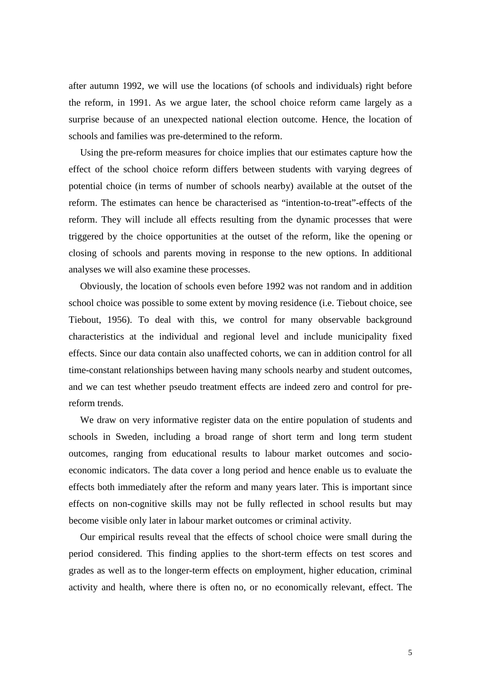after autumn 1992, we will use the locations (of schools and individuals) right before the reform, in 1991. As we argue later, the school choice reform came largely as a surprise because of an unexpected national election outcome. Hence, the location of schools and families was pre-determined to the reform.

Using the pre-reform measures for choice implies that our estimates capture how the effect of the school choice reform differs between students with varying degrees of potential choice (in terms of number of schools nearby) available at the outset of the reform. The estimates can hence be characterised as "intention-to-treat"-effects of the reform. They will include all effects resulting from the dynamic processes that were triggered by the choice opportunities at the outset of the reform, like the opening or closing of schools and parents moving in response to the new options. In additional analyses we will also examine these processes.

Obviously, the location of schools even before 1992 was not random and in addition school choice was possible to some extent by moving residence (i.e. Tiebout choice, see Tiebout, 1956). To deal with this, we control for many observable background characteristics at the individual and regional level and include municipality fixed effects. Since our data contain also unaffected cohorts, we can in addition control for all time-constant relationships between having many schools nearby and student outcomes, and we can test whether pseudo treatment effects are indeed zero and control for prereform trends.

We draw on very informative register data on the entire population of students and schools in Sweden, including a broad range of short term and long term student outcomes, ranging from educational results to labour market outcomes and socioeconomic indicators. The data cover a long period and hence enable us to evaluate the effects both immediately after the reform and many years later. This is important since effects on non-cognitive skills may not be fully reflected in school results but may become visible only later in labour market outcomes or criminal activity.

Our empirical results reveal that the effects of school choice were small during the period considered. This finding applies to the short-term effects on test scores and grades as well as to the longer-term effects on employment, higher education, criminal activity and health, where there is often no, or no economically relevant, effect. The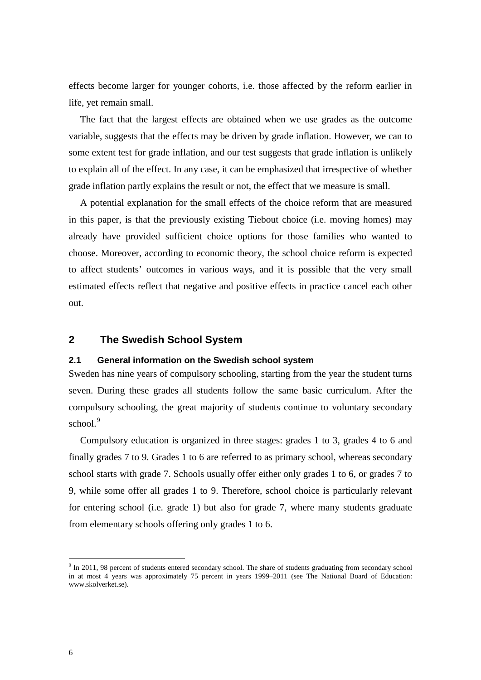effects become larger for younger cohorts, i.e. those affected by the reform earlier in life, yet remain small.

The fact that the largest effects are obtained when we use grades as the outcome variable, suggests that the effects may be driven by grade inflation. However, we can to some extent test for grade inflation, and our test suggests that grade inflation is unlikely to explain all of the effect. In any case, it can be emphasized that irrespective of whether grade inflation partly explains the result or not, the effect that we measure is small.

A potential explanation for the small effects of the choice reform that are measured in this paper, is that the previously existing Tiebout choice (i.e. moving homes) may already have provided sufficient choice options for those families who wanted to choose. Moreover, according to economic theory, the school choice reform is expected to affect students' outcomes in various ways, and it is possible that the very small estimated effects reflect that negative and positive effects in practice cancel each other out.

### **2 The Swedish School System**

#### **2.1 General information on the Swedish school system**

Sweden has nine years of compulsory schooling, starting from the year the student turns seven. During these grades all students follow the same basic curriculum. After the compulsory schooling, the great majority of students continue to voluntary secondary school.<sup>[9](#page-5-2)</sup>

Compulsory education is organized in three stages: grades 1 to 3, grades 4 to 6 and finally grades 7 to 9. Grades 1 to 6 are referred to as primary school, whereas secondary school starts with grade 7. Schools usually offer either only grades 1 to 6, or grades 7 to 9, while some offer all grades 1 to 9. Therefore, school choice is particularly relevant for entering school (i.e. grade 1) but also for grade 7, where many students graduate from elementary schools offering only grades 1 to 6.

<span id="page-7-0"></span><sup>&</sup>lt;sup>9</sup> In 2011, 98 percent of students entered secondary school. The share of students graduating from secondary school in at most 4 years was approximately 75 percent in years 1999–2011 (see The National Board of Education: www.skolverket.se).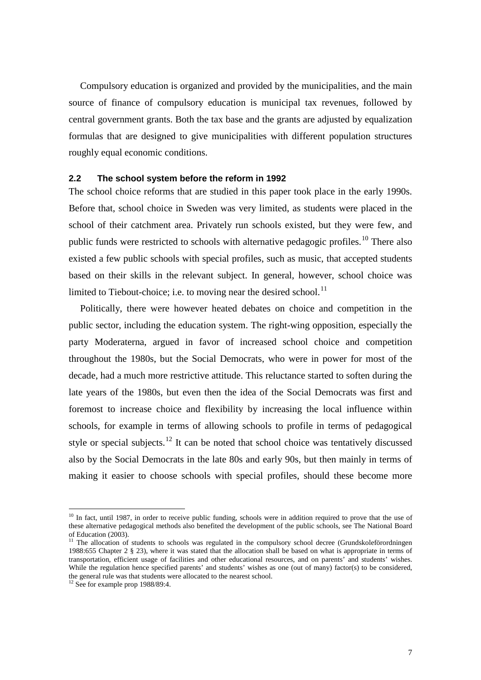Compulsory education is organized and provided by the municipalities, and the main source of finance of compulsory education is municipal tax revenues, followed by central government grants. Both the tax base and the grants are adjusted by equalization formulas that are designed to give municipalities with different population structures roughly equal economic conditions.

#### **2.2 The school system before the reform in 1992**

The school choice reforms that are studied in this paper took place in the early 1990s. Before that, school choice in Sweden was very limited, as students were placed in the school of their catchment area. Privately run schools existed, but they were few, and public funds were restricted to schools with alternative pedagogic profiles.[10](#page-7-0) There also existed a few public schools with special profiles, such as music, that accepted students based on their skills in the relevant subject. In general, however, school choice was limited to Tiebout-choice; i.e. to moving near the desired school.<sup>[11](#page-8-0)</sup>

Politically, there were however heated debates on choice and competition in the public sector, including the education system. The right-wing opposition, especially the party Moderaterna, argued in favor of increased school choice and competition throughout the 1980s, but the Social Democrats, who were in power for most of the decade, had a much more restrictive attitude. This reluctance started to soften during the late years of the 1980s, but even then the idea of the Social Democrats was first and foremost to increase choice and flexibility by increasing the local influence within schools, for example in terms of allowing schools to profile in terms of pedagogical style or special subjects.<sup>[12](#page-8-1)</sup> It can be noted that school choice was tentatively discussed also by the Social Democrats in the late 80s and early 90s, but then mainly in terms of making it easier to choose schools with special profiles, should these become more

<span id="page-8-2"></span> $10$  In fact, until 1987, in order to receive public funding, schools were in addition required to prove that the use of these alternative pedagogical methods also benefited the development of the public schools, see The National Board of Education (2003).

<span id="page-8-0"></span><sup>&</sup>lt;sup>11</sup> The allocation of students to schools was regulated in the compulsory school decree (Grundskoleförordningen 1988:655 Chapter 2 § 23), where it was stated that the allocation shall be based on what is appropriate in terms of transportation, efficient usage of facilities and other educational resources, and on parents' and students' wishes. While the regulation hence specified parents' and students' wishes as one (out of many) factor(s) to be considered, the general rule was that students were allocated to the nearest school.

<span id="page-8-1"></span> $\frac{12}{12}$  See for example prop 1988/89:4.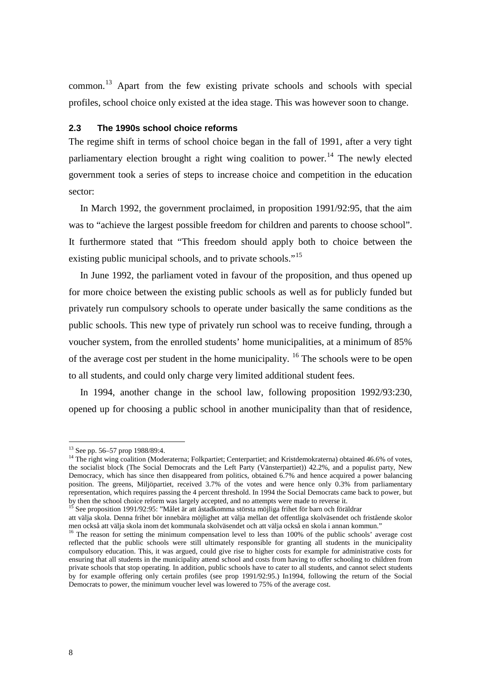common.[13](#page-8-2) Apart from the few existing private schools and schools with special profiles, school choice only existed at the idea stage. This was however soon to change.

### **2.3 The 1990s school choice reforms**

The regime shift in terms of school choice began in the fall of 1991, after a very tight parliamentary election brought a right wing coalition to power.<sup>[14](#page-9-0)</sup> The newly elected government took a series of steps to increase choice and competition in the education sector:

In March 1992, the government proclaimed, in proposition 1991/92:95, that the aim was to "achieve the largest possible freedom for children and parents to choose school". It furthermore stated that "This freedom should apply both to choice between the existing public municipal schools, and to private schools."<sup>[15](#page-9-1)</sup>

In June 1992, the parliament voted in favour of the proposition, and thus opened up for more choice between the existing public schools as well as for publicly funded but privately run compulsory schools to operate under basically the same conditions as the public schools. This new type of privately run school was to receive funding, through a voucher system, from the enrolled students' home municipalities, at a minimum of 85% of the average cost per student in the home municipality.  $16$  The schools were to be open to all students, and could only charge very limited additional student fees.

In 1994, another change in the school law, following proposition 1992/93:230, opened up for choosing a public school in another municipality than that of residence,

<span id="page-9-0"></span><sup>&</sup>lt;sup>13</sup> See pp. 56–57 prop 1988/89:4.<br><sup>14</sup> The right wing coalition (Moderaterna; Folkpartiet; Centerpartiet; and Kristdemokraterna) obtained 46.6% of votes, the socialist block (The Social Democrats and the Left Party (Vänsterpartiet)) 42.2%, and a populist party, New Democracy, which has since then disappeared from politics, obtained 6.7% and hence acquired a power balancing position. The greens, Miljöpartiet, received 3.7% of the votes and were hence only 0.3% from parliamentary representation, which requires passing the 4 percent threshold. In 1994 the Social Democrats came back to power, but by then the school choice reform was largely accepted, and no attempts were made to reverse it.

<span id="page-9-1"></span><sup>&</sup>lt;sup>15</sup> See proposition 1991/92:95: "Målet är att åstadkomma största möjliga frihet för barn och föräldrar

att välja skola. Denna frihet bör innebära möjlighet att välja mellan det offentliga skolväsendet och fristående skolor

<span id="page-9-3"></span><span id="page-9-2"></span> $^{16}$  The reason for setting the minimum compensation level to less than 100% of the public schools' average cost reflected that the public schools were still ultimately responsible for granting all students in the municipality compulsory education. This, it was argued, could give rise to higher costs for example for administrative costs for ensuring that all students in the municipality attend school and costs from having to offer schooling to children from private schools that stop operating. In addition, public schools have to cater to all students, and cannot select students by for example offering only certain profiles (see prop 1991/92:95.) In1994, following the return of the Social Democrats to power, the minimum voucher level was lowered to 75% of the average cost.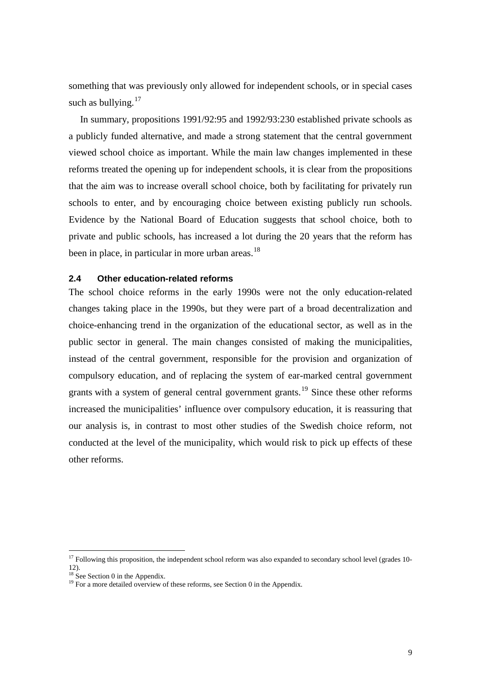something that was previously only allowed for independent schools, or in special cases such as bullying.<sup>[17](#page-9-3)</sup>

In summary, propositions 1991/92:95 and 1992/93:230 established private schools as a publicly funded alternative, and made a strong statement that the central government viewed school choice as important. While the main law changes implemented in these reforms treated the opening up for independent schools, it is clear from the propositions that the aim was to increase overall school choice, both by facilitating for privately run schools to enter, and by encouraging choice between existing publicly run schools. Evidence by the National Board of Education suggests that school choice, both to private and public schools, has increased a lot during the 20 years that the reform has been in place, in particular in more urban areas.<sup>[18](#page-10-0)</sup>

### **2.4 Other education-related reforms**

The school choice reforms in the early 1990s were not the only education-related changes taking place in the 1990s, but they were part of a broad decentralization and choice-enhancing trend in the organization of the educational sector, as well as in the public sector in general. The main changes consisted of making the municipalities, instead of the central government, responsible for the provision and organization of compulsory education, and of replacing the system of ear-marked central government grants with a system of general central government grants.<sup>[19](#page-10-1)</sup> Since these other reforms increased the municipalities' influence over compulsory education, it is reassuring that our analysis is, in contrast to most other studies of the Swedish choice reform, not conducted at the level of the municipality, which would risk to pick up effects of these other reforms.

<span id="page-10-2"></span> $17$  Following this proposition, the independent school reform was also expanded to secondary school level (grades 10-12).

<span id="page-10-1"></span><span id="page-10-0"></span>

<sup>&</sup>lt;sup>18</sup> See Section [0](#page-61-0) in the Appendix.<br><sup>19</sup> For a more detailed overview of these reforms, see Sectio[n 0](#page-63-0) in the Appendix.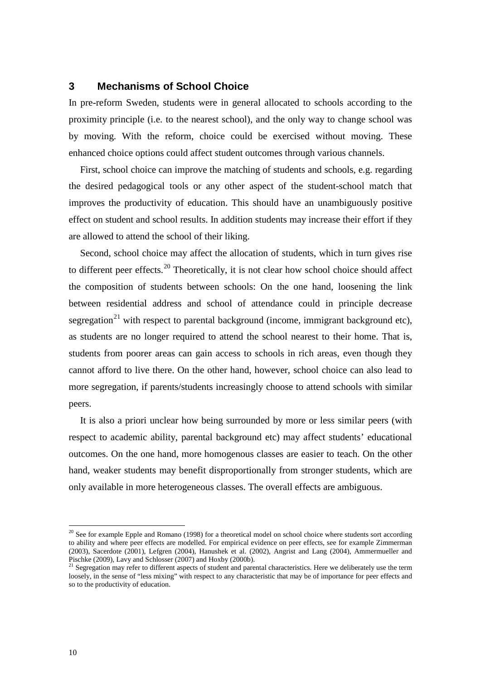# **3 Mechanisms of School Choice**

In pre-reform Sweden, students were in general allocated to schools according to the proximity principle (i.e. to the nearest school), and the only way to change school was by moving. With the reform, choice could be exercised without moving. These enhanced choice options could affect student outcomes through various channels.

First, school choice can improve the matching of students and schools, e.g. regarding the desired pedagogical tools or any other aspect of the student-school match that improves the productivity of education. This should have an unambiguously positive effect on student and school results. In addition students may increase their effort if they are allowed to attend the school of their liking.

Second, school choice may affect the allocation of students, which in turn gives rise to different peer effects.<sup>[20](#page-10-2)</sup> Theoretically, it is not clear how school choice should affect the composition of students between schools: On the one hand, loosening the link between residential address and school of attendance could in principle decrease segregation<sup>[21](#page-11-0)</sup> with respect to parental background (income, immigrant background etc), as students are no longer required to attend the school nearest to their home. That is, students from poorer areas can gain access to schools in rich areas, even though they cannot afford to live there. On the other hand, however, school choice can also lead to more segregation, if parents/students increasingly choose to attend schools with similar peers.

<span id="page-11-1"></span>It is also a priori unclear how being surrounded by more or less similar peers (with respect to academic ability, parental background etc) may affect students' educational outcomes. On the one hand, more homogenous classes are easier to teach. On the other hand, weaker students may benefit disproportionally from stronger students, which are only available in more heterogeneous classes. The overall effects are ambiguous.

 $20$  See for example Epple and Romano (1998) for a theoretical model on school choice where students sort according to ability and where peer effects are modelled. For empirical evidence on peer effects, see for example Zimmerman (2003), Sacerdote (2001), Lefgren (2004), Hanushek et al. (2002), Angrist and Lang (2004), Ammermueller and Pischke (2009), Lavy and Schlosser (2007) and Hoxby (2000b).<br><sup>21</sup> Segregation may refer to different aspects of student and parental characteristics. Here we deliberately use the term

<span id="page-11-0"></span>loosely, in the sense of "less mixing" with respect to any characteristic that may be of importance for peer effects and so to the productivity of education.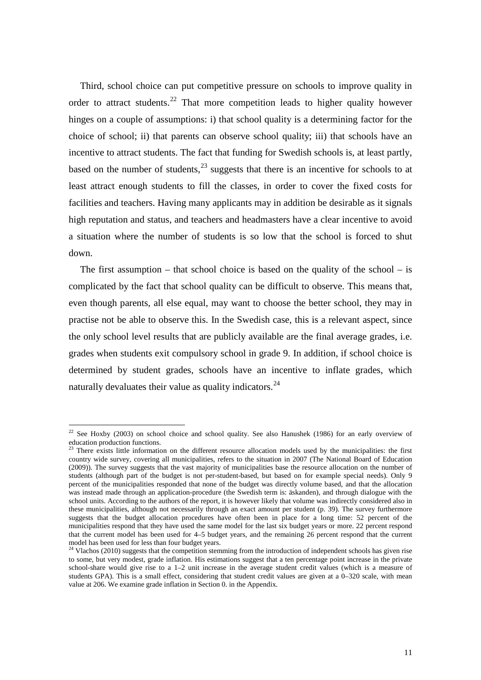Third, school choice can put competitive pressure on schools to improve quality in order to attract students.<sup>[22](#page-11-1)</sup> That more competition leads to higher quality however hinges on a couple of assumptions: i) that school quality is a determining factor for the choice of school; ii) that parents can observe school quality; iii) that schools have an incentive to attract students. The fact that funding for Swedish schools is, at least partly, based on the number of students, $^{23}$  $^{23}$  $^{23}$  suggests that there is an incentive for schools to at least attract enough students to fill the classes, in order to cover the fixed costs for facilities and teachers. Having many applicants may in addition be desirable as it signals high reputation and status, and teachers and headmasters have a clear incentive to avoid a situation where the number of students is so low that the school is forced to shut down.

The first assumption – that school choice is based on the quality of the school – is complicated by the fact that school quality can be difficult to observe. This means that, even though parents, all else equal, may want to choose the better school, they may in practise not be able to observe this. In the Swedish case, this is a relevant aspect, since the only school level results that are publicly available are the final average grades, i.e. grades when students exit compulsory school in grade 9. In addition, if school choice is determined by student grades, schools have an incentive to inflate grades, which naturally devaluates their value as quality indicators.<sup>[24](#page-12-1)</sup>

<sup>&</sup>lt;sup>22</sup> See Hoxby (2003) on school choice and school quality. See also Hanushek (1986) for an early overview of education production functions.<br><sup>23</sup> There exists little information on the different resource allocation models used by the municipalities: the first

<span id="page-12-0"></span>country wide survey, covering all municipalities, refers to the situation in 2007 (The National Board of Education (2009)). The survey suggests that the vast majority of municipalities base the resource allocation on the number of students (although part of the budget is not per-student-based, but based on for example special needs). Only 9 percent of the municipalities responded that none of the budget was directly volume based, and that the allocation was instead made through an application-procedure (the Swedish term is: äskanden), and through dialogue with the school units. According to the authors of the report, it is however likely that volume was indirectly considered also in these municipalities, although not necessarily through an exact amount per student (p. 39). The survey furthermore suggests that the budget allocation procedures have often been in place for a long time: 52 percent of the municipalities respond that they have used the same model for the last six budget years or more. 22 percent respond that the current model has been used for 4–5 budget years, and the remaining 26 percent respond that the current model has been used for less than four budget years.

<span id="page-12-2"></span><span id="page-12-1"></span> $^{24}$  Vlachos (2010) suggests that the competition stemming from the introduction of independent schools has given rise to some, but very modest, grade inflation. His estimations suggest that a ten percentage point increase in the private school-share would give rise to a 1–2 unit increase in the average student credit values (which is a measure of students GPA). This is a small effect, considering that student credit values are given at a 0–320 scale, with mean value at 206. We examine grade inflation in Sectio[n 0.](#page-71-0) in the Appendix.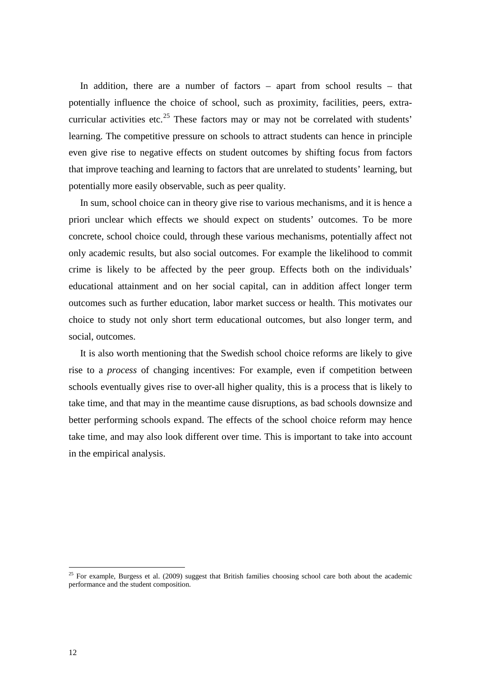In addition, there are a number of factors – apart from school results – that potentially influence the choice of school, such as proximity, facilities, peers, extra-curricular activities etc.<sup>[25](#page-12-2)</sup> These factors may or may not be correlated with students' learning. The competitive pressure on schools to attract students can hence in principle even give rise to negative effects on student outcomes by shifting focus from factors that improve teaching and learning to factors that are unrelated to students' learning, but potentially more easily observable, such as peer quality.

In sum, school choice can in theory give rise to various mechanisms, and it is hence a priori unclear which effects we should expect on students' outcomes. To be more concrete, school choice could, through these various mechanisms, potentially affect not only academic results, but also social outcomes. For example the likelihood to commit crime is likely to be affected by the peer group. Effects both on the individuals' educational attainment and on her social capital, can in addition affect longer term outcomes such as further education, labor market success or health. This motivates our choice to study not only short term educational outcomes, but also longer term, and social, outcomes.

It is also worth mentioning that the Swedish school choice reforms are likely to give rise to a *process* of changing incentives: For example, even if competition between schools eventually gives rise to over-all higher quality, this is a process that is likely to take time, and that may in the meantime cause disruptions, as bad schools downsize and better performing schools expand. The effects of the school choice reform may hence take time, and may also look different over time. This is important to take into account in the empirical analysis.

<span id="page-13-0"></span> $25$  For example, Burgess et al. (2009) suggest that British families choosing school care both about the academic performance and the student composition.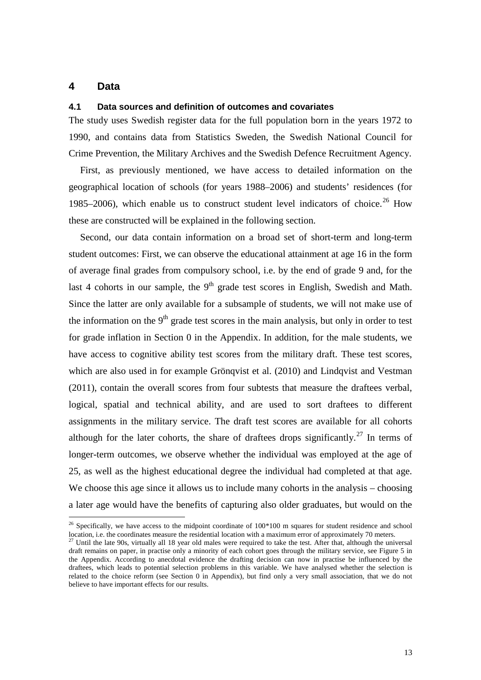## **4 Data**

#### **4.1 Data sources and definition of outcomes and covariates**

The study uses Swedish register data for the full population born in the years 1972 to 1990, and contains data from Statistics Sweden, the Swedish National Council for Crime Prevention, the Military Archives and the Swedish Defence Recruitment Agency.

First, as previously mentioned, we have access to detailed information on the geographical location of schools (for years 1988–2006) and students' residences (for 1985–2006), which enable us to construct student level indicators of choice.<sup>[26](#page-13-0)</sup> How these are constructed will be explained in the following section.

Second, our data contain information on a broad set of short-term and long-term student outcomes: First, we can observe the educational attainment at age 16 in the form of average final grades from compulsory school, i.e. by the end of grade 9 and, for the last 4 cohorts in our sample, the  $9<sup>th</sup>$  grade test scores in English, Swedish and Math. Since the latter are only available for a subsample of students, we will not make use of the information on the  $9<sup>th</sup>$  grade test scores in the main analysis, but only in order to test for grade inflation in Section [0](#page-71-0) in the Appendix. In addition, for the male students, we have access to cognitive ability test scores from the military draft. These test scores, which are also used in for example Grönqvist et al. (2010) and Lindqvist and Vestman (2011), contain the overall scores from four subtests that measure the draftees verbal, logical, spatial and technical ability, and are used to sort draftees to different assignments in the military service. The draft test scores are available for all cohorts although for the later cohorts, the share of draftees drops significantly.<sup>[27](#page-14-0)</sup> In terms of longer-term outcomes, we observe whether the individual was employed at the age of 25, as well as the highest educational degree the individual had completed at that age. We choose this age since it allows us to include many cohorts in the analysis – choosing a later age would have the benefits of capturing also older graduates, but would on the

<sup>&</sup>lt;sup>26</sup> Specifically, we have access to the midpoint coordinate of 100\*100 m squares for student residence and school location, i.e. the coordinates measure the residential location with a maximum error of approximately 70 meters.

<span id="page-14-0"></span> $27$  Until the late 90s, virtually all 18 year old males were required to take the test. After that, although the universal draft remains on paper, in practise only a minority of each cohort goes through the military service, see Figure 5 in the Appendix. According to anecdotal evidence the drafting decision can now in practise be influenced by the draftees, which leads to potential selection problems in this variable. We have analysed whether the selection is related to the choice reform (see Section [0](#page-75-0) in Appendix), but find only a very small association, that we do not believe to have important effects for our results.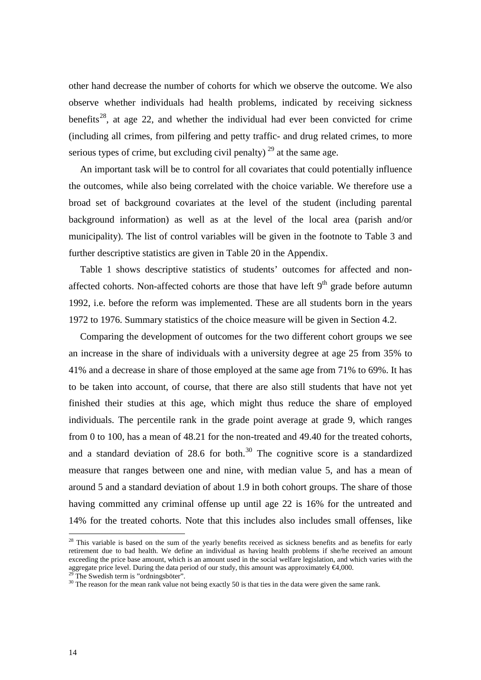other hand decrease the number of cohorts for which we observe the outcome. We also observe whether individuals had health problems, indicated by receiving sickness benefits<sup>28</sup>, at age 22, and whether the individual had ever been convicted for crime (including all crimes, from pilfering and petty traffic- and drug related crimes, to more serious types of crime, but excluding civil penalty)  $^{29}$  $^{29}$  $^{29}$  at the same age.

An important task will be to control for all covariates that could potentially influence the outcomes, while also being correlated with the choice variable. We therefore use a broad set of background covariates at the level of the student (including parental background information) as well as at the level of the local area (parish and/or municipality). The list of control variables will be given in the footnote to [Table 3](#page-25-0) and further descriptive statistics are given in [Table 20](#page-69-0) in the Appendix.

[Table 1](#page-16-0) shows descriptive statistics of students' outcomes for affected and nonaffected cohorts. Non-affected cohorts are those that have left  $9<sup>th</sup>$  grade before autumn 1992, i.e. before the reform was implemented. These are all students born in the years 1972 to 1976. Summary statistics of the choice measure will be given in Section [4.2.](#page-16-1)

Comparing the development of outcomes for the two different cohort groups we see an increase in the share of individuals with a university degree at age 25 from 35% to 41% and a decrease in share of those employed at the same age from 71% to 69%. It has to be taken into account, of course, that there are also still students that have not yet finished their studies at this age, which might thus reduce the share of employed individuals. The percentile rank in the grade point average at grade 9, which ranges from 0 to 100, has a mean of 48.21 for the non-treated and 49.40 for the treated cohorts, and a standard deviation of  $28.6$  for both.<sup>[30](#page-15-1)</sup> The cognitive score is a standardized measure that ranges between one and nine, with median value 5, and has a mean of around 5 and a standard deviation of about 1.9 in both cohort groups. The share of those having committed any criminal offense up until age 22 is 16% for the untreated and 14% for the treated cohorts. Note that this includes also includes small offenses, like

<span id="page-15-2"></span> $28$  This variable is based on the sum of the yearly benefits received as sickness benefits and as benefits for early retirement due to bad health. We define an individual as having health problems if she/he received an amount exceeding the price base amount, which is an amount used in the social welfare legislation, and which varies with the aggregate price level. During the data period of our study, this amount was approximately  $\epsilon 4,000$ .<br><sup>29</sup> The Swedish term is "ordningsböter".

<span id="page-15-0"></span>

<span id="page-15-1"></span><sup>&</sup>lt;sup>30</sup> The reason for the mean rank value not being exactly 50 is that ties in the data were given the same rank.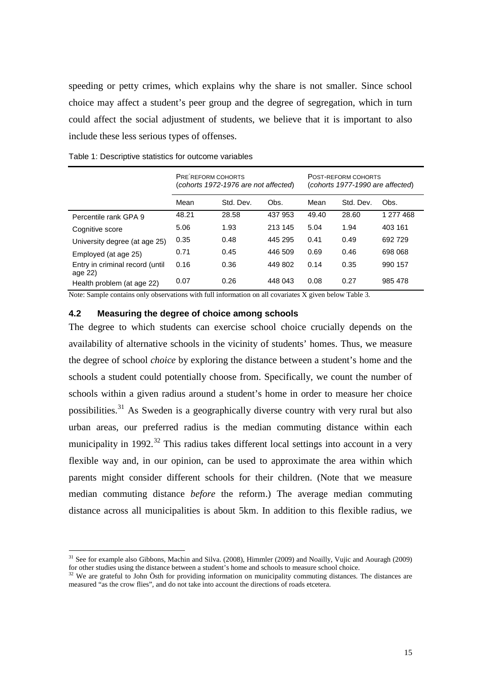speeding or petty crimes, which explains why the share is not smaller. Since school choice may affect a student's peer group and the degree of segregation, which in turn could affect the social adjustment of students, we believe that it is important to also include these less serious types of offenses.

PRE REFORM COHORTS (*cohorts 1972-1976 are not affected*) POST-REFORM COHORTS (*cohorts 1977-1990 are affected*) Mean Std. Dev. Obs. Mean Std. Dev. Obs. Percentile rank GPA 9 48.21 28.58 437 953 49.40 28.60 1 277 468 Cognitive score 5.06 1.93 213 145 5.04 1.94 403 161 University degree (at age 25) 0.35 0.48 445 295 0.41 0.49 692 729 Employed (at age 25) 0.71 0.45 446 509 0.69 0.46 698 068 Entry in criminal record (until age 22) 0.16 0.36 449 802 0.14 0.35 990 157 Health problem (at age 22) 0.07 0.26 448 043 0.08 0.27 985 478

<span id="page-16-0"></span>Table 1: Descriptive statistics for outcome variables

<span id="page-16-1"></span>Note: Sample contains only observations with full information on all covariates X given below Table 3*.*

### **4.2 Measuring the degree of choice among schools**

The degree to which students can exercise school choice crucially depends on the availability of alternative schools in the vicinity of students' homes. Thus, we measure the degree of school *choice* by exploring the distance between a student's home and the schools a student could potentially choose from. Specifically, we count the number of schools within a given radius around a student's home in order to measure her choice possibilities.<sup>[31](#page-15-2)</sup> As Sweden is a geographically diverse country with very rural but also urban areas, our preferred radius is the median commuting distance within each municipality in 1992.<sup>[32](#page-16-2)</sup> This radius takes different local settings into account in a very flexible way and, in our opinion, can be used to approximate the area within which parents might consider different schools for their children. (Note that we measure median commuting distance *before* the reform.) The average median commuting distance across all municipalities is about 5km. In addition to this flexible radius, we

<sup>&</sup>lt;sup>31</sup> See for example also Gibbons, Machin and Silva. (2008), Himmler (2009) and Noailly, Vujic and Aouragh (2009) for other studies using the distance between a student's home and schools to measure school choice.<br><sup>32</sup> We are grateful to Lab and schools to measure school choice.

<span id="page-16-2"></span>We are grateful to John Östh for providing information on municipality commuting distances. The distances are measured "as the crow flies", and do not take into account the directions of roads etcetera.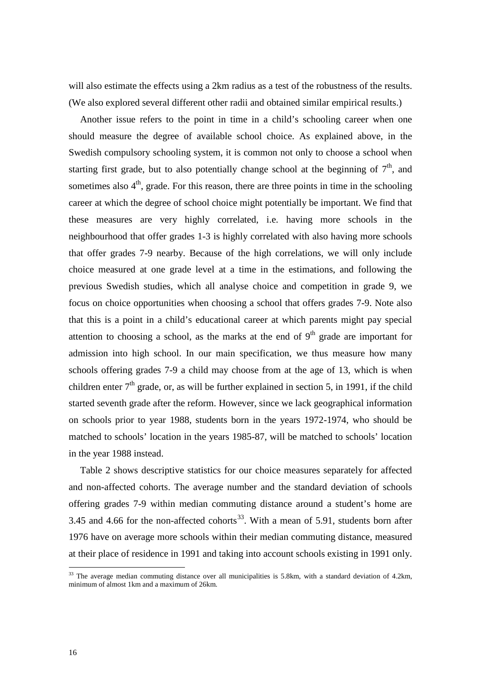will also estimate the effects using a 2km radius as a test of the robustness of the results. (We also explored several different other radii and obtained similar empirical results.)

Another issue refers to the point in time in a child's schooling career when one should measure the degree of available school choice. As explained above, in the Swedish compulsory schooling system, it is common not only to choose a school when starting first grade, but to also potentially change school at the beginning of  $7<sup>th</sup>$ , and sometimes also  $4<sup>th</sup>$ , grade. For this reason, there are three points in time in the schooling career at which the degree of school choice might potentially be important. We find that these measures are very highly correlated, i.e. having more schools in the neighbourhood that offer grades 1-3 is highly correlated with also having more schools that offer grades 7-9 nearby. Because of the high correlations, we will only include choice measured at one grade level at a time in the estimations, and following the previous Swedish studies, which all analyse choice and competition in grade 9, we focus on choice opportunities when choosing a school that offers grades 7-9. Note also that this is a point in a child's educational career at which parents might pay special attention to choosing a school, as the marks at the end of  $9<sup>th</sup>$  grade are important for admission into high school. In our main specification, we thus measure how many schools offering grades 7-9 a child may choose from at the age of 13, which is when children enter  $7<sup>th</sup>$  grade, or, as will be further explained in section [5,](#page-19-0) in 1991, if the child started seventh grade after the reform. However, since we lack geographical information on schools prior to year 1988, students born in the years 1972-1974, who should be matched to schools' location in the years 1985-87, will be matched to schools' location in the year 1988 instead.

[Table 2](#page-18-0) shows descriptive statistics for our choice measures separately for affected and non-affected cohorts. The average number and the standard deviation of schools offering grades 7-9 within median commuting distance around a student's home are 3.45 and 4.66 for the non-affected cohorts<sup>[33](#page-16-2)</sup>. With a mean of 5.91, students born after 1976 have on average more schools within their median commuting distance, measured at their place of residence in 1991 and taking into account schools existing in 1991 only.

<span id="page-17-0"></span><sup>&</sup>lt;sup>33</sup> The average median commuting distance over all municipalities is 5.8km, with a standard deviation of 4.2km, minimum of almost 1km and a maximum of 26km.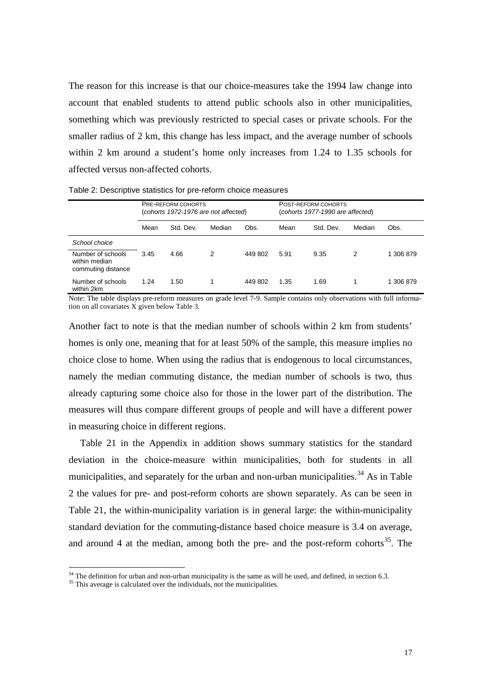The reason for this increase is that our choice-measures take the 1994 law change into account that enabled students to attend public schools also in other municipalities, something which was previously restricted to special cases or private schools. For the smaller radius of 2 km, this change has less impact, and the average number of schools within 2 km around a student's home only increases from 1.24 to 1.35 schools for affected versus non-affected cohorts.

|                                                          | <b>PRE-REFORM COHORTS</b><br>(cohorts 1972-1976 are not affected) |           |        |         |      | POST-REFORM COHORTS<br>(cohorts 1977-1990 are affected) |        |        |  |
|----------------------------------------------------------|-------------------------------------------------------------------|-----------|--------|---------|------|---------------------------------------------------------|--------|--------|--|
|                                                          | Mean                                                              | Std. Dev. | Median | Obs.    | Mean | Std. Dev.                                               | Median | Obs.   |  |
| School choice                                            |                                                                   |           |        |         |      |                                                         |        |        |  |
| Number of schools<br>within median<br>commuting distance | 3.45                                                              | 4.66      | 2      | 449 802 | 5.91 | 9.35                                                    | 2      | 306879 |  |
| Number of schools<br>within 2km                          | 1.24                                                              | 1.50      |        | 449 802 | 1.35 | 1.69                                                    |        | 306879 |  |

<span id="page-18-0"></span>Table 2: Descriptive statistics for pre-reform choice measures

Note: The table displays pre-reform measures on grade level 7-9. Sample contains only observations with full information on all covariates X given below Table 3*.*

Another fact to note is that the median number of schools within 2 km from students' homes is only one, meaning that for at least 50% of the sample, this measure implies no choice close to home. When using the radius that is endogenous to local circumstances, namely the median commuting distance, the median number of schools is two, thus already capturing some choice also for those in the lower part of the distribution. The measures will thus compare different groups of people and will have a different power in measuring choice in different regions.

[Table 21](#page-70-0) in the Appendix in addition shows summary statistics for the standard deviation in the choice-measure within municipalities, both for students in all municipalities, and separately for the urban and non-urban municipalities.<sup>[34](#page-17-0)</sup> As in Table [2](#page-18-0) the values for pre- and post-reform cohorts are shown separately. As can be seen in [Table 21,](#page-70-0) the within-municipality variation is in general large: the within-municipality standard deviation for the commuting-distance based choice measure is 3.4 on average, and around 4 at the median, among both the pre- and the post-reform cohorts<sup>[35](#page-18-1)</sup>. The

<span id="page-18-1"></span> $34$  The definition for urban and non-urban municipality is the same as will be used, and defined, in sectio[n 6.3.](#page-36-0)  $35$  This average is calculated over the individuals, not the municipalities.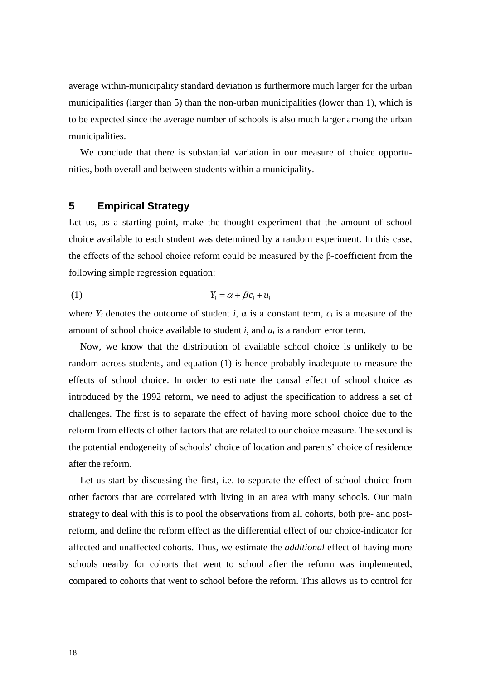average within-municipality standard deviation is furthermore much larger for the urban municipalities (larger than 5) than the non-urban municipalities (lower than 1), which is to be expected since the average number of schools is also much larger among the urban municipalities.

We conclude that there is substantial variation in our measure of choice opportunities, both overall and between students within a municipality.

## <span id="page-19-0"></span>**5 Empirical Strategy**

Let us, as a starting point, make the thought experiment that the amount of school choice available to each student was determined by a random experiment. In this case, the effects of the school choice reform could be measured by the β-coefficient from the following simple regression equation:

$$
(1) \t Y_i = \alpha + \beta c_i + u_i
$$

where  $Y_i$  denotes the outcome of student *i*,  $\alpha$  is a constant term,  $c_i$  is a measure of the amount of school choice available to student  $i$ , and  $u_i$  is a random error term.

Now, we know that the distribution of available school choice is unlikely to be random across students, and equation (1) is hence probably inadequate to measure the effects of school choice. In order to estimate the causal effect of school choice as introduced by the 1992 reform, we need to adjust the specification to address a set of challenges. The first is to separate the effect of having more school choice due to the reform from effects of other factors that are related to our choice measure. The second is the potential endogeneity of schools' choice of location and parents' choice of residence after the reform.

Let us start by discussing the first, i.e. to separate the effect of school choice from other factors that are correlated with living in an area with many schools. Our main strategy to deal with this is to pool the observations from all cohorts, both pre- and postreform, and define the reform effect as the differential effect of our choice-indicator for affected and unaffected cohorts. Thus, we estimate the *additional* effect of having more schools nearby for cohorts that went to school after the reform was implemented, compared to cohorts that went to school before the reform. This allows us to control for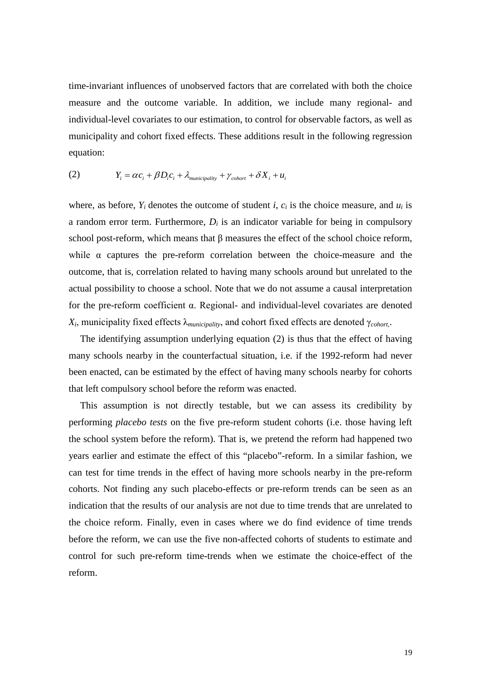time-invariant influences of unobserved factors that are correlated with both the choice measure and the outcome variable. In addition, we include many regional- and individual-level covariates to our estimation, to control for observable factors, as well as municipality and cohort fixed effects. These additions result in the following regression equation:

<span id="page-20-0"></span>(2) 
$$
Y_i = \alpha c_i + \beta D_i c_i + \lambda_{\text{municipality}} + \gamma_{\text{chort}} + \delta X_i + u_i
$$

where, as before,  $Y_i$  denotes the outcome of student *i*,  $c_i$  is the choice measure, and  $u_i$  is a random error term. Furthermore,  $D_i$  is an indicator variable for being in compulsory school post-reform, which means that β measures the effect of the school choice reform, while  $\alpha$  captures the pre-reform correlation between the choice-measure and the outcome, that is, correlation related to having many schools around but unrelated to the actual possibility to choose a school. Note that we do not assume a causal interpretation for the pre-reform coefficient α. Regional- and individual-level covariates are denoted *Xi*, municipality fixed effects λ*municipality*, and cohort fixed effects are denoted γ*cohort*,.

The identifying assumption underlying equation (2) is thus that the effect of having many schools nearby in the counterfactual situation, i.e. if the 1992-reform had never been enacted, can be estimated by the effect of having many schools nearby for cohorts that left compulsory school before the reform was enacted.

This assumption is not directly testable, but we can assess its credibility by performing *placebo tests* on the five pre-reform student cohorts (i.e. those having left the school system before the reform). That is, we pretend the reform had happened two years earlier and estimate the effect of this "placebo"-reform. In a similar fashion, we can test for time trends in the effect of having more schools nearby in the pre-reform cohorts. Not finding any such placebo-effects or pre-reform trends can be seen as an indication that the results of our analysis are not due to time trends that are unrelated to the choice reform. Finally, even in cases where we do find evidence of time trends before the reform, we can use the five non-affected cohorts of students to estimate and control for such pre-reform time-trends when we estimate the choice-effect of the reform.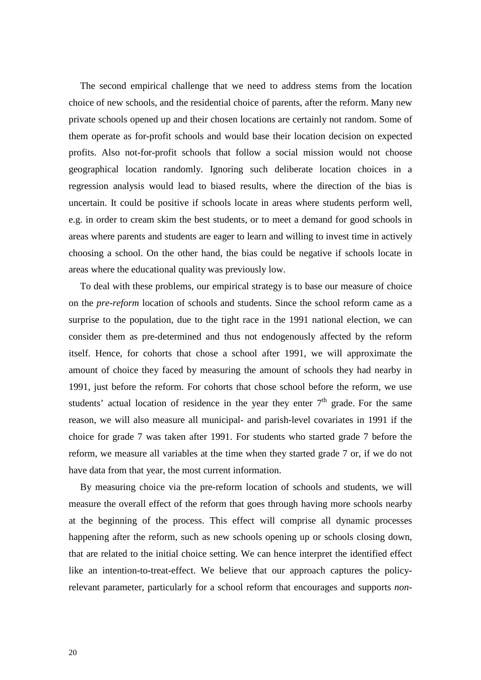The second empirical challenge that we need to address stems from the location choice of new schools, and the residential choice of parents, after the reform. Many new private schools opened up and their chosen locations are certainly not random. Some of them operate as for-profit schools and would base their location decision on expected profits. Also not-for-profit schools that follow a social mission would not choose geographical location randomly. Ignoring such deliberate location choices in a regression analysis would lead to biased results, where the direction of the bias is uncertain. It could be positive if schools locate in areas where students perform well, e.g. in order to cream skim the best students, or to meet a demand for good schools in areas where parents and students are eager to learn and willing to invest time in actively choosing a school. On the other hand, the bias could be negative if schools locate in areas where the educational quality was previously low.

To deal with these problems, our empirical strategy is to base our measure of choice on the *pre-reform* location of schools and students. Since the school reform came as a surprise to the population, due to the tight race in the 1991 national election, we can consider them as pre-determined and thus not endogenously affected by the reform itself. Hence, for cohorts that chose a school after 1991, we will approximate the amount of choice they faced by measuring the amount of schools they had nearby in 1991, just before the reform. For cohorts that chose school before the reform, we use students' actual location of residence in the year they enter  $7<sup>th</sup>$  grade. For the same reason, we will also measure all municipal- and parish-level covariates in 1991 if the choice for grade 7 was taken after 1991. For students who started grade 7 before the reform, we measure all variables at the time when they started grade 7 or, if we do not have data from that year, the most current information.

By measuring choice via the pre-reform location of schools and students, we will measure the overall effect of the reform that goes through having more schools nearby at the beginning of the process. This effect will comprise all dynamic processes happening after the reform, such as new schools opening up or schools closing down, that are related to the initial choice setting. We can hence interpret the identified effect like an intention-to-treat-effect. We believe that our approach captures the policyrelevant parameter, particularly for a school reform that encourages and supports *non-*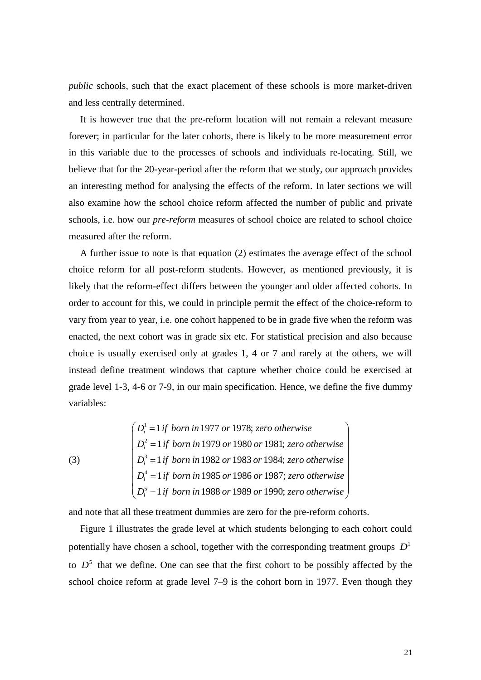*public* schools, such that the exact placement of these schools is more market-driven and less centrally determined.

It is however true that the pre-reform location will not remain a relevant measure forever; in particular for the later cohorts, there is likely to be more measurement error in this variable due to the processes of schools and individuals re-locating. Still, we believe that for the 20-year-period after the reform that we study, our approach provides an interesting method for analysing the effects of the reform. In later sections we will also examine how the school choice reform affected the number of public and private schools, i.e. how our *pre-reform* measures of school choice are related to school choice measured after the reform.

A further issue to note is that equation [\(2\)](#page-20-0) estimates the average effect of the school choice reform for all post-reform students. However, as mentioned previously, it is likely that the reform-effect differs between the younger and older affected cohorts. In order to account for this, we could in principle permit the effect of the choice-reform to vary from year to year, i.e. one cohort happened to be in grade five when the reform was enacted, the next cohort was in grade six etc. For statistical precision and also because choice is usually exercised only at grades 1, 4 or 7 and rarely at the others, we will instead define treatment windows that capture whether choice could be exercised at grade level 1-3, 4-6 or 7-9, in our main specification. Hence, we define the five dummy variables:

(3)

\n
$$
\begin{cases}\nD_i^1 = 1 \text{ if born in 1977 or 1978; zero otherwise} \\
D_i^2 = 1 \text{ if born in 1979 or 1980 or 1981; zero otherwise} \\
D_i^3 = 1 \text{ if born in 1982 or 1983 or 1984; zero otherwise} \\
D_i^4 = 1 \text{ if born in 1985 or 1986 or 1987; zero otherwise} \\
D_i^5 = 1 \text{ if born in 1988 or 1989 or 1990; zero otherwise}\n\end{cases}
$$

and note that all these treatment dummies are zero for the pre-reform cohorts.

[Figure 1](#page-23-0) illustrates the grade level at which students belonging to each cohort could potentially have chosen a school, together with the corresponding treatment groups  $D<sup>1</sup>$ to  $D<sup>5</sup>$  that we define. One can see that the first cohort to be possibly affected by the school choice reform at grade level 7–9 is the cohort born in 1977. Even though they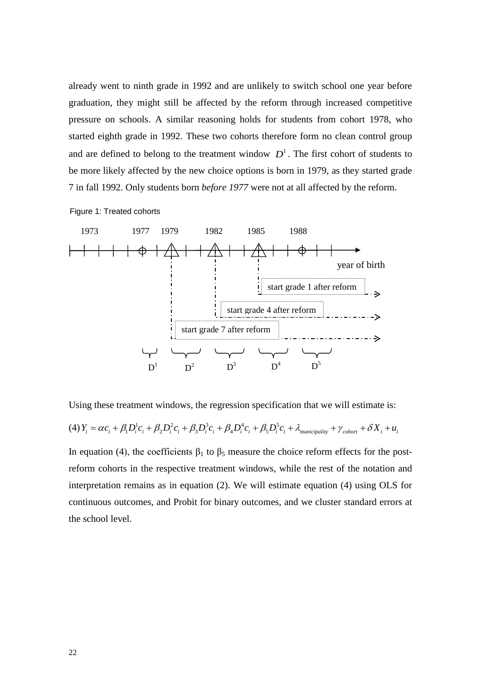already went to ninth grade in 1992 and are unlikely to switch school one year before graduation, they might still be affected by the reform through increased competitive pressure on schools. A similar reasoning holds for students from cohort 1978, who started eighth grade in 1992. These two cohorts therefore form no clean control group and are defined to belong to the treatment window  $D<sup>1</sup>$ . The first cohort of students to be more likely affected by the new choice options is born in 1979, as they started grade 7 in fall 1992. Only students born *before 1977* were not at all affected by the reform.

<span id="page-23-0"></span>Figure 1: Treated cohorts



Using these treatment windows, the regression specification that we will estimate is:

<span id="page-23-1"></span>
$$
(4) Y_i = \alpha c_i + \beta_1 D_i^1 c_i + \beta_2 D_i^2 c_i + \beta_3 D_i^3 c_i + \beta_4 D_i^4 c_i + \beta_5 D_i^5 c_i + \lambda_{\text{municipality}} + \gamma_{\text{color}} + \delta X_i + u_i
$$

In equation [\(4](#page-23-1)), the coefficients  $\beta_1$  to  $\beta_5$  measure the choice reform effects for the postreform cohorts in the respective treatment windows, while the rest of the notation and interpretation remains as in equation [\(2\)](#page-20-0). We will estimate equation [\(4\)](#page-23-1) using OLS for continuous outcomes, and Probit for binary outcomes, and we cluster standard errors at the school level.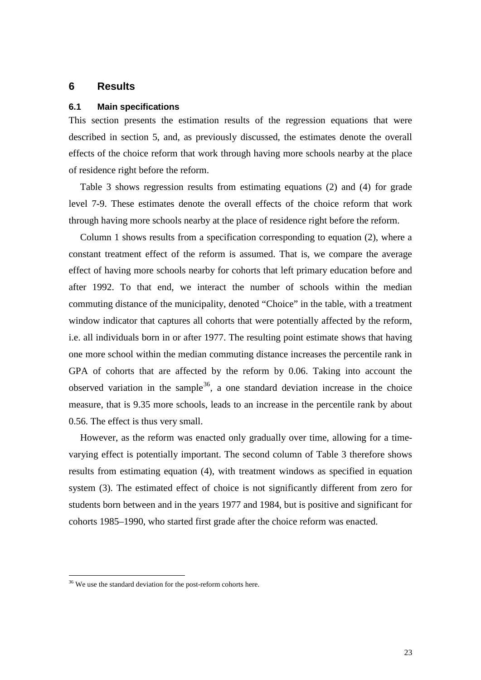# **6 Results**

#### **6.1 Main specifications**

This section presents the estimation results of the regression equations that were described in section [5,](#page-19-0) and, as previously discussed, the estimates denote the overall effects of the choice reform that work through having more schools nearby at the place of residence right before the reform.

[Table 3](#page-25-0) shows regression results from estimating equations (2) and (4) for grade level 7-9. These estimates denote the overall effects of the choice reform that work through having more schools nearby at the place of residence right before the reform.

Column 1 shows results from a specification corresponding to equation (2), where a constant treatment effect of the reform is assumed. That is, we compare the average effect of having more schools nearby for cohorts that left primary education before and after 1992. To that end, we interact the number of schools within the median commuting distance of the municipality, denoted "Choice" in the table, with a treatment window indicator that captures all cohorts that were potentially affected by the reform, i.e. all individuals born in or after 1977. The resulting point estimate shows that having one more school within the median commuting distance increases the percentile rank in GPA of cohorts that are affected by the reform by 0.06. Taking into account the observed variation in the sample<sup>[36](#page-18-1)</sup>, a one standard deviation increase in the choice measure, that is 9.35 more schools, leads to an increase in the percentile rank by about 0.56. The effect is thus very small.

However, as the reform was enacted only gradually over time, allowing for a timevarying effect is potentially important. The second column of [Table 3](#page-25-0) therefore shows results from estimating equation (4), with treatment windows as specified in equation system (3). The estimated effect of choice is not significantly different from zero for students born between and in the years 1977 and 1984, but is positive and significant for cohorts 1985–1990, who started first grade after the choice reform was enacted.

<span id="page-24-0"></span><sup>&</sup>lt;sup>36</sup> We use the standard deviation for the post-reform cohorts here.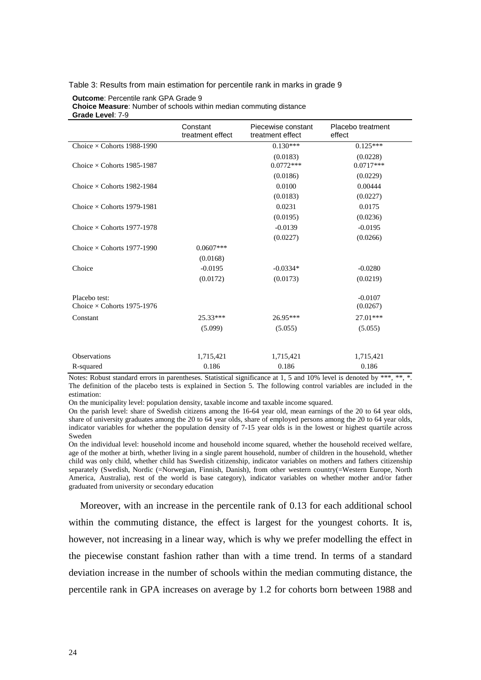#### <span id="page-25-0"></span>Table 3: Results from main estimation for percentile rank in marks in grade 9

#### **Outcome**: Percentile rank GPA Grade 9 **Choice Measure**: Number of schools within median commuting distance **Grade Level**: 7-9

|                                                    | Constant<br>treatment effect | Piecewise constant<br>treatment effect | Placebo treatment<br>effect |
|----------------------------------------------------|------------------------------|----------------------------------------|-----------------------------|
| Choice $\times$ Cohorts 1988-1990                  |                              | $\overline{0.130}$ ***                 | $0.125***$                  |
| Choice $\times$ Cohorts 1985-1987                  |                              | (0.0183)<br>$0.0772***$                | (0.0228)<br>$0.0717***$     |
|                                                    |                              | (0.0186)                               | (0.0229)                    |
| Choice $\times$ Cohorts 1982-1984                  |                              | 0.0100                                 | 0.00444                     |
|                                                    |                              | (0.0183)                               | (0.0227)                    |
| Choice $\times$ Cohorts 1979-1981                  |                              | 0.0231                                 | 0.0175                      |
|                                                    |                              | (0.0195)                               | (0.0236)                    |
| Choice $\times$ Cohorts 1977-1978                  |                              | $-0.0139$                              | $-0.0195$                   |
|                                                    |                              | (0.0227)                               | (0.0266)                    |
| Choice $\times$ Cohorts 1977-1990                  | $0.0607***$                  |                                        |                             |
|                                                    | (0.0168)                     |                                        |                             |
| Choice                                             | $-0.0195$                    | $-0.0334*$                             | $-0.0280$                   |
|                                                    | (0.0172)                     | (0.0173)                               | (0.0219)                    |
| Placebo test:<br>Choice $\times$ Cohorts 1975-1976 |                              |                                        | $-0.0107$<br>(0.0267)       |
| Constant                                           | 25.33***                     | $26.95***$                             | $27.01***$                  |
|                                                    | (5.099)                      | (5.055)                                | (5.055)                     |
|                                                    |                              |                                        |                             |
| <b>Observations</b>                                | 1,715,421                    | 1,715,421                              | 1,715,421                   |
| R-squared                                          | 0.186                        | 0.186                                  | 0.186                       |

Notes: Robust standard errors in parentheses. Statistical significance at 1, 5 and 10% level is denoted by \*\*\*, \*\*, \*. The definition of the placebo tests is explained in Section 5. The following control variables are included in the estimation:

On the municipality level: population density, taxable income and taxable income squared.

On the parish level: share of Swedish citizens among the 16-64 year old, mean earnings of the 20 to 64 year olds, share of university graduates among the 20 to 64 year olds, share of employed persons among the 20 to 64 year olds, indicator variables for whether the population density of 7-15 year olds is in the lowest or highest quartile across Sweden

On the individual level: household income and household income squared, whether the household received welfare, age of the mother at birth, whether living in a single parent household, number of children in the household, whether child was only child, whether child has Swedish citizenship, indicator variables on mothers and fathers citizenship separately (Swedish, Nordic (=Norwegian, Finnish, Danish), from other western country(=Western Europe, North America, Australia), rest of the world is base category), indicator variables on whether mother and/or father graduated from university or secondary education

Moreover, with an increase in the percentile rank of 0.13 for each additional school within the commuting distance, the effect is largest for the youngest cohorts. It is, however, not increasing in a linear way, which is why we prefer modelling the effect in the piecewise constant fashion rather than with a time trend. In terms of a standard deviation increase in the number of schools within the median commuting distance, the percentile rank in GPA increases on average by 1.2 for cohorts born between 1988 and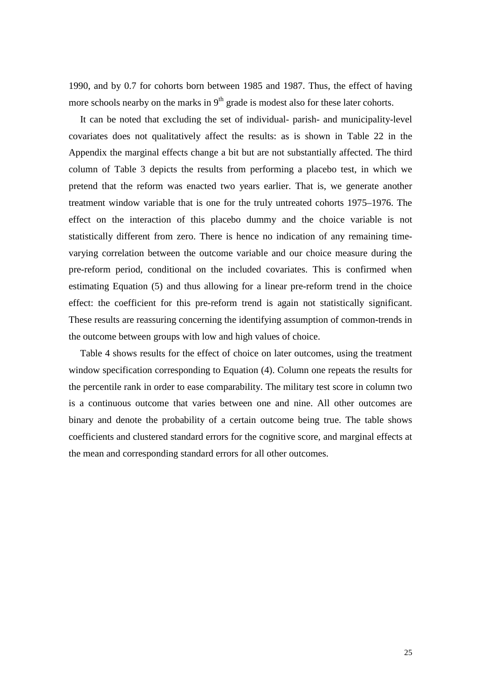1990, and by 0.7 for cohorts born between 1985 and 1987. Thus, the effect of having more schools nearby on the marks in  $9<sup>th</sup>$  grade is modest also for these later cohorts.

It can be noted that excluding the set of individual- parish- and municipality-level covariates does not qualitatively affect the results: as is shown in [Table 22](#page-70-1) in the Appendix the marginal effects change a bit but are not substantially affected. The third column of [Table 3](#page-25-0) depicts the results from performing a placebo test, in which we pretend that the reform was enacted two years earlier. That is, we generate another treatment window variable that is one for the truly untreated cohorts 1975–1976. The effect on the interaction of this placebo dummy and the choice variable is not statistically different from zero. There is hence no indication of any remaining timevarying correlation between the outcome variable and our choice measure during the pre-reform period, conditional on the included covariates. This is confirmed when estimating Equation (5) and thus allowing for a linear pre-reform trend in the choice effect: the coefficient for this pre-reform trend is again not statistically significant. These results are reassuring concerning the identifying assumption of common-trends in the outcome between groups with low and high values of choice.

[Table 4](#page-27-0) shows results for the effect of choice on later outcomes, using the treatment window specification corresponding to Equation (4). Column one repeats the results for the percentile rank in order to ease comparability. The military test score in column two is a continuous outcome that varies between one and nine. All other outcomes are binary and denote the probability of a certain outcome being true. The table shows coefficients and clustered standard errors for the cognitive score, and marginal effects at the mean and corresponding standard errors for all other outcomes.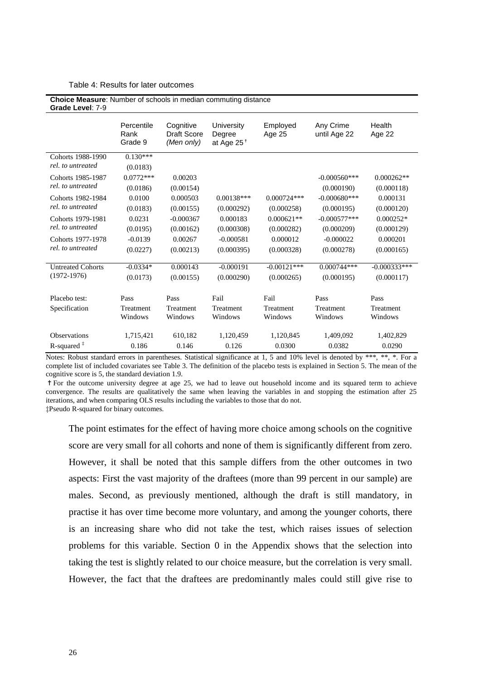#### <span id="page-27-0"></span>Table 4: Results for later outcomes

| Choice Measure: Number of schools in median commuting distance<br>Grade Level: 7-9 |                               |                                               |                                       |                    |                           |                  |  |  |  |
|------------------------------------------------------------------------------------|-------------------------------|-----------------------------------------------|---------------------------------------|--------------------|---------------------------|------------------|--|--|--|
|                                                                                    | Percentile<br>Rank<br>Grade 9 | Cognitive<br><b>Draft Score</b><br>(Men only) | University<br>Degree<br>at Age $25^+$ | Employed<br>Age 25 | Any Crime<br>until Age 22 | Health<br>Age 22 |  |  |  |
| Cohorts 1988-1990                                                                  | $0.130***$                    |                                               |                                       |                    |                           |                  |  |  |  |
| rel, to untreated                                                                  | (0.0183)                      |                                               |                                       |                    |                           |                  |  |  |  |
| Cohorts 1985-1987                                                                  | $0.0772***$                   | 0.00203                                       |                                       |                    | $-0.000560$ ***           | $0.000262**$     |  |  |  |
| rel, to untreated                                                                  | (0.0186)                      | (0.00154)                                     |                                       |                    | (0.000190)                | (0.000118)       |  |  |  |
| Cohorts 1982-1984                                                                  | 0.0100                        | 0.000503                                      | $0.00138***$                          | $0.000724***$      | $-0.000680$ ***           | 0.000131         |  |  |  |
| rel, to untreated                                                                  | (0.0183)                      | (0.00155)                                     | (0.000292)                            | (0.000258)         | (0.000195)                | (0.000120)       |  |  |  |
| Cohorts 1979-1981<br>rel, to untreated                                             | 0.0231                        | $-0.000367$                                   | 0.000183                              | $0.000621**$       | $-0.000577***$            | $0.000252*$      |  |  |  |
|                                                                                    | (0.0195)                      | (0.00162)                                     | (0.000308)                            | (0.000282)         | (0.000209)                | (0.000129)       |  |  |  |
| Cohorts 1977-1978                                                                  | $-0.0139$                     | 0.00267                                       | $-0.000581$                           | 0.000012           | $-0.000022$               | 0.000201         |  |  |  |
| rel, to untreated                                                                  | (0.0227)                      | (0.00213)                                     | (0.000395)                            | (0.000328)         | (0.000278)                | (0.000165)       |  |  |  |
|                                                                                    |                               |                                               |                                       |                    |                           |                  |  |  |  |
| <b>Untreated Cohorts</b>                                                           | $-0.0334*$                    | 0.000143                                      | $-0.000191$                           | $-0.00121***$      | $0.000744***$             | $-0.000333***$   |  |  |  |
| $(1972 - 1976)$                                                                    | (0.0173)                      | (0.00155)                                     | (0.000290)                            | (0.000265)         | (0.000195)                | (0.000117)       |  |  |  |
|                                                                                    |                               |                                               |                                       |                    |                           |                  |  |  |  |
| Placebo test:                                                                      | Pass                          | Pass                                          | Fail                                  | Fail               | Pass                      | Pass             |  |  |  |
| Specification                                                                      | Treatment                     | Treatment                                     | Treatment                             | Treatment          | Treatment                 | Treatment        |  |  |  |
|                                                                                    | Windows                       | Windows                                       | Windows                               | Windows            | Windows                   | Windows          |  |  |  |
| <b>Observations</b>                                                                | 1,715,421                     | 610,182                                       | 1,120,459                             |                    | 1,409,092                 |                  |  |  |  |
|                                                                                    |                               |                                               |                                       | 1,120,845          |                           | 1,402,829        |  |  |  |
| R-squared $‡$                                                                      | 0.186                         | 0.146                                         | 0.126                                 | 0.0300             | 0.0382                    | 0.0290           |  |  |  |

Notes: Robust standard errors in parentheses. Statistical significance at 1, 5 and 10% level is denoted by \*\*\*, \*\*, \*. For a complete list of included covariates see Table 3. The definition of the placebo tests is explained in Section [5.](#page-19-0) The mean of the cognitive score is 5, the standard deviation 1.9.

✝For the outcome university degree at age 25, we had to leave out household income and its squared term to achieve convergence. The results are qualitatively the same when leaving the variables in and stopping the estimation after 25 iterations, and when comparing OLS results including the variables to those that do not.

‡Pseudo R-squared for binary outcomes.

The point estimates for the effect of having more choice among schools on the cognitive score are very small for all cohorts and none of them is significantly different from zero. However, it shall be noted that this sample differs from the other outcomes in two aspects: First the vast majority of the draftees (more than 99 percent in our sample) are males. Second, as previously mentioned, although the draft is still mandatory, in practise it has over time become more voluntary, and among the younger cohorts, there is an increasing share who did not take the test, which raises issues of selection problems for this variable. Section [0](#page-75-0) in the Appendix shows that the selection into taking the test is slightly related to our choice measure, but the correlation is very small. However, the fact that the draftees are predominantly males could still give rise to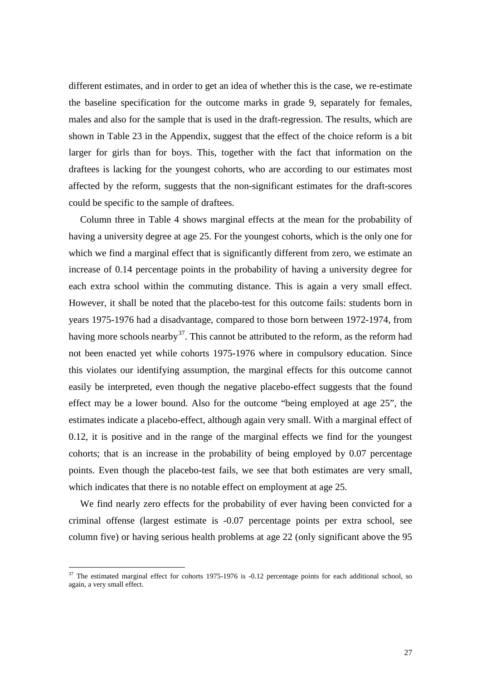different estimates, and in order to get an idea of whether this is the case, we re-estimate the baseline specification for the outcome marks in grade 9, separately for females, males and also for the sample that is used in the draft-regression. The results, which are shown in [Table 23](#page-71-1) in the Appendix, suggest that the effect of the choice reform is a bit larger for girls than for boys. This, together with the fact that information on the draftees is lacking for the youngest cohorts, who are according to our estimates most affected by the reform, suggests that the non-significant estimates for the draft-scores could be specific to the sample of draftees.

Column three in [Table 4](#page-27-0) shows marginal effects at the mean for the probability of having a university degree at age 25. For the youngest cohorts, which is the only one for which we find a marginal effect that is significantly different from zero, we estimate an increase of 0.14 percentage points in the probability of having a university degree for each extra school within the commuting distance. This is again a very small effect. However, it shall be noted that the placebo-test for this outcome fails: students born in years 1975-1976 had a disadvantage, compared to those born between 1972-1974, from having more schools nearby<sup>37</sup>. This cannot be attributed to the reform, as the reform had not been enacted yet while cohorts 1975-1976 where in compulsory education. Since this violates our identifying assumption, the marginal effects for this outcome cannot easily be interpreted, even though the negative placebo-effect suggests that the found effect may be a lower bound. Also for the outcome "being employed at age 25", the estimates indicate a placebo-effect, although again very small. With a marginal effect of 0.12, it is positive and in the range of the marginal effects we find for the youngest cohorts; that is an increase in the probability of being employed by 0.07 percentage points. Even though the placebo-test fails, we see that both estimates are very small, which indicates that there is no notable effect on employment at age 25.

<span id="page-28-0"></span>We find nearly zero effects for the probability of ever having been convicted for a criminal offense (largest estimate is -0.07 percentage points per extra school, see column five) or having serious health problems at age 22 (only significant above the 95

<sup>&</sup>lt;sup>37</sup> The estimated marginal effect for cohorts 1975-1976 is -0.12 percentage points for each additional school, so again, a very small effect.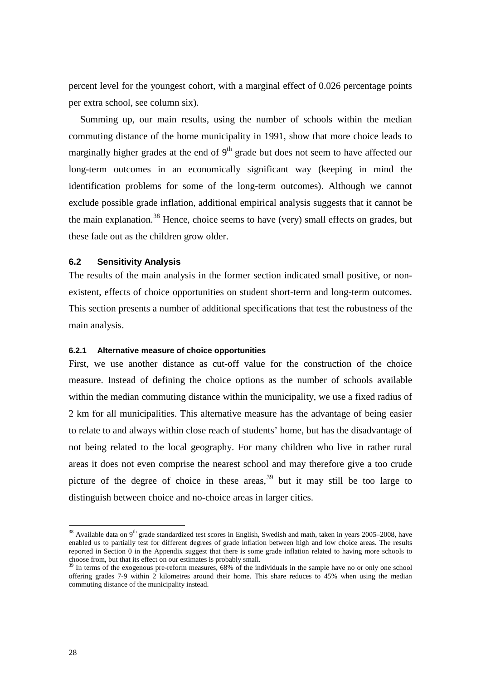percent level for the youngest cohort, with a marginal effect of 0.026 percentage points per extra school, see column six).

Summing up, our main results, using the number of schools within the median commuting distance of the home municipality in 1991, show that more choice leads to marginally higher grades at the end of  $9<sup>th</sup>$  grade but does not seem to have affected our long-term outcomes in an economically significant way (keeping in mind the identification problems for some of the long-term outcomes). Although we cannot exclude possible grade inflation, additional empirical analysis suggests that it cannot be the main explanation.<sup>[38](#page-28-0)</sup> Hence, choice seems to have (very) small effects on grades, but these fade out as the children grow older.

### **6.2 Sensitivity Analysis**

The results of the main analysis in the former section indicated small positive, or nonexistent, effects of choice opportunities on student short-term and long-term outcomes. This section presents a number of additional specifications that test the robustness of the main analysis.

### **6.2.1 Alternative measure of choice opportunities**

First, we use another distance as cut-off value for the construction of the choice measure. Instead of defining the choice options as the number of schools available within the median commuting distance within the municipality, we use a fixed radius of 2 km for all municipalities. This alternative measure has the advantage of being easier to relate to and always within close reach of students' home, but has the disadvantage of not being related to the local geography. For many children who live in rather rural areas it does not even comprise the nearest school and may therefore give a too crude picture of the degree of choice in these areas,  $39$  but it may still be too large to distinguish between choice and no-choice areas in larger cities.

<span id="page-29-1"></span> $38$  Available data on  $9<sup>th</sup>$  grade standardized test scores in English, Swedish and math, taken in years 2005–2008, have enabled us to partially test for different degrees of grade inflation between high and low choice areas. The results reported in Section [0](#page-71-0) in the Appendix suggest that there is some grade inflation related to having more schools to choose from, but that its effect on our estimates is probably small.

<span id="page-29-0"></span><sup>&</sup>lt;sup>39</sup> In terms of the exogenous pre-reform measures, 68% of the individuals in the sample have no or only one school offering grades 7-9 within 2 kilometres around their home. This share reduces to 45% when using the median commuting distance of the municipality instead.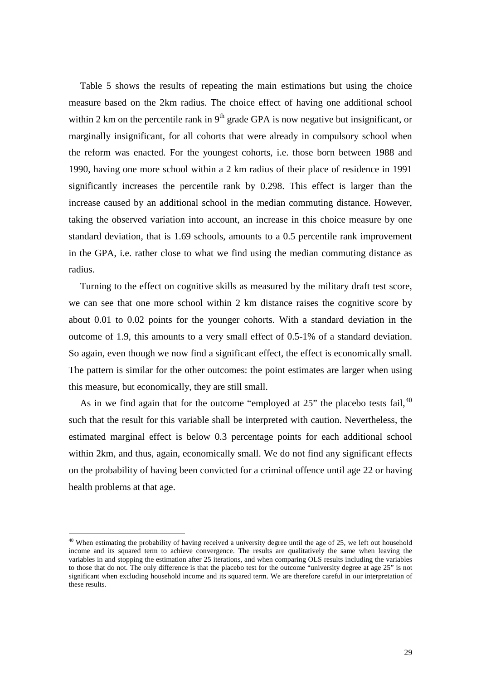[Table 5](#page-31-0) shows the results of repeating the main estimations but using the choice measure based on the 2km radius. The choice effect of having one additional school within 2 km on the percentile rank in  $9<sup>th</sup>$  grade GPA is now negative but insignificant, or marginally insignificant, for all cohorts that were already in compulsory school when the reform was enacted. For the youngest cohorts, i.e. those born between 1988 and 1990, having one more school within a 2 km radius of their place of residence in 1991 significantly increases the percentile rank by 0.298. This effect is larger than the increase caused by an additional school in the median commuting distance. However, taking the observed variation into account, an increase in this choice measure by one standard deviation, that is 1.69 schools, amounts to a 0.5 percentile rank improvement in the GPA, i.e. rather close to what we find using the median commuting distance as radius.

Turning to the effect on cognitive skills as measured by the military draft test score, we can see that one more school within 2 km distance raises the cognitive score by about 0.01 to 0.02 points for the younger cohorts. With a standard deviation in the outcome of 1.9, this amounts to a very small effect of 0.5-1% of a standard deviation. So again, even though we now find a significant effect, the effect is economically small. The pattern is similar for the other outcomes: the point estimates are larger when using this measure, but economically, they are still small.

As in we find again that for the outcome "employed at  $25$ " the placebo tests fail.<sup>[40](#page-29-1)</sup> such that the result for this variable shall be interpreted with caution. Nevertheless, the estimated marginal effect is below 0.3 percentage points for each additional school within 2km, and thus, again, economically small. We do not find any significant effects on the probability of having been convicted for a criminal offence until age 22 or having health problems at that age.

<span id="page-30-0"></span> $40$  When estimating the probability of having received a university degree until the age of 25, we left out household income and its squared term to achieve convergence. The results are qualitatively the same when leaving the variables in and stopping the estimation after 25 iterations, and when comparing OLS results including the variables to those that do not. The only difference is that the placebo test for the outcome "university degree at age 25" is not significant when excluding household income and its squared term. We are therefore careful in our interpretation of these results.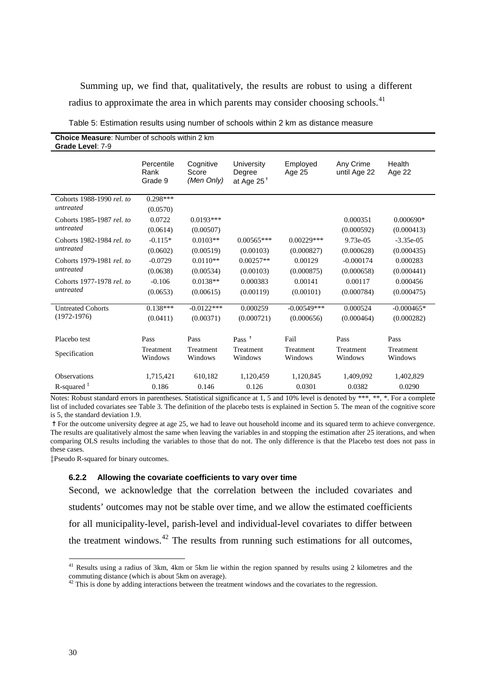Summing up, we find that, qualitatively, the results are robust to using a different radius to approximate the area in which parents may consider choosing schools.<sup>[41](#page-30-0)</sup>

<span id="page-31-0"></span>

| Table 5: Estimation results using number of schools within 2 km as distance measure |  |
|-------------------------------------------------------------------------------------|--|
|-------------------------------------------------------------------------------------|--|

| <b>Choice Measure:</b> Number of schools within 2 km<br>Grade Level: 7-9 |                               |                                  |                                       |                             |                           |                            |  |  |  |
|--------------------------------------------------------------------------|-------------------------------|----------------------------------|---------------------------------------|-----------------------------|---------------------------|----------------------------|--|--|--|
|                                                                          | Percentile<br>Rank<br>Grade 9 | Cognitive<br>Score<br>(Men Only) | University<br>Degree<br>at Age $25^+$ | Employed<br>Age 25          | Any Crime<br>until Age 22 | Health<br>Age 22           |  |  |  |
| Cohorts 1988-1990 rel. to<br>untreated                                   | $0.298***$<br>(0.0570)        |                                  |                                       |                             |                           |                            |  |  |  |
| Cohorts 1985-1987 rel. to<br>untreated                                   | 0.0722<br>(0.0614)            | $0.0193***$<br>(0.00507)         |                                       |                             | 0.000351<br>(0.000592)    | $0.000690*$<br>(0.000413)  |  |  |  |
| Cohorts 1982-1984 rel. to<br>untreated                                   | $-0.115*$<br>(0.0602)         | $0.0103**$<br>(0.00519)          | $0.00565***$<br>(0.00103)             | $0.00229***$<br>(0.000827)  | 9.73e-05<br>(0.000628)    | $-3.35e-05$<br>(0.000435)  |  |  |  |
| Cohorts 1979-1981 rel. to<br>untreated                                   | $-0.0729$<br>(0.0638)         | $0.0110**$<br>(0.00534)          | $0.00257**$<br>(0.00103)              | 0.00129<br>(0.000875)       | $-0.000174$<br>(0.000658) | 0.000283<br>(0.000441)     |  |  |  |
| Cohorts 1977-1978 rel. to<br>untreated                                   | $-0.106$<br>(0.0653)          | $0.0138**$<br>(0.00615)          | 0.000383<br>(0.00119)                 | 0.00141<br>(0.00101)        | 0.00117<br>(0.000784)     | 0.000456<br>(0.000475)     |  |  |  |
| <b>Untreated Cohorts</b><br>$(1972 - 1976)$                              | $0.138***$<br>(0.0411)        | $-0.0122***$<br>(0.00371)        | 0.000259<br>(0.000721)                | $-0.00549***$<br>(0.000656) | 0.000524<br>(0.000464)    | $-0.000465*$<br>(0.000282) |  |  |  |
| Placebo test                                                             | Pass                          | Pass                             | Pass <sup><math>+</math></sup>        | Fail                        | Pass                      | Pass                       |  |  |  |
| Specification                                                            | Treatment<br>Windows          | Treatment<br>Windows             | Treatment<br>Windows                  | Treatment<br>Windows        | Treatment<br>Windows      | Treatment<br>Windows       |  |  |  |
| <b>Observations</b>                                                      | 1,715,421                     | 610,182                          | 1,120,459                             | 1,120,845                   | 1,409,092                 | 1,402,829                  |  |  |  |
| R-squared $‡$                                                            | 0.186                         | 0.146                            | 0.126                                 | 0.0301                      | 0.0382                    | 0.0290                     |  |  |  |

Notes: Robust standard errors in parentheses. Statistical significance at 1, 5 and 10% level is denoted by \*\*\*, \*\*, \*. For a complete list of included covariates see Table 3. The definition of the placebo tests is explained in Section 5. The mean of the cognitive score is 5, the standard deviation 1.9.

✝For the outcome university degree at age 25, we had to leave out household income and its squared term to achieve convergence. The results are qualitatively almost the same when leaving the variables in and stopping the estimation after 25 iterations, and when comparing OLS results including the variables to those that do not. The only difference is that the Placebo test does not pass in these cases.

‡Pseudo R-squared for binary outcomes.

#### **6.2.2 Allowing the covariate coefficients to vary over time**

Second, we acknowledge that the correlation between the included covariates and students' outcomes may not be stable over time, and we allow the estimated coefficients for all municipality-level, parish-level and individual-level covariates to differ between the treatment windows. $42$  The results from running such estimations for all outcomes,

 <sup>41</sup> Results using a radius of 3km, 4km or 5km lie within the region spanned by results using 2 kilometres and the commuting distance (which is about 5km on average).

<span id="page-31-1"></span> $42$  This is done by adding interactions between the treatment windows and the covariates to the regression.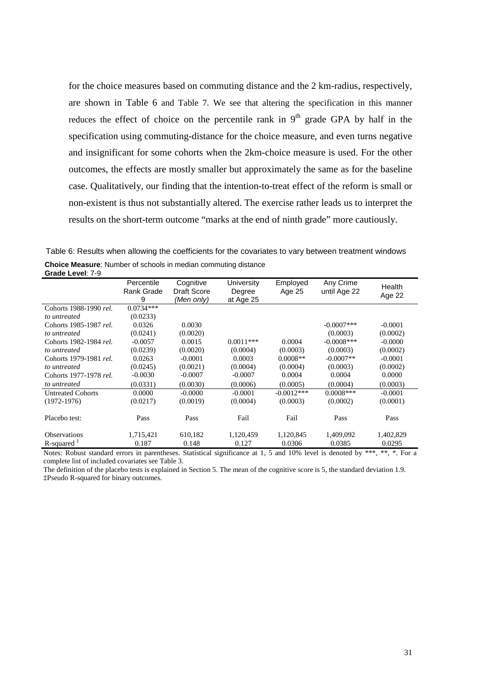for the choice measures based on commuting distance and the 2 km-radius, respectively, are shown in [Table 6](#page-32-0) and Table 7. We see that altering the specification in this manner reduces the effect of choice on the percentile rank in  $9<sup>th</sup>$  grade GPA by half in the specification using commuting-distance for the choice measure, and even turns negative and insignificant for some cohorts when the 2km-choice measure is used. For the other outcomes, the effects are mostly smaller but approximately the same as for the baseline case. Qualitatively, our finding that the intention-to-treat effect of the reform is small or non-existent is thus not substantially altered. The exercise rather leads us to interpret the results on the short-term outcome "marks at the end of ninth grade" more cautiously.

<span id="page-32-0"></span>Table 6: Results when allowing the coefficients for the covariates to vary between treatment windows **Choice Measure**: Number of schools in median commuting distance **Grade Level**: 7-9

| טו מע <del>כ</del> בכγכו. רט |                               |                                               |                                   |                    |                           |                  |
|------------------------------|-------------------------------|-----------------------------------------------|-----------------------------------|--------------------|---------------------------|------------------|
|                              | Percentile<br>Rank Grade<br>9 | Cognitive<br><b>Draft Score</b><br>(Men only) | University<br>Degree<br>at Age 25 | Employed<br>Age 25 | Any Crime<br>until Age 22 | Health<br>Age 22 |
| Cohorts 1988-1990 rel.       | $0.0734***$                   |                                               |                                   |                    |                           |                  |
| to untreated                 | (0.0233)                      |                                               |                                   |                    |                           |                  |
| Cohorts 1985-1987 rel.       | 0.0326                        | 0.0030                                        |                                   |                    | $-0.0007$ ***             | $-0.0001$        |
| to untreated                 | (0.0241)                      | (0.0020)                                      |                                   |                    | (0.0003)                  | (0.0002)         |
| Cohorts 1982-1984 rel.       | $-0.0057$                     | 0.0015                                        | $0.0011***$                       | 0.0004             | $-0.0008$ ***             | $-0.0000$        |
| to untreated                 | (0.0239)                      | (0.0020)                                      | (0.0004)                          | (0.0003)           | (0.0003)                  | (0.0002)         |
| Cohorts 1979-1981 rel.       | 0.0263                        | $-0.0001$                                     | 0.0003                            | $0.0008**$         | $-0.0007**$               | $-0.0001$        |
| to untreated                 | (0.0245)                      | (0.0021)                                      | (0.0004)                          | (0.0004)           | (0.0003)                  | (0.0002)         |
| Cohorts 1977-1978 rel.       | $-0.0030$                     | $-0.0007$                                     | $-0.0007$                         | 0.0004             | 0.0004                    | 0.0000           |
| to untreated                 | (0.0331)                      | (0.0030)                                      | (0.0006)                          | (0.0005)           | (0.0004)                  | (0.0003)         |
| <b>Untreated Cohorts</b>     | 0.0000                        | $-0.0000$                                     | $-0.0001$                         | $-0.0012***$       | $0.0008$ ***              | $-0.0001$        |
| $(1972-1976)$                | (0.0217)                      | (0.0019)                                      | (0.0004)                          | (0.0003)           | (0.0002)                  | (0.0001)         |
| Placebo test:                | Pass                          | Pass                                          | Fail                              | Fail               | Pass                      | Pass             |
| <b>Observations</b>          | 1,715,421                     | 610,182                                       | 1,120,459                         | 1,120,845          | 1,409,092                 | 1,402,829        |
| R-squared $‡$                | 0.187                         | 0.148                                         | 0.127                             | 0.0306             | 0.0385                    | 0.0295           |

Notes: Robust standard errors in parentheses. Statistical significance at 1, 5 and 10% level is denoted by \*\*\*, \*\*, \*. For a complete list of included covariates see Table 3.

The definition of the placebo tests is explained in Section [5.](#page-19-0) The mean of the cognitive score is 5, the standard deviation 1.9. ‡Pseudo R-squared for binary outcomes.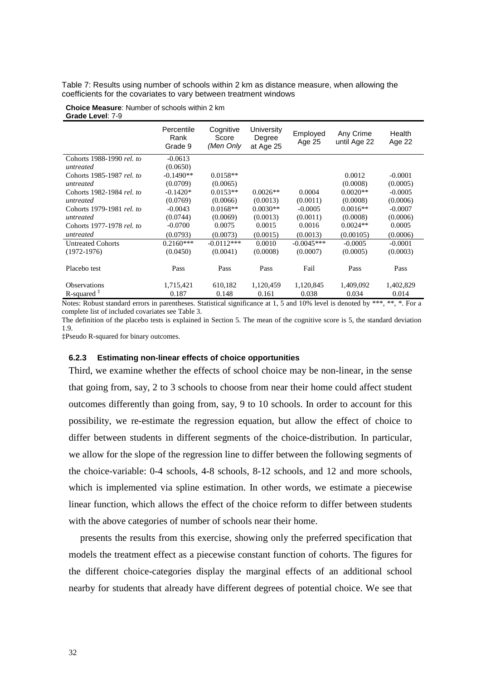Table 7: Results using number of schools within 2 km as distance measure, when allowing the coefficients for the covariates to vary between treatment windows

**Choice Measure**: Number of schools within 2 km **Grade Level**: 7-9

|                           | Percentile<br>Rank<br>Grade 9 | Cognitive<br>Score<br>(Men Only | University<br>Degree<br>at Age 25 | Employed<br>Age 25 | Any Crime<br>until Age 22 | Health<br>Age 22 |
|---------------------------|-------------------------------|---------------------------------|-----------------------------------|--------------------|---------------------------|------------------|
| Cohorts 1988-1990 rel. to | $-0.0613$                     |                                 |                                   |                    |                           |                  |
| untreated                 | (0.0650)                      |                                 |                                   |                    |                           |                  |
| Cohorts 1985-1987 rel. to | $-0.1490**$                   | $0.0158**$                      |                                   |                    | 0.0012                    | $-0.0001$        |
| untreated                 | (0.0709)                      | (0.0065)                        |                                   |                    | (0.0008)                  | (0.0005)         |
| Cohorts 1982-1984 rel. to | $-0.1420*$                    | $0.0153**$                      | $0.0026**$                        | 0.0004             | $0.0020**$                | $-0.0005$        |
| untreated                 | (0.0769)                      | (0.0066)                        | (0.0013)                          | (0.0011)           | (0.0008)                  | (0.0006)         |
| Cohorts 1979-1981 rel. to | $-0.0043$                     | $0.0168**$                      | $0.0030**$                        | $-0.0005$          | $0.0016**$                | $-0.0007$        |
| untreated                 | (0.0744)                      | (0.0069)                        | (0.0013)                          | (0.0011)           | (0.0008)                  | (0.0006)         |
| Cohorts 1977-1978 rel. to | $-0.0700$                     | 0.0075                          | 0.0015                            | 0.0016             | $0.0024**$                | 0.0005           |
| untreated                 | (0.0793)                      | (0.0073)                        | (0.0015)                          | (0.0013)           | (0.00105)                 | (0.0006)         |
| <b>Untreated Cohorts</b>  | $0.2160***$                   | $-0.0112***$                    | 0.0010                            | $-0.0045***$       | $-0.0005$                 | $-0.0001$        |
| $(1972-1976)$             | (0.0450)                      | (0.0041)                        | (0.0008)                          | (0.0007)           | (0.0005)                  | (0.0003)         |
| Placebo test              | Pass                          | Pass                            | Pass                              | Fail               | Pass                      | Pass             |
| <b>Observations</b>       | 1,715,421                     | 610,182                         | 1,120,459                         | 1,120,845          | 1,409,092                 | 1,402,829        |
| R-squared $*$             | 0.187                         | 0.148                           | 0.161                             | 0.038              | 0.034                     | 0.014            |

Notes: Robust standard errors in parentheses. Statistical significance at 1, 5 and 10% level is denoted by \*\*\*, \*\*, \*. For a complete list of included covariates see Table 3.

The definition of the placebo tests is explained in Section [5.](#page-19-0) The mean of the cognitive score is 5, the standard deviation 1.9.

‡Pseudo R-squared for binary outcomes.

#### **6.2.3 Estimating non-linear effects of choice opportunities**

Third, we examine whether the effects of school choice may be non-linear, in the sense that going from, say, 2 to 3 schools to choose from near their home could affect student outcomes differently than going from, say, 9 to 10 schools. In order to account for this possibility, we re-estimate the regression equation, but allow the effect of choice to differ between students in different segments of the choice-distribution. In particular, we allow for the slope of the regression line to differ between the following segments of the choice-variable: 0-4 schools, 4-8 schools, 8-12 schools, and 12 and more schools, which is implemented via spline estimation. In other words, we estimate a piecewise linear function, which allows the effect of the choice reform to differ between students with the above categories of number of schools near their home.

presents the results from this exercise, showing only the preferred specification that models the treatment effect as a piecewise constant function of cohorts. The figures for the different choice-categories display the marginal effects of an additional school nearby for students that already have different degrees of potential choice. We see that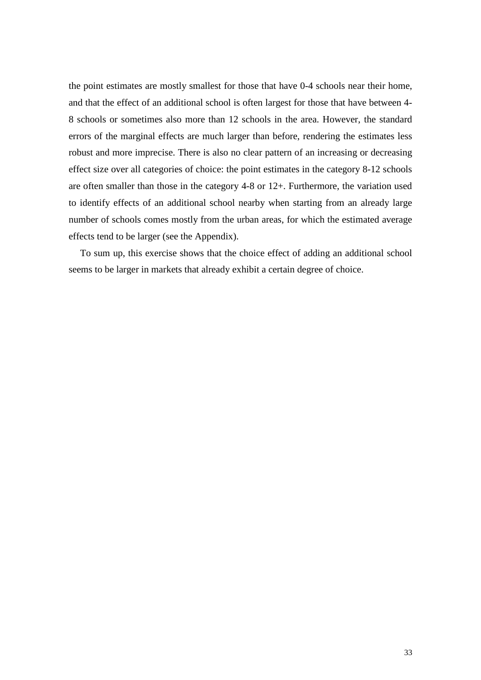the point estimates are mostly smallest for those that have 0-4 schools near their home, and that the effect of an additional school is often largest for those that have between 4- 8 schools or sometimes also more than 12 schools in the area. However, the standard errors of the marginal effects are much larger than before, rendering the estimates less robust and more imprecise. There is also no clear pattern of an increasing or decreasing effect size over all categories of choice: the point estimates in the category 8-12 schools are often smaller than those in the category 4-8 or 12+. Furthermore, the variation used to identify effects of an additional school nearby when starting from an already large number of schools comes mostly from the urban areas, for which the estimated average effects tend to be larger (see the Appendix).

To sum up, this exercise shows that the choice effect of adding an additional school seems to be larger in markets that already exhibit a certain degree of choice.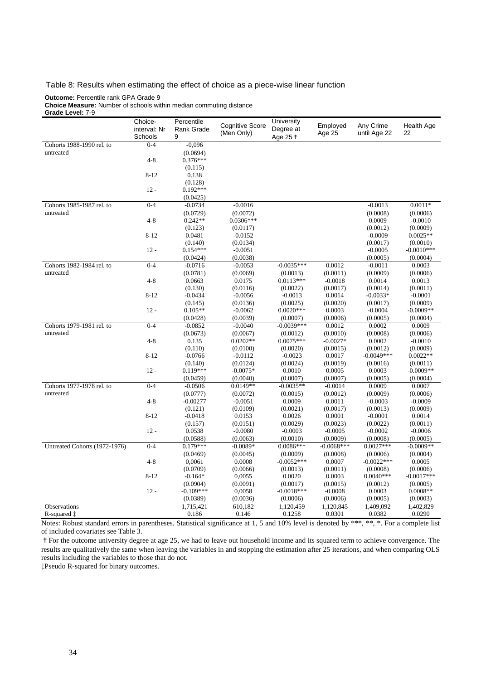#### Table 8: Results when estimating the effect of choice as a piece-wise linear function

#### **Outcome:** Percentile rank GPA Grade 9

**Choice Measure:** Number of schools within median commuting distance

| Grade Level: 7-9              |                                    |                                      |                                      |                                     |                    |                           |                  |
|-------------------------------|------------------------------------|--------------------------------------|--------------------------------------|-------------------------------------|--------------------|---------------------------|------------------|
|                               | Choice-<br>interval: Nr<br>Schools | Percentile<br><b>Rank Grade</b><br>9 | <b>Cognitive Score</b><br>(Men Only) | University<br>Degree at<br>Age 25 + | Employed<br>Age 25 | Any Crime<br>until Age 22 | Health Age<br>22 |
| Cohorts 1988-1990 rel. to     | $0 - 4$                            | $-0,096$                             |                                      |                                     |                    |                           |                  |
| untreated                     |                                    | (0.0694)                             |                                      |                                     |                    |                           |                  |
|                               | $4 - 8$                            | $0.376***$                           |                                      |                                     |                    |                           |                  |
|                               |                                    | (0.115)                              |                                      |                                     |                    |                           |                  |
|                               | $8 - 12$                           | 0.138                                |                                      |                                     |                    |                           |                  |
|                               |                                    | (0.128)                              |                                      |                                     |                    |                           |                  |
|                               | $12 -$                             | $0.192***$                           |                                      |                                     |                    |                           |                  |
|                               |                                    | (0.0425)                             |                                      |                                     |                    |                           |                  |
| Cohorts 1985-1987 rel. to     | $0 - 4$                            | $-0.0734$                            | $-0.0016$                            |                                     |                    | $-0.0013$                 | $0.0011*$        |
| untreated                     |                                    | (0.0729)                             | (0.0072)                             |                                     |                    | (0.0008)                  | (0.0006)         |
|                               | $4 - 8$                            | $0.242**$                            | $0.0306***$                          |                                     |                    | 0.0009                    | $-0.0010$        |
|                               |                                    | (0.123)                              | (0.0117)                             |                                     |                    | (0.0012)                  | (0.0009)         |
|                               | $8 - 12$                           | 0.0481                               | $-0.0152$                            |                                     |                    | $-0.0009$                 | $0.0025**$       |
|                               |                                    | (0.140)                              | (0.0134)                             |                                     |                    | (0.0017)                  | (0.0010)         |
|                               | $12 -$                             | $0.154***$                           | $-0.0051$                            |                                     |                    | $-0.0005$                 | $-0.0010***$     |
|                               |                                    | (0.0424)                             | (0.0038)                             |                                     |                    | (0.0005)                  | (0.0004)         |
| Cohorts 1982-1984 rel. to     | $0 - 4$                            | $-0.0716$                            | $-0.0053$                            | $-0.0035***$                        | 0.0012             | $-0.0011$                 | 0.0003           |
| untreated                     |                                    | (0.0781)                             | (0.0069)                             | (0.0013)                            | (0.0011)           | (0.0009)                  | (0.0006)         |
|                               | $4 - 8$                            | 0.0663                               | 0.0175                               | $0.0113***$                         | $-0.0018$          | 0.0014                    | 0.0013           |
|                               |                                    | (0.130)                              | (0.0116)                             | (0.0022)                            | (0.0017)           | (0.0014)                  | (0.0011)         |
|                               | $8 - 12$                           | $-0.0434$                            | $-0.0056$                            | $-0.0013$                           | 0.0014             | $-0.0033*$                | $-0.0001$        |
|                               |                                    | (0.145)                              | (0.0136)                             | (0.0025)                            | (0.0020)           | (0.0017)                  | (0.0009)         |
|                               | $12 -$                             | $0.105**$                            | $-0.0062$                            | $0.0020***$                         | 0.0003             | $-0.0004$                 | $-0.0009**$      |
|                               |                                    | (0.0428)                             | (0.0039)                             | (0.0007)                            | (0.0006)           | (0.0005)                  | (0.0004)         |
| Cohorts 1979-1981 rel. to     | $0 - 4$                            | $-0.0852$                            | $-0.0040$                            | $-0.0039***$                        | 0.0012             | 0.0002                    | 0.0009           |
| untreated                     |                                    | (0.0673)                             | (0.0067)                             | (0.0012)                            | (0.0010)           | (0.0008)                  | (0.0006)         |
|                               | $4 - 8$                            | 0.135                                | $0.0202**$                           | $0.0075***$                         | $-0.0027*$         | 0.0002                    | $-0.0010$        |
|                               |                                    | (0.110)                              | (0.0100)                             | (0.0020)                            | (0.0015)           | (0.0012)                  | (0.0009)         |
|                               | $8 - 12$                           | $-0.0766$                            | $-0.0112$                            | $-0.0023$                           | 0.0017             | $-0.0049***$              | $0.0022**$       |
|                               |                                    | (0.140)                              | (0.0124)                             | (0.0024)                            | (0.0019)           | (0.0016)                  | (0.0011)         |
|                               | $12 -$                             | $0.119***$                           | $-0.0075*$                           | 0.0010                              | 0.0005             | 0.0003                    | $-0.0009**$      |
|                               |                                    | (0.0459)                             | (0.0040)                             | (0.0007)                            | (0.0007)           | (0.0005)                  | (0.0004)         |
| Cohorts 1977-1978 rel. to     | $0 - 4$                            | $-0.0506$                            | $0.0149**$                           | $-0.0035**$                         | $-0.0014$          | 0.0009                    | 0.0007           |
| untreated                     |                                    | (0.0777)                             | (0.0072)                             | (0.0015)                            | (0.0012)           | (0.0009)                  | (0.0006)         |
|                               | $4 - 8$                            | $-0.00277$                           | $-0.0051$                            | 0.0009                              | 0.0011             | $-0.0003$                 | $-0.0009$        |
|                               |                                    | (0.121)                              | (0.0109)                             | (0.0021)                            | (0.0017)           | (0.0013)                  | (0.0009)         |
|                               | $8 - 12$                           | $-0.0418$                            | 0.0153                               | 0.0026                              | 0.0001             | $-0.0001$                 | 0.0014           |
|                               |                                    | (0.157)                              | (0.0151)                             | (0.0029)                            | (0.0023)           | (0.0022)                  | (0.0011)         |
|                               | $12 -$                             | 0.0538                               | $-0.0080$                            | $-0.0003$                           | $-0.0005$          | $-0.0002$                 | $-0.0006$        |
|                               |                                    | (0.0588)                             | (0.0063)                             | (0.0010)                            | (0.0009)           | (0.0008)                  | (0.0005)         |
| Untreated Cohorts (1972-1976) | $0 - 4$                            | $0.179***$                           | $-0.0089*$                           | $0.0086***$                         | $-0.0068***$       | $0.0027***$               | $-0.0009**$      |
|                               |                                    | (0.0469)                             | (0.0045)                             | (0.0009)                            | (0.0008)           | (0.0006)                  | (0.0004)         |
|                               | $4 - 8$                            | 0,0061                               | 0.0008                               | $-0.0052***$                        | 0.0007             | $-0.0022***$              | 0.0005           |
|                               |                                    | (0.0709)                             | (0.0066)                             | (0.0013)                            | (0.0011)           | (0.0008)                  | (0.0006)         |
|                               | $8 - 12$                           | $-0.164*$                            | 0,0055                               | 0.0020                              | 0.0003             | $0.0040***$               | $-0.0017***$     |
|                               |                                    | (0.0904)                             | (0.0091)                             | (0.0017)                            | (0.0015)           | (0.0012)                  | (0.0005)         |
|                               | $12 -$                             | $-0.109***$                          | 0,0058                               | $-0.0018***$                        | $-0.0008$          | 0.0003                    | $0.0008**$       |
|                               |                                    | (0.0389)                             | (0.0036)                             | (0.0006)                            | (0.0006)           | (0.0005)                  | (0.0003)         |
| Observations                  |                                    | 1,715,421                            | 610,182                              | 1,120,459                           | 1,120,845          | 1,409,092                 | 1,402,829        |
| R-squared $\ddagger$          |                                    | 0.186                                | 0.146                                | 0.1258                              | 0.0301             | 0.0382                    | 0.0290           |
|                               |                                    |                                      |                                      |                                     |                    |                           |                  |

Notes: Robust standard errors in parentheses. Statistical significance at 1, 5 and 10% level is denoted by \*\*\*, \*\*, \*. For a complete list of included covariates see Table 3.

✝For the outcome university degree at age 25, we had to leave out household income and its squared term to achieve convergence. The results are qualitatively the same when leaving the variables in and stopping the estimation after 25 iterations, and when comparing OLS results including the variables to those that do not.

‡Pseudo R-squared for binary outcomes.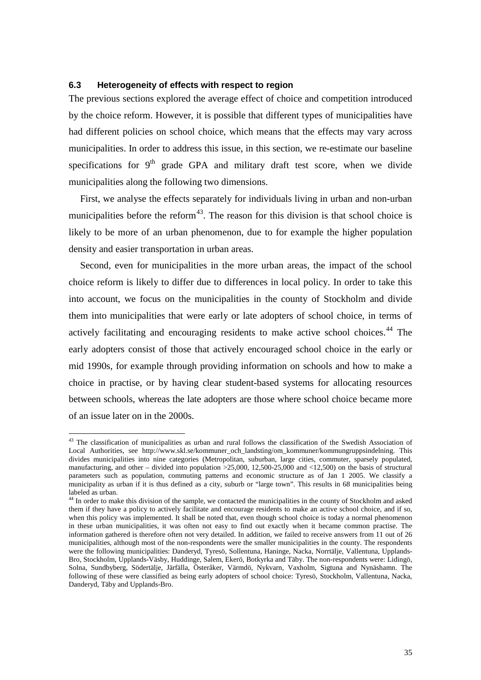# **6.3 Heterogeneity of effects with respect to region**

The previous sections explored the average effect of choice and competition introduced by the choice reform. However, it is possible that different types of municipalities have had different policies on school choice, which means that the effects may vary across municipalities. In order to address this issue, in this section, we re-estimate our baseline specifications for  $9<sup>th</sup>$  grade GPA and military draft test score, when we divide municipalities along the following two dimensions.

First, we analyse the effects separately for individuals living in urban and non-urban municipalities before the reform<sup>43</sup>. The reason for this division is that school choice is likely to be more of an urban phenomenon, due to for example the higher population density and easier transportation in urban areas.

Second, even for municipalities in the more urban areas, the impact of the school choice reform is likely to differ due to differences in local policy. In order to take this into account, we focus on the municipalities in the county of Stockholm and divide them into municipalities that were early or late adopters of school choice, in terms of actively facilitating and encouraging residents to make active school choices.<sup>[44](#page-36-0)</sup> The early adopters consist of those that actively encouraged school choice in the early or mid 1990s, for example through providing information on schools and how to make a choice in practise, or by having clear student-based systems for allocating resources between schools, whereas the late adopters are those where school choice became more of an issue later on in the 2000s.

<sup>&</sup>lt;sup>43</sup> The classification of municipalities as urban and rural follows the classification of the Swedish Association of Local Authorities, see http://www.skl.se/kommuner\_och\_landsting/om\_kommuner/kommungruppsindelning. This divides municipalities into nine categories (Metropolitan, suburban, large cities, commuter, sparsely populated, manufacturing, and other – divided into population  $>25,000$ , 12,500-25,000 and <12,500) on the basis of structural parameters such as population, commuting patterns and economic structure as of Jan 1 2005. We classify a municipality as urban if it is thus defined as a city, suburb or "large town". This results in 68 municipalities being labeled as urban.

<span id="page-36-1"></span><span id="page-36-0"></span><sup>&</sup>lt;sup>44</sup> In order to make this division of the sample, we contacted the municipalities in the county of Stockholm and asked them if they have a policy to actively facilitate and encourage residents to make an active school choice, and if so, when this policy was implemented. It shall be noted that, even though school choice is today a normal phenomenon in these urban municipalities, it was often not easy to find out exactly when it became common practise. The information gathered is therefore often not very detailed. In addition, we failed to receive answers from 11 out of 26 municipalities, although most of the non-respondents were the smaller municipalities in the county. The respondents were the following municipalities: Danderyd, Tyresö, Sollentuna, Haninge, Nacka, Norrtälje, Vallentuna, Upplands-Bro, Stockholm, Upplands-Väsby, Huddinge, Salem, Ekerö, Botkyrka and Täby. The non-respondents were: Lidingö, Solna, Sundbyberg, Södertälje, Järfälla, Österåker, Värmdö, Nykvarn, Vaxholm, Sigtuna and Nynäshamn. The following of these were classified as being early adopters of school choice: Tyresö, Stockholm, Vallentuna, Nacka, Danderyd, Täby and Upplands-Bro.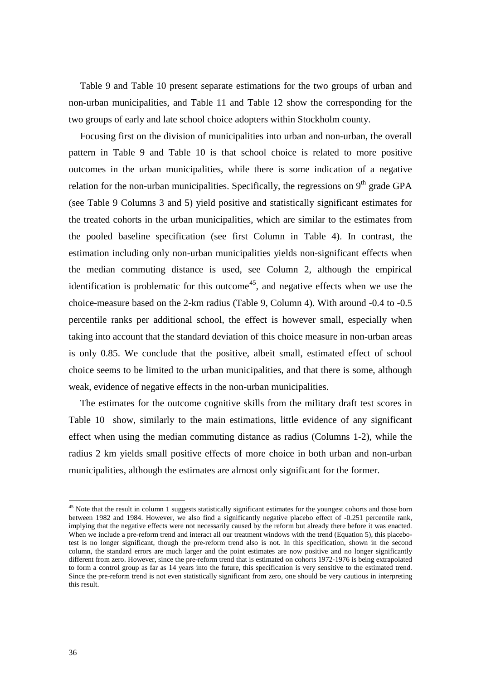[Table 9](#page-38-0) and [Table 10](#page-39-0) present separate estimations for the two groups of urban and non-urban municipalities, and [Table 11](#page-40-0) and [Table 12](#page-41-0) show the corresponding for the two groups of early and late school choice adopters within Stockholm county.

Focusing first on the division of municipalities into urban and non-urban, the overall pattern in [Table 9](#page-38-0) and [Table 10](#page-39-0) is that school choice is related to more positive outcomes in the urban municipalities, while there is some indication of a negative relation for the non-urban municipalities. Specifically, the regressions on  $9<sup>th</sup>$  grade GPA (see [Table 9](#page-38-0) Columns 3 and 5) yield positive and statistically significant estimates for the treated cohorts in the urban municipalities, which are similar to the estimates from the pooled baseline specification (see first Column in [Table 4\)](#page-27-0). In contrast, the estimation including only non-urban municipalities yields non-significant effects when the median commuting distance is used, see Column 2, although the empirical identification is problematic for this outcome<sup>[45](#page-36-1)</sup>, and negative effects when we use the choice-measure based on the 2-km radius [\(Table 9,](#page-38-0) Column 4). With around -0.4 to -0.5 percentile ranks per additional school, the effect is however small, especially when taking into account that the standard deviation of this choice measure in non-urban areas is only 0.85. We conclude that the positive, albeit small, estimated effect of school choice seems to be limited to the urban municipalities, and that there is some, although weak, evidence of negative effects in the non-urban municipalities.

The estimates for the outcome cognitive skills from the military draft test scores in [Table 10](#page-39-0) show, similarly to the main estimations, little evidence of any significant effect when using the median commuting distance as radius (Columns 1-2), while the radius 2 km yields small positive effects of more choice in both urban and non-urban municipalities, although the estimates are almost only significant for the former.

<span id="page-37-0"></span><sup>&</sup>lt;sup>45</sup> Note that the result in column 1 suggests statistically significant estimates for the youngest cohorts and those born between 1982 and 1984. However, we also find a significantly negative placebo effect of -0.251 percentile rank, implying that the negative effects were not necessarily caused by the reform but already there before it was enacted. When we include a pre-reform trend and interact all our treatment windows with the trend (Equation 5), this placebotest is no longer significant, though the pre-reform trend also is not. In this specification, shown in the second column, the standard errors are much larger and the point estimates are now positive and no longer significantly different from zero. However, since the pre-reform trend that is estimated on cohorts 1972-1976 is being extrapolated to form a control group as far as 14 years into the future, this specification is very sensitive to the estimated trend. Since the pre-reform trend is not even statistically significant from zero, one should be very cautious in interpreting this result.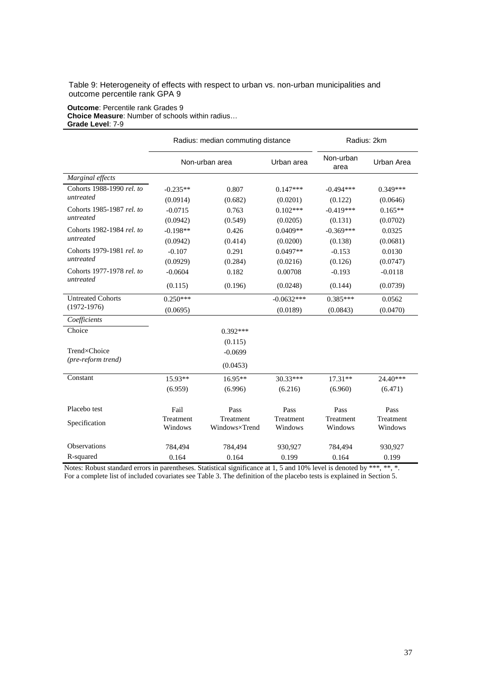<span id="page-38-0"></span>Table 9: Heterogeneity of effects with respect to urban vs. non-urban municipalities and outcome percentile rank GPA 9

#### **Outcome**: Percentile rank Grades 9 **Choice Measure**: Number of schools within radius… **Grade Level**: 7-9

|                           |                      | Radius: median commuting distance | Radius: 2km          |                      |                      |
|---------------------------|----------------------|-----------------------------------|----------------------|----------------------|----------------------|
|                           | Non-urban area       |                                   | Urban area           | Non-urban<br>area    | Urban Area           |
| Marginal effects          |                      |                                   |                      |                      |                      |
| Cohorts 1988-1990 rel. to | $-0.235**$           | 0.807                             | $0.147***$           | $-0.494***$          | $0.349***$           |
| untreated                 | (0.0914)             | (0.682)                           | (0.0201)             | (0.122)              | (0.0646)             |
| Cohorts 1985-1987 rel. to | $-0.0715$            | 0.763                             | $0.102***$           | $-0.419***$          | $0.165**$            |
| untreated                 | (0.0942)             | (0.549)                           | (0.0205)             | (0.131)              | (0.0702)             |
| Cohorts 1982-1984 rel. to | $-0.198**$           | 0.426                             | $0.0409**$           | $-0.369***$          | 0.0325               |
| untreated                 | (0.0942)             | (0.414)                           | (0.0200)             | (0.138)              | (0.0681)             |
| Cohorts 1979-1981 rel. to | $-0.107$             | 0.291                             | $0.0497**$           | $-0.153$             | 0.0130               |
| untreated                 | (0.0929)             | (0.284)                           | (0.0216)             | (0.126)              | (0.0747)             |
| Cohorts 1977-1978 rel. to | $-0.0604$            | 0.182                             | 0.00708              | $-0.193$             | $-0.0118$            |
| untreated                 | (0.115)              | (0.196)                           | (0.0248)             | (0.144)              | (0.0739)             |
| <b>Untreated Cohorts</b>  | $0.250***$           |                                   | $-0.0632***$         | $0.385***$           | 0.0562               |
| $(1972-1976)$             | (0.0695)             |                                   | (0.0189)             | (0.0843)             | (0.0470)             |
| Coefficients              |                      |                                   |                      |                      |                      |
| Choice                    |                      | $0.392***$                        |                      |                      |                      |
|                           |                      | (0.115)                           |                      |                      |                      |
| Trend×Choice              |                      | $-0.0699$                         |                      |                      |                      |
| (pre-reform trend)        |                      | (0.0453)                          |                      |                      |                      |
| Constant                  | 15.93**              | $16.95**$                         | 30.33***             | $17.31**$            | 24.40***             |
|                           | (6.959)              | (6.996)                           | (6.216)              | (6.960)              | (6.471)              |
| Placebo test              | Fail                 | Pass                              | Pass                 | Pass                 | Pass                 |
| Specification             | Treatment<br>Windows | Treatment<br>Windows×Trend        | Treatment<br>Windows | Treatment<br>Windows | Treatment<br>Windows |
| Observations              | 784,494              | 784,494                           | 930,927              | 784,494              | 930,927              |
| R-squared                 | 0.164                | 0.164                             | 0.199                | 0.164                | 0.199                |

Notes: Robust standard errors in parentheses. Statistical significance at 1, 5 and 10% level is denoted by \*\*\*, \*\*, \*. For a complete list of included covariates see Table 3. The definition of the placebo tests is explained in Section 5.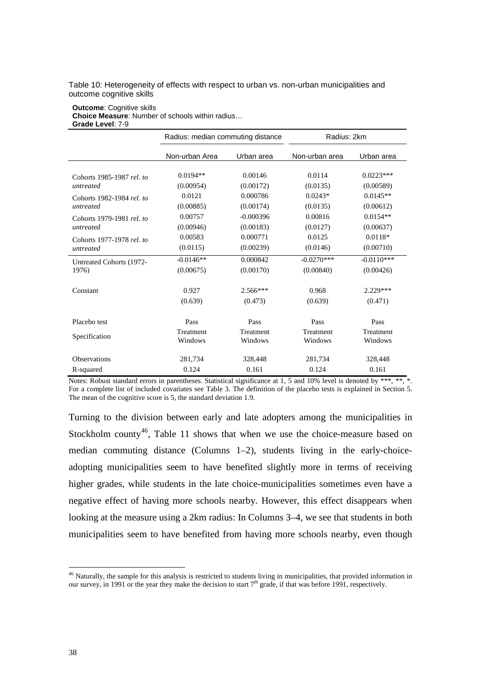<span id="page-39-0"></span>Table 10: Heterogeneity of effects with respect to urban vs. non-urban municipalities and outcome cognitive skills

#### **Outcome**: Cognitive skills **Choice Measure**: Number of schools within radius… **Grade Level**: 7-9

|                           | Radius: median commuting distance |             | Radius: 2km    |              |  |
|---------------------------|-----------------------------------|-------------|----------------|--------------|--|
|                           | Non-urban Area                    | Urban area  | Non-urban area | Urban area   |  |
| Cohorts 1985-1987 rel. to | $0.0194**$                        | 0.00146     | 0.0114         | $0.0223***$  |  |
| untreated                 | (0.00954)                         | (0.00172)   | (0.0135)       | (0.00589)    |  |
| Cohorts 1982-1984 rel. to | 0.0121                            | 0.000786    | $0.0243*$      | $0.0145**$   |  |
| untreated                 | (0.00885)                         | (0.00174)   | (0.0135)       | (0.00612)    |  |
| Cohorts 1979-1981 rel. to | 0.00757                           | $-0.000396$ | 0.00816        | $0.0154**$   |  |
| untreated                 | (0.00946)                         | (0.00183)   | (0.0127)       | (0.00637)    |  |
| Cohorts 1977-1978 rel. to | 0.00583                           | 0.000771    | 0.0125         | $0.0118*$    |  |
| untreated                 | (0.0115)                          | (0.00239)   | (0.0146)       | (0.00710)    |  |
| Untreated Cohorts (1972-  | $-0.0146**$                       | 0.000842    | $-0.0270***$   | $-0.0110***$ |  |
| 1976)                     | (0.00675)                         | (0.00170)   | (0.00840)      | (0.00426)    |  |
| Constant                  | 0.927                             | $2.566***$  | 0.968          | 2.229***     |  |
|                           | (0.639)                           | (0.473)     | (0.639)        | (0.471)      |  |
| Placebo test              | Pass                              | Pass        | Pass           | Pass         |  |
| Specification             | Treatment                         | Treatment   | Treatment      | Treatment    |  |
|                           | Windows                           | Windows     | Windows        | Windows      |  |
| <b>Observations</b>       | 281,734                           | 328,448     | 281,734        | 328,448      |  |
| R-squared                 | 0.124                             | 0.161       | 0.124          | 0.161        |  |

Notes: Robust standard errors in parentheses. Statistical significance at 1, 5 and 10% level is denoted by \*\*\*, \*\*, \*. For a complete list of included covariates see Table 3. The definition of the placebo tests is explained in Section 5. The mean of the cognitive score is 5, the standard deviation 1.9.

Turning to the division between early and late adopters among the municipalities in Stockholm county<sup>[46](#page-37-0)</sup>, [Table 11](#page-40-0) shows that when we use the choice-measure based on median commuting distance (Columns 1–2), students living in the early-choiceadopting municipalities seem to have benefited slightly more in terms of receiving higher grades, while students in the late choice-municipalities sometimes even have a negative effect of having more schools nearby. However, this effect disappears when looking at the measure using a 2km radius: In Columns 3–4, we see that students in both municipalities seem to have benefited from having more schools nearby, even though

<span id="page-39-1"></span><sup>&</sup>lt;sup>46</sup> Naturally, the sample for this analysis is restricted to students living in municipalities, that provided information in our survey, in 1991 or the year they make the decision to start  $7<sup>th</sup>$  grade, if that was before 1991, respectively.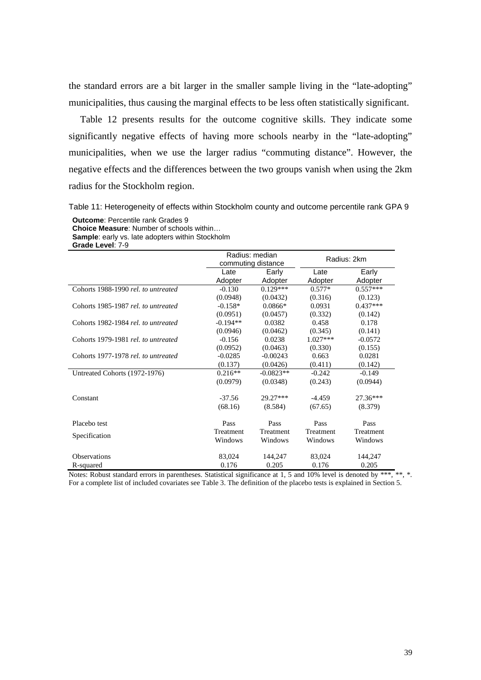the standard errors are a bit larger in the smaller sample living in the "late-adopting" municipalities, thus causing the marginal effects to be less often statistically significant.

[Table 12](#page-41-0) presents results for the outcome cognitive skills. They indicate some significantly negative effects of having more schools nearby in the "late-adopting" municipalities, when we use the larger radius "commuting distance". However, the negative effects and the differences between the two groups vanish when using the 2km radius for the Stockholm region.

<span id="page-40-0"></span>Table 11: Heterogeneity of effects within Stockholm county and outcome percentile rank GPA 9

**Outcome**: Percentile rank Grades 9 **Choice Measure**: Number of schools within… **Sample**: early vs. late adopters within Stockholm **Grade Level**: 7-9

|                                     | Radius: median<br>commuting distance |             |            | Radius: 2km |
|-------------------------------------|--------------------------------------|-------------|------------|-------------|
|                                     | Late                                 | Early       | Late       | Early       |
|                                     | Adopter                              | Adopter     | Adopter    | Adopter     |
| Cohorts 1988-1990 rel. to untreated | $-0.130$                             | $0.129***$  | $0.577*$   | $0.557***$  |
|                                     | (0.0948)                             | (0.0432)    | (0.316)    | (0.123)     |
| Cohorts 1985-1987 rel. to untreated | $-0.158*$                            | $0.0866*$   | 0.0931     | $0.437***$  |
|                                     | (0.0951)                             | (0.0457)    | (0.332)    | (0.142)     |
| Cohorts 1982-1984 rel. to untreated | $-0.194**$                           | 0.0382      | 0.458      | 0.178       |
|                                     | (0.0946)                             | (0.0462)    | (0.345)    | (0.141)     |
| Cohorts 1979-1981 rel. to untreated | $-0.156$                             | 0.0238      | $1.027***$ | $-0.0572$   |
|                                     | (0.0952)                             | (0.0463)    | (0.330)    | (0.155)     |
| Cohorts 1977-1978 rel. to untreated | $-0.0285$                            | $-0.00243$  | 0.663      | 0.0281      |
|                                     | (0.137)                              | (0.0426)    | (0.411)    | (0.142)     |
| Untreated Cohorts (1972-1976)       | $0.216**$                            | $-0.0823**$ | $-0.242$   | $-0.149$    |
|                                     | (0.0979)                             | (0.0348)    | (0.243)    | (0.0944)    |
| Constant                            | $-37.56$                             | 29.27***    | $-4.459$   | $27.36***$  |
|                                     | (68.16)                              | (8.584)     | (67.65)    | (8.379)     |
| Placebo test                        | Pass                                 | Pass        | Pass       | Pass        |
|                                     | Treatment                            | Treatment   | Treatment  | Treatment   |
| Specification                       | Windows                              | Windows     | Windows    | Windows     |
| <b>Observations</b>                 | 83,024                               | 144,247     | 83,024     | 144,247     |
| R-squared                           | 0.176                                | 0.205       | 0.176      | 0.205       |

Notes: Robust standard errors in parentheses. Statistical significance at 1, 5 and 10% level is denoted by \*\*\*, \*\*, \*. For a complete list of included covariates see Table 3. The definition of the placebo tests is explained in Section 5.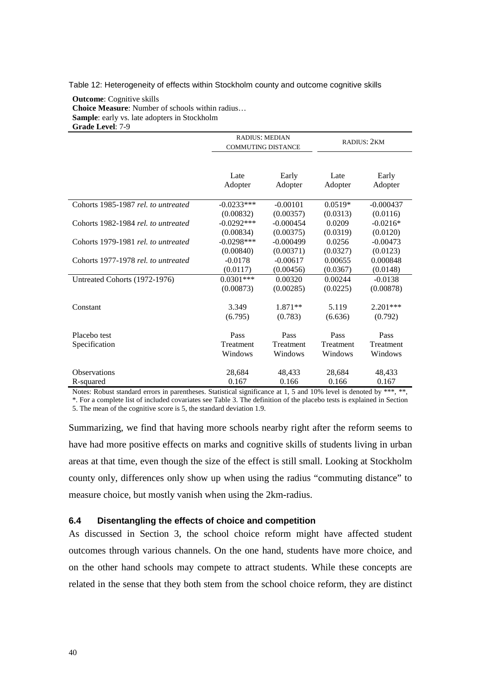<span id="page-41-0"></span>Table 12: Heterogeneity of effects within Stockholm county and outcome cognitive skills

**Outcome**: Cognitive skills **Choice Measure**: Number of schools within radius… **Sample**: early vs. late adopters in Stockholm **Grade Level**: 7-9

|                                     | <b>RADIUS: MEDIAN</b><br><b>COMMUTING DISTANCE</b> |                  | RADIUS: 2KM     |                  |
|-------------------------------------|----------------------------------------------------|------------------|-----------------|------------------|
|                                     | Late<br>Adopter                                    | Early<br>Adopter | Late<br>Adopter | Early<br>Adopter |
| Cohorts 1985-1987 rel. to untreated | $-0.0233***$                                       | $-0.00101$       | $0.0519*$       | $-0.000437$      |
|                                     | (0.00832)                                          | (0.00357)        | (0.0313)        | (0.0116)         |
| Cohorts 1982-1984 rel. to untreated | $-0.0292***$                                       | $-0.000454$      | 0.0209          | $-0.0216*$       |
|                                     | (0.00834)                                          | (0.00375)        | (0.0319)        | (0.0120)         |
| Cohorts 1979-1981 rel, to untreated | $-0.0298***$                                       | $-0.000499$      | 0.0256          | $-0.00473$       |
|                                     | (0.00840)                                          | (0.00371)        | (0.0327)        | (0.0123)         |
| Cohorts 1977-1978 rel. to untreated | $-0.0178$                                          | $-0.00617$       | 0.00655         | 0.000848         |
|                                     | (0.0117)                                           | (0.00456)        | (0.0367)        | (0.0148)         |
| Untreated Cohorts (1972-1976)       | $0.0301$ ***                                       | 0.00320          | 0.00244         | $-0.0138$        |
|                                     | (0.00873)                                          | (0.00285)        | (0.0225)        | (0.00878)        |
|                                     |                                                    |                  |                 |                  |
| Constant                            | 3.349                                              | $1.871**$        | 5.119           | $2.201***$       |
|                                     | (6.795)                                            | (0.783)          | (6.636)         | (0.792)          |
| Placebo test                        | Pass                                               | Pass             | Pass            | Pass             |
| Specification                       | Treatment                                          | Treatment        | Treatment       | Treatment        |
|                                     | Windows                                            | Windows          | Windows         | Windows          |
| <b>Observations</b>                 | 28,684                                             | 48,433           | 28,684          | 48,433           |
| R-squared                           | 0.167                                              | 0.166            | 0.166           | 0.167            |

Notes: Robust standard errors in parentheses. Statistical significance at 1, 5 and 10% level is denoted by \*\*\*, \*\*,

\*. For a complete list of included covariates see Table 3. The definition of the placebo tests is explained in Section 5. The mean of the cognitive score is 5, the standard deviation 1.9.

Summarizing, we find that having more schools nearby right after the reform seems to have had more positive effects on marks and cognitive skills of students living in urban areas at that time, even though the size of the effect is still small. Looking at Stockholm county only, differences only show up when using the radius "commuting distance" to measure choice, but mostly vanish when using the 2km-radius.

## <span id="page-41-1"></span>**6.4 Disentangling the effects of choice and competition**

As discussed in Section [3,](#page-11-0) the school choice reform might have affected student outcomes through various channels. On the one hand, students have more choice, and on the other hand schools may compete to attract students. While these concepts are related in the sense that they both stem from the school choice reform, they are distinct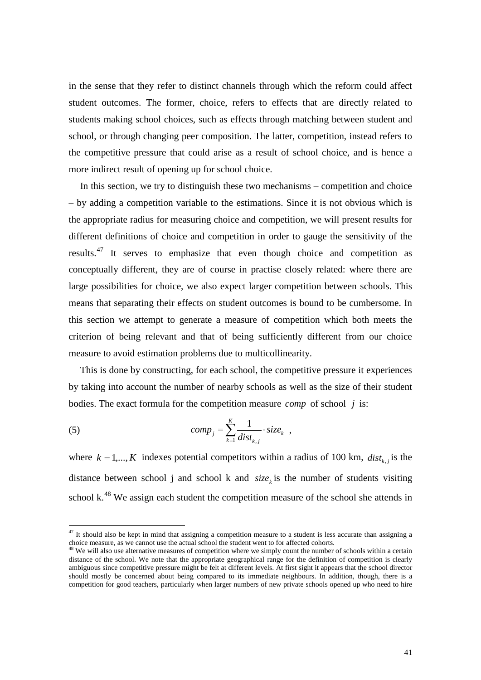in the sense that they refer to distinct channels through which the reform could affect student outcomes. The former, choice, refers to effects that are directly related to students making school choices, such as effects through matching between student and school, or through changing peer composition. The latter, competition, instead refers to the competitive pressure that could arise as a result of school choice, and is hence a more indirect result of opening up for school choice.

In this section, we try to distinguish these two mechanisms – competition and choice – by adding a competition variable to the estimations. Since it is not obvious which is the appropriate radius for measuring choice and competition, we will present results for different definitions of choice and competition in order to gauge the sensitivity of the results.[47](#page-39-1) It serves to emphasize that even though choice and competition as conceptually different, they are of course in practise closely related: where there are large possibilities for choice, we also expect larger competition between schools. This means that separating their effects on student outcomes is bound to be cumbersome. In this section we attempt to generate a measure of competition which both meets the criterion of being relevant and that of being sufficiently different from our choice measure to avoid estimation problems due to multicollinearity.

This is done by constructing, for each school, the competitive pressure it experiences by taking into account the number of nearby schools as well as the size of their student bodies. The exact formula for the competition measure *comp* of school *j* is:

(5) 
$$
comp_j = \sum_{k=1}^{K} \frac{1}{dist_{k,j}} \cdot size_k ,
$$

where  $k = 1, ..., K$  indexes potential competitors within a radius of 100 km,  $dist_{k}$  is the distance between school j and school k and  $size_k$  is the number of students visiting school  $k<sup>48</sup>$  $k<sup>48</sup>$  $k<sup>48</sup>$  We assign each student the competition measure of the school she attends in

<span id="page-42-1"></span> $47$  It should also be kept in mind that assigning a competition measure to a student is less accurate than assigning a choice measure, as we cannot use the actual school the student went to for affected cohorts.

<span id="page-42-0"></span> $^{48}$  We will also use alternative measures of competition where we simply count the number of schools within a certain distance of the school. We note that the appropriate geographical range for the definition of competition is clearly ambiguous since competitive pressure might be felt at different levels. At first sight it appears that the school director should mostly be concerned about being compared to its immediate neighbours. In addition, though, there is a competition for good teachers, particularly when larger numbers of new private schools opened up who need to hire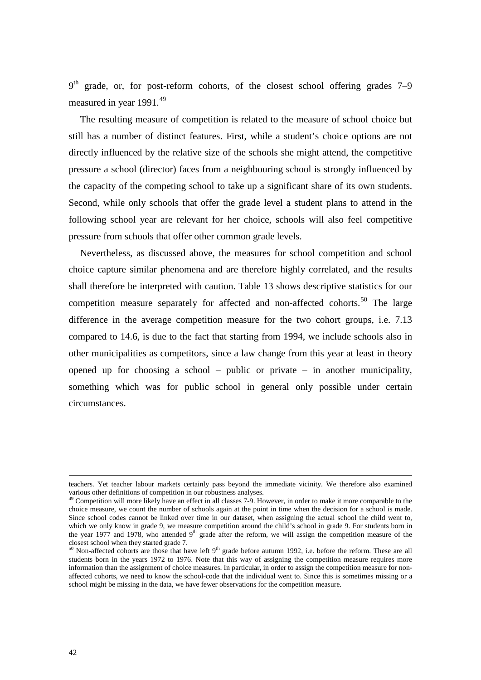$9<sup>th</sup>$  grade, or, for post-reform cohorts, of the closest school offering grades 7–9 measured in year 1991.<sup>[49](#page-42-1)</sup>

The resulting measure of competition is related to the measure of school choice but still has a number of distinct features. First, while a student's choice options are not directly influenced by the relative size of the schools she might attend, the competitive pressure a school (director) faces from a neighbouring school is strongly influenced by the capacity of the competing school to take up a significant share of its own students. Second, while only schools that offer the grade level a student plans to attend in the following school year are relevant for her choice, schools will also feel competitive pressure from schools that offer other common grade levels.

Nevertheless, as discussed above, the measures for school competition and school choice capture similar phenomena and are therefore highly correlated, and the results shall therefore be interpreted with caution. [Table 13](#page-44-0) shows descriptive statistics for our competition measure separately for affected and non-affected cohorts.<sup>[50](#page-43-0)</sup> The large difference in the average competition measure for the two cohort groups, i.e. 7.13 compared to 14.6, is due to the fact that starting from 1994, we include schools also in other municipalities as competitors, since a law change from this year at least in theory opened up for choosing a school – public or private – in another municipality, something which was for public school in general only possible under certain circumstances.

teachers. Yet teacher labour markets certainly pass beyond the immediate vicinity. We therefore also examined various other definitions of competition in our robustness analyses.

<sup>&</sup>lt;sup>49</sup> Competition will more likely have an effect in all classes 7-9. However, in order to make it more comparable to the choice measure, we count the number of schools again at the point in time when the decision for a school is made. Since school codes cannot be linked over time in our dataset, when assigning the actual school the child went to, which we only know in grade 9, we measure competition around the child's school in grade 9. For students born in the year 1977 and 1978, who attended  $9<sup>th</sup>$  grade after the reform, we will assign the competition measure of the closest school when they started grade 7.

<span id="page-43-1"></span><span id="page-43-0"></span> $50$  Non-affected cohorts are those that have left 9<sup>th</sup> grade before autumn 1992, i.e. before the reform. These are all students born in the years 1972 to 1976. Note that this way of assigning the competition measure requires more information than the assignment of choice measures. In particular, in order to assign the competition measure for nonaffected cohorts, we need to know the school-code that the individual went to. Since this is sometimes missing or a school might be missing in the data, we have fewer observations for the competition measure.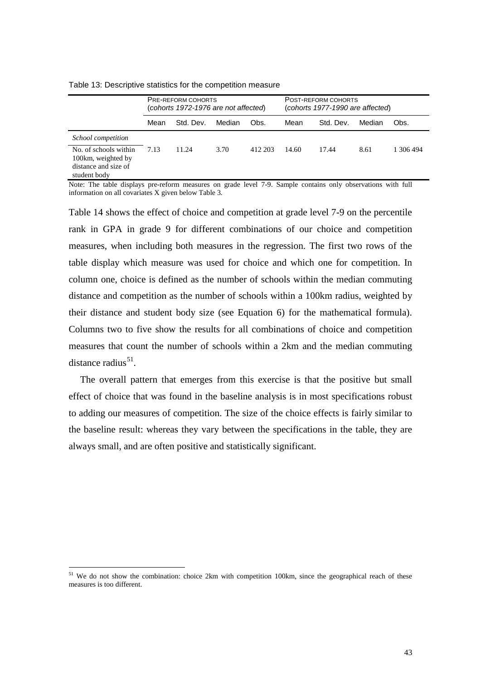|                                                                                     | PRE-REFORM COHORTS<br>(cohorts 1972-1976 are not affected) |           |        | POST-REFORM COHORTS<br>(cohorts 1977-1990 are affected) |       |           |        |        |
|-------------------------------------------------------------------------------------|------------------------------------------------------------|-----------|--------|---------------------------------------------------------|-------|-----------|--------|--------|
|                                                                                     | Mean                                                       | Std. Dev. | Median | Obs.                                                    | Mean  | Std. Dev. | Median | Obs.   |
| School competition                                                                  |                                                            |           |        |                                                         |       |           |        |        |
| No. of schools within<br>100km, weighted by<br>distance and size of<br>student body | 7.13                                                       | 11.24     | 3.70   | 412.203                                                 | 14.60 | 17.44     | 8.61   | 306494 |

<span id="page-44-0"></span>Table 13: Descriptive statistics for the competition measure

Note: The table displays pre-reform measures on grade level 7-9. Sample contains only observations with full information on all covariates X given below Table 3*.*

[Table 14](#page-45-0) shows the effect of choice and competition at grade level 7-9 on the percentile rank in GPA in grade 9 for different combinations of our choice and competition measures, when including both measures in the regression. The first two rows of the table display which measure was used for choice and which one for competition. In column one, choice is defined as the number of schools within the median commuting distance and competition as the number of schools within a 100km radius, weighted by their distance and student body size (see Equation 6) for the mathematical formula). Columns two to five show the results for all combinations of choice and competition measures that count the number of schools within a 2km and the median commuting distance radius $51$ .

The overall pattern that emerges from this exercise is that the positive but small effect of choice that was found in the baseline analysis is in most specifications robust to adding our measures of competition. The size of the choice effects is fairly similar to the baseline result: whereas they vary between the specifications in the table, they are always small, and are often positive and statistically significant.

<span id="page-44-1"></span><sup>&</sup>lt;sup>51</sup> We do not show the combination: choice 2km with competition 100km, since the geographical reach of these measures is too different.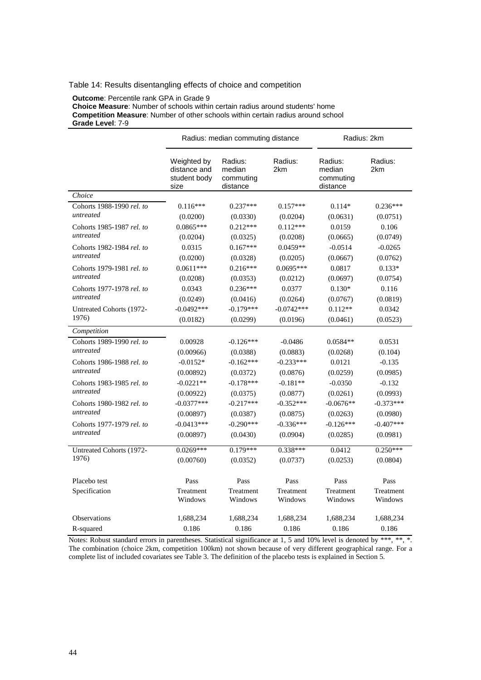## <span id="page-45-0"></span>Table 14: Results disentangling effects of choice and competition

**Outcome**: Percentile rank GPA in Grade 9

**Choice Measure**: Number of schools within certain radius around students' home **Competition Measure**: Number of other schools within certain radius around school **Grade Level**: 7-9

|                           |                                                     | Radius: median commuting distance          | Radius: 2km    |                                            |                |
|---------------------------|-----------------------------------------------------|--------------------------------------------|----------------|--------------------------------------------|----------------|
|                           | Weighted by<br>distance and<br>student body<br>size | Radius:<br>median<br>commuting<br>distance | Radius:<br>2km | Radius:<br>median<br>commuting<br>distance | Radius:<br>2km |
| Choice                    |                                                     |                                            |                |                                            |                |
| Cohorts 1988-1990 rel. to | $0.116***$                                          | $0.237***$                                 | $0.157***$     | $0.114*$                                   | $0.236***$     |
| untreated                 | (0.0200)                                            | (0.0330)                                   | (0.0204)       | (0.0631)                                   | (0.0751)       |
| Cohorts 1985-1987 rel. to | $0.0865***$                                         | $0.212***$                                 | $0.112***$     | 0.0159                                     | 0.106          |
| untreated                 | (0.0204)                                            | (0.0325)                                   | (0.0208)       | (0.0665)                                   | (0.0749)       |
| Cohorts 1982-1984 rel. to | 0.0315                                              | $0.167***$                                 | $0.0459**$     | $-0.0514$                                  | $-0.0265$      |
| untreated                 | (0.0200)                                            | (0.0328)                                   | (0.0205)       | (0.0667)                                   | (0.0762)       |
| Cohorts 1979-1981 rel. to | $0.0611***$                                         | $0.216***$                                 | $0.0695***$    | 0.0817                                     | $0.133*$       |
| untreated                 | (0.0208)                                            | (0.0353)                                   | (0.0212)       | (0.0697)                                   | (0.0754)       |
| Cohorts 1977-1978 rel. to | 0.0343                                              | $0.236***$                                 | 0.0377         | $0.130*$                                   | 0.116          |
| untreated                 | (0.0249)                                            | (0.0416)                                   | (0.0264)       | (0.0767)                                   | (0.0819)       |
| Untreated Cohorts (1972-  | $-0.0492***$                                        | $-0.179***$                                | $-0.0742***$   | $0.112**$                                  | 0.0342         |
| 1976)                     | (0.0182)                                            | (0.0299)                                   | (0.0196)       | (0.0461)                                   | (0.0523)       |
| Competition               |                                                     |                                            |                |                                            |                |
| Cohorts 1989-1990 rel. to | 0.00928                                             | $-0.126***$                                | $-0.0486$      | $0.0584**$                                 | 0.0531         |
| untreated                 | (0.00966)                                           | (0.0388)                                   | (0.0883)       | (0.0268)                                   | (0.104)        |
| Cohorts 1986-1988 rel. to | $-0.0152*$                                          | $-0.162***$                                | $-0.233***$    | 0.0121                                     | $-0.135$       |
| untreated                 | (0.00892)                                           | (0.0372)                                   | (0.0876)       | (0.0259)                                   | (0.0985)       |
| Cohorts 1983-1985 rel. to | $-0.0221**$                                         | $-0.178***$                                | $-0.181**$     | $-0.0350$                                  | $-0.132$       |
| untreated                 | (0.00922)                                           | (0.0375)                                   | (0.0877)       | (0.0261)                                   | (0.0993)       |
| Cohorts 1980-1982 rel. to | $-0.0377***$                                        | $-0.217***$                                | $-0.352***$    | $-0.0676**$                                | $-0.373***$    |
| untreated                 | (0.00897)                                           | (0.0387)                                   | (0.0875)       | (0.0263)                                   | (0.0980)       |
| Cohorts 1977-1979 rel. to | $-0.0413***$                                        | $-0.290***$                                | $-0.336***$    | $-0.126***$                                | $-0.407***$    |
| untreated                 | (0.00897)                                           | (0.0430)                                   | (0.0904)       | (0.0285)                                   | (0.0981)       |
| Untreated Cohorts (1972-  | $0.0269***$                                         | $0.179***$                                 | $0.338***$     | 0.0412                                     | $0.250***$     |
| 1976)                     | (0.00760)                                           | (0.0352)                                   | (0.0737)       | (0.0253)                                   | (0.0804)       |
| Placebo test              | Pass                                                | Pass                                       | Pass           | Pass                                       | Pass           |
| Specification             | Treatment                                           | Treatment                                  | Treatment      | Treatment                                  | Treatment      |
|                           | Windows                                             | Windows                                    | Windows        | Windows                                    | Windows        |
| Observations              | 1,688,234                                           | 1,688,234                                  | 1,688,234      | 1,688,234                                  | 1,688,234      |
|                           | 0.186                                               | 0.186                                      | 0.186          | 0.186                                      | 0.186          |
| R-squared                 |                                                     |                                            |                |                                            |                |

Notes: Robust standard errors in parentheses. Statistical significance at 1, 5 and 10% level is denoted by \*\*\*, \*\*, \*. The combination (choice 2km, competition 100km) not shown because of very different geographical range. For a complete list of included covariates see Table 3. The definition of the placebo tests is explained in Section 5.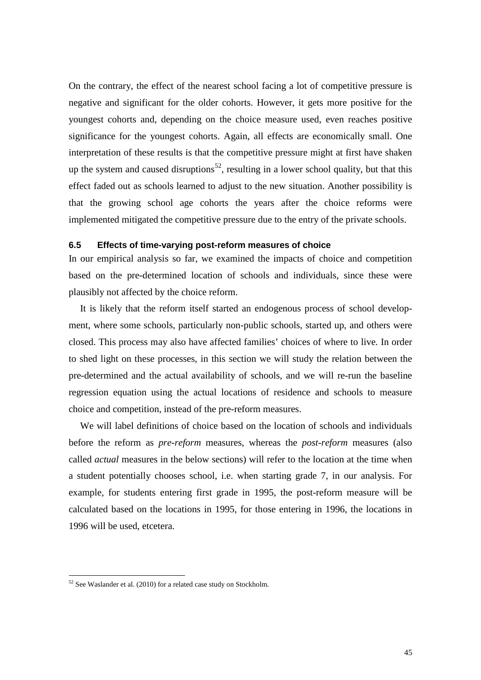On the contrary, the effect of the nearest school facing a lot of competitive pressure is negative and significant for the older cohorts. However, it gets more positive for the youngest cohorts and, depending on the choice measure used, even reaches positive significance for the youngest cohorts. Again, all effects are economically small. One interpretation of these results is that the competitive pressure might at first have shaken up the system and caused disruptions<sup>[52](#page-44-1)</sup>, resulting in a lower school quality, but that this effect faded out as schools learned to adjust to the new situation. Another possibility is that the growing school age cohorts the years after the choice reforms were implemented mitigated the competitive pressure due to the entry of the private schools.

## **6.5 Effects of time-varying post-reform measures of choice**

In our empirical analysis so far, we examined the impacts of choice and competition based on the pre-determined location of schools and individuals, since these were plausibly not affected by the choice reform.

It is likely that the reform itself started an endogenous process of school development, where some schools, particularly non-public schools, started up, and others were closed. This process may also have affected families' choices of where to live. In order to shed light on these processes, in this section we will study the relation between the pre-determined and the actual availability of schools, and we will re-run the baseline regression equation using the actual locations of residence and schools to measure choice and competition, instead of the pre-reform measures.

We will label definitions of choice based on the location of schools and individuals before the reform as *pre-reform* measures, whereas the *post-reform* measures (also called *actual* measures in the below sections) will refer to the location at the time when a student potentially chooses school, i.e. when starting grade 7, in our analysis. For example, for students entering first grade in 1995, the post-reform measure will be calculated based on the locations in 1995, for those entering in 1996, the locations in 1996 will be used, etcetera.

<span id="page-46-0"></span> $52$  See Waslander et al. (2010) for a related case study on Stockholm.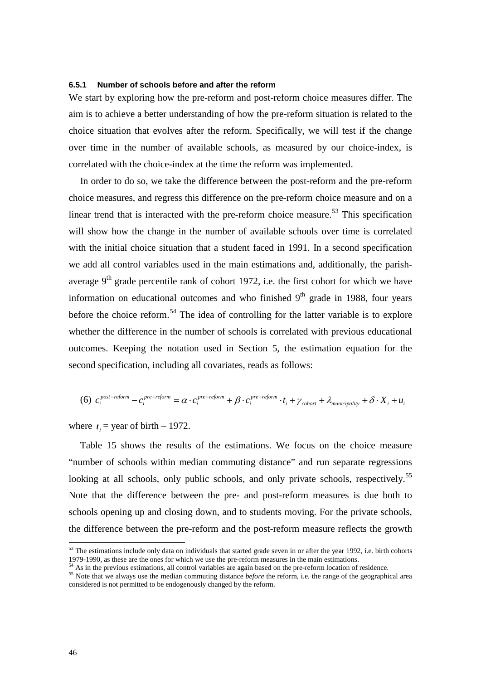### **6.5.1 Number of schools before and after the reform**

We start by exploring how the pre-reform and post-reform choice measures differ. The aim is to achieve a better understanding of how the pre-reform situation is related to the choice situation that evolves after the reform. Specifically, we will test if the change over time in the number of available schools, as measured by our choice-index, is correlated with the choice-index at the time the reform was implemented.

In order to do so, we take the difference between the post-reform and the pre-reform choice measures, and regress this difference on the pre-reform choice measure and on a linear trend that is interacted with the pre-reform choice measure.<sup>[53](#page-46-0)</sup> This specification will show how the change in the number of available schools over time is correlated with the initial choice situation that a student faced in 1991. In a second specification we add all control variables used in the main estimations and, additionally, the parishaverage  $9<sup>th</sup>$  grade percentile rank of cohort 1972, i.e. the first cohort for which we have information on educational outcomes and who finished  $9<sup>th</sup>$  grade in 1988, four years before the choice reform.<sup>[54](#page-47-0)</sup> The idea of controlling for the latter variable is to explore whether the difference in the number of schools is correlated with previous educational outcomes. Keeping the notation used in Section [5,](#page-19-0) the estimation equation for the second specification, including all covariates, reads as follows:

$$
(6) \ \ c_i^{post-reform} - c_i^{pre-reform} = \alpha \cdot c_i^{pre-reform} + \beta \cdot c_i^{pre-reform} \cdot t_i + \gamma_{chort} + \lambda_{municipality} + \delta \cdot X_i + u_i
$$

where  $t_i$  = year of birth – 1972.

[Table 15](#page-48-0) shows the results of the estimations. We focus on the choice measure "number of schools within median commuting distance" and run separate regressions looking at all schools, only public schools, and only private schools, respectively.<sup>[55](#page-47-1)</sup> Note that the difference between the pre- and post-reform measures is due both to schools opening up and closing down, and to students moving. For the private schools, the difference between the pre-reform and the post-reform measure reflects the growth

<span id="page-47-2"></span> $53$  The estimations include only data on individuals that started grade seven in or after the year 1992, i.e. birth cohorts 1979-1990, as these are the ones for which we use the pre-reform measures in the main estimation

<span id="page-47-1"></span><span id="page-47-0"></span> $54$  As in the previous estimations, all control variables are again based on the pre-reform location of residence.<br>
<sup>55</sup> Note that we always use the median commuting distance *before* the reform, i.e. the range of the ge considered is not permitted to be endogenously changed by the reform.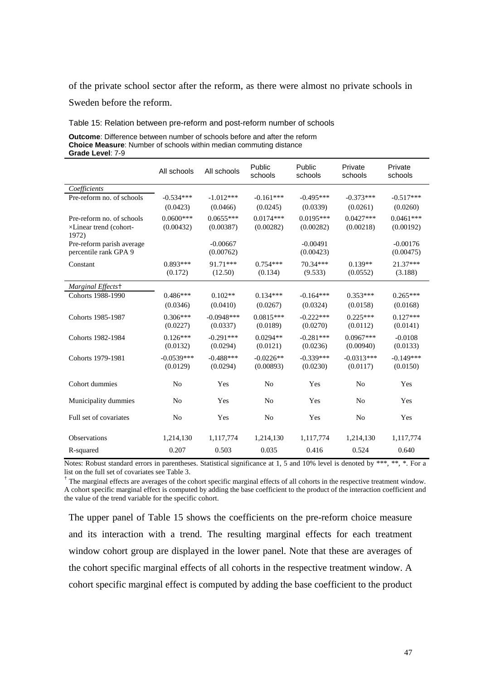of the private school sector after the reform, as there were almost no private schools in

Sweden before the reform.

<span id="page-48-0"></span>Table 15: Relation between pre-reform and post-reform number of schools

**Outcome**: Difference between number of schools before and after the reform **Choice Measure**: Number of schools within median commuting distance **Grade Level**: 7-9

|                                 | All schools    | All schools  | Public<br>schools | Public<br>schools | Private<br>schools | Private<br>schools |
|---------------------------------|----------------|--------------|-------------------|-------------------|--------------------|--------------------|
| Coefficients                    |                |              |                   |                   |                    |                    |
| Pre-reform no. of schools       | $-0.534***$    | $-1.012***$  | $-0.161***$       | $-0.495***$       | $-0.373***$        | $-0.517***$        |
|                                 | (0.0423)       | (0.0466)     | (0.0245)          | (0.0339)          | (0.0261)           | (0.0260)           |
| Pre-reform no. of schools       | $0.0600***$    | $0.0655***$  | $0.0174***$       | $0.0195***$       | $0.0427***$        | $0.0461***$        |
| ×Linear trend (cohort-<br>1972) | (0.00432)      | (0.00387)    | (0.00282)         | (0.00282)         | (0.00218)          | (0.00192)          |
| Pre-reform parish average       |                | $-0.00667$   |                   | $-0.00491$        |                    | $-0.00176$         |
| percentile rank GPA 9           |                | (0.00762)    |                   | (0.00423)         |                    | (0.00475)          |
| Constant                        | $0.893***$     | 91.71***     | $0.754***$        | 70.34***          | $0.139**$          | $21.37***$         |
|                                 | (0.172)        | (12.50)      | (0.134)           | (9.533)           | (0.0552)           | (3.188)            |
| Marginal Effects+               |                |              |                   |                   |                    |                    |
| Cohorts 1988-1990               | $0.486***$     | $0.102**$    | $0.134***$        | $-0.164***$       | $0.353***$         | $0.265***$         |
|                                 | (0.0346)       | (0.0410)     | (0.0267)          | (0.0324)          | (0.0158)           | (0.0168)           |
| Cohorts 1985-1987               | $0.306***$     | $-0.0948***$ | $0.0815***$       | $-0.222***$       | $0.225***$         | $0.127***$         |
|                                 | (0.0227)       | (0.0337)     | (0.0189)          | (0.0270)          | (0.0112)           | (0.0141)           |
| Cohorts 1982-1984               | $0.126***$     | $-0.291***$  | $0.0294**$        | $-0.281***$       | $0.0967***$        | $-0.0108$          |
|                                 | (0.0132)       | (0.0294)     | (0.0121)          | (0.0236)          | (0.00940)          | (0.0133)           |
| Cohorts 1979-1981               | $-0.0539***$   | $-0.488***$  | $-0.0226**$       | $-0.339***$       | $-0.0313***$       | $-0.149***$        |
|                                 | (0.0129)       | (0.0294)     | (0.00893)         | (0.0230)          | (0.0117)           | (0.0150)           |
| Cohort dummies                  | N <sub>o</sub> | Yes          | N <sub>o</sub>    | Yes               | N <sub>0</sub>     | Yes                |
| Municipality dummies            | N <sub>0</sub> | Yes          | N <sub>0</sub>    | Yes               | N <sub>0</sub>     | Yes                |
| Full set of covariates          | N <sub>o</sub> | Yes          | No                | Yes               | N <sub>0</sub>     | Yes                |
| <b>Observations</b>             | 1,214,130      | 1,117,774    | 1,214,130         | 1,117,774         | 1,214,130          | 1,117,774          |
| R-squared                       | 0.207          | 0.503        | 0.035             | 0.416             | 0.524              | 0.640              |

Notes: Robust standard errors in parentheses. Statistical significance at 1, 5 and 10% level is denoted by \*\*\*, \*\*, \*. For a list on the full set of covariates see Table 3.

<sup>+</sup> The marginal effects are averages of the cohort specific marginal effects of all cohorts in the respective treatment window. A cohort specific marginal effect is computed by adding the base coefficient to the product of the interaction coefficient and the value of the trend variable for the specific cohort.

The upper panel of [Table 15](#page-48-0) shows the coefficients on the pre-reform choice measure and its interaction with a trend. The resulting marginal effects for each treatment window cohort group are displayed in the lower panel. Note that these are averages of the cohort specific marginal effects of all cohorts in the respective treatment window. A cohort specific marginal effect is computed by adding the base coefficient to the product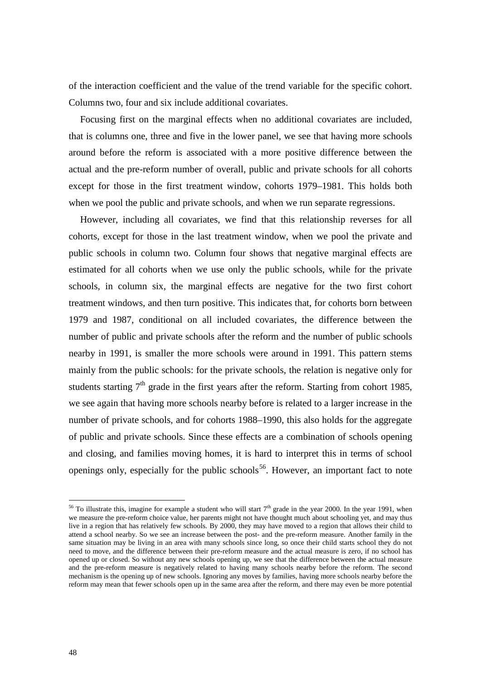of the interaction coefficient and the value of the trend variable for the specific cohort. Columns two, four and six include additional covariates.

Focusing first on the marginal effects when no additional covariates are included, that is columns one, three and five in the lower panel, we see that having more schools around before the reform is associated with a more positive difference between the actual and the pre-reform number of overall, public and private schools for all cohorts except for those in the first treatment window, cohorts 1979–1981. This holds both when we pool the public and private schools, and when we run separate regressions.

However, including all covariates, we find that this relationship reverses for all cohorts, except for those in the last treatment window, when we pool the private and public schools in column two. Column four shows that negative marginal effects are estimated for all cohorts when we use only the public schools, while for the private schools, in column six, the marginal effects are negative for the two first cohort treatment windows, and then turn positive. This indicates that, for cohorts born between 1979 and 1987, conditional on all included covariates, the difference between the number of public and private schools after the reform and the number of public schools nearby in 1991, is smaller the more schools were around in 1991. This pattern stems mainly from the public schools: for the private schools, the relation is negative only for students starting  $7<sup>th</sup>$  grade in the first years after the reform. Starting from cohort 1985, we see again that having more schools nearby before is related to a larger increase in the number of private schools, and for cohorts 1988–1990, this also holds for the aggregate of public and private schools. Since these effects are a combination of schools opening and closing, and families moving homes, it is hard to interpret this in terms of school openings only, especially for the public schools<sup>[56](#page-47-2)</sup>. However, an important fact to note

<span id="page-49-0"></span><sup>&</sup>lt;sup>56</sup> To illustrate this, imagine for example a student who will start  $7<sup>th</sup>$  grade in the year 2000. In the year 1991, when we measure the pre-reform choice value, her parents might not have thought much about schooling yet, and may thus live in a region that has relatively few schools. By 2000, they may have moved to a region that allows their child to attend a school nearby. So we see an increase between the post- and the pre-reform measure. Another family in the same situation may be living in an area with many schools since long, so once their child starts school they do not need to move, and the difference between their pre-reform measure and the actual measure is zero, if no school has opened up or closed. So without any new schools opening up, we see that the difference between the actual measure and the pre-reform measure is negatively related to having many schools nearby before the reform. The second mechanism is the opening up of new schools. Ignoring any moves by families, having more schools nearby before the reform may mean that fewer schools open up in the same area after the reform, and there may even be more potential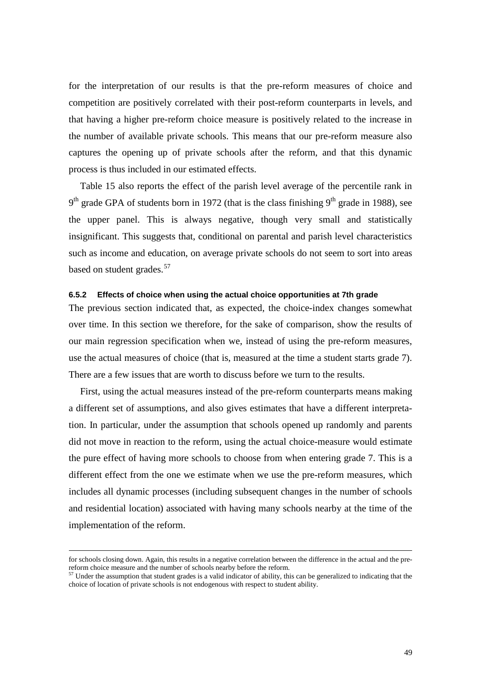for the interpretation of our results is that the pre-reform measures of choice and competition are positively correlated with their post-reform counterparts in levels, and that having a higher pre-reform choice measure is positively related to the increase in the number of available private schools. This means that our pre-reform measure also captures the opening up of private schools after the reform, and that this dynamic process is thus included in our estimated effects.

[Table 15](#page-48-0) also reports the effect of the parish level average of the percentile rank in  $9<sup>th</sup>$  grade GPA of students born in 1972 (that is the class finishing  $9<sup>th</sup>$  grade in 1988), see the upper panel. This is always negative, though very small and statistically insignificant. This suggests that, conditional on parental and parish level characteristics such as income and education, on average private schools do not seem to sort into areas based on student grades.<sup>[57](#page-49-0)</sup>

### **6.5.2 Effects of choice when using the actual choice opportunities at 7th grade**

The previous section indicated that, as expected, the choice-index changes somewhat over time. In this section we therefore, for the sake of comparison, show the results of our main regression specification when we, instead of using the pre-reform measures, use the actual measures of choice (that is, measured at the time a student starts grade 7). There are a few issues that are worth to discuss before we turn to the results.

First, using the actual measures instead of the pre-reform counterparts means making a different set of assumptions, and also gives estimates that have a different interpretation. In particular, under the assumption that schools opened up randomly and parents did not move in reaction to the reform, using the actual choice-measure would estimate the pure effect of having more schools to choose from when entering grade 7. This is a different effect from the one we estimate when we use the pre-reform measures, which includes all dynamic processes (including subsequent changes in the number of schools and residential location) associated with having many schools nearby at the time of the implementation of the reform.

<span id="page-50-0"></span>for schools closing down. Again, this results in a negative correlation between the difference in the actual and the prereform choice measure and the number of schools nearby before the reform.

 $57$  Under the assumption that student grades is a valid indicator of ability, this can be generalized to indicating that the choice of location of private schools is not endogenous with respect to student ability.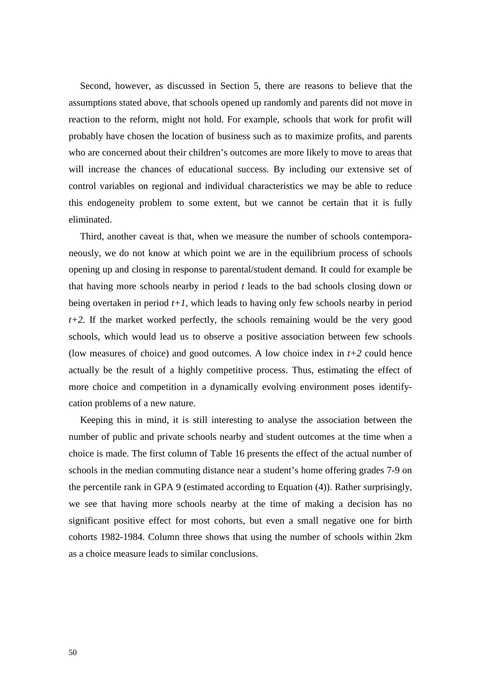Second, however, as discussed in Section [5,](#page-19-0) there are reasons to believe that the assumptions stated above, that schools opened up randomly and parents did not move in reaction to the reform, might not hold. For example, schools that work for profit will probably have chosen the location of business such as to maximize profits, and parents who are concerned about their children's outcomes are more likely to move to areas that will increase the chances of educational success. By including our extensive set of control variables on regional and individual characteristics we may be able to reduce this endogeneity problem to some extent, but we cannot be certain that it is fully eliminated.

Third, another caveat is that, when we measure the number of schools contemporaneously, we do not know at which point we are in the equilibrium process of schools opening up and closing in response to parental/student demand. It could for example be that having more schools nearby in period *t* leads to the bad schools closing down or being overtaken in period *t+1*, which leads to having only few schools nearby in period *t+2*. If the market worked perfectly, the schools remaining would be the very good schools, which would lead us to observe a positive association between few schools (low measures of choice) and good outcomes. A low choice index in  $t+2$  could hence actually be the result of a highly competitive process. Thus, estimating the effect of more choice and competition in a dynamically evolving environment poses identifycation problems of a new nature.

Keeping this in mind, it is still interesting to analyse the association between the number of public and private schools nearby and student outcomes at the time when a choice is made. The first column of [Table 16](#page-52-0) presents the effect of the actual number of schools in the median commuting distance near a student's home offering grades 7-9 on the percentile rank in GPA 9 (estimated according to Equation [\(4\)](#page-23-0)). Rather surprisingly, we see that having more schools nearby at the time of making a decision has no significant positive effect for most cohorts, but even a small negative one for birth cohorts 1982-1984. Column three shows that using the number of schools within 2km as a choice measure leads to similar conclusions.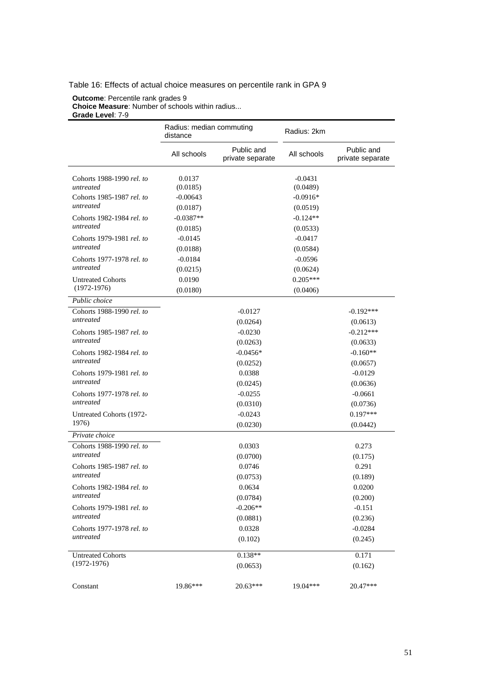## <span id="page-52-0"></span>Table 16: Effects of actual choice measures on percentile rank in GPA 9

#### **Outcome**: Percentile rank grades 9 **Choice Measure**: Number of schools within radius... **Grade Level**: 7-9

|                                             | Radius: median commuting<br>distance |                                | Radius: 2km            |                                |
|---------------------------------------------|--------------------------------------|--------------------------------|------------------------|--------------------------------|
|                                             | All schools                          | Public and<br>private separate | All schools            | Public and<br>private separate |
| Cohorts 1988-1990 rel. to<br>untreated      | 0.0137<br>(0.0185)                   |                                | $-0.0431$<br>(0.0489)  |                                |
| Cohorts 1985-1987 rel. to<br>untreated      | $-0.00643$<br>(0.0187)               |                                | $-0.0916*$<br>(0.0519) |                                |
| Cohorts 1982-1984 rel. to<br>untreated      | $-0.0387**$<br>(0.0185)              |                                | $-0.124**$<br>(0.0533) |                                |
| Cohorts 1979-1981 rel. to<br>untreated      | $-0.0145$<br>(0.0188)                |                                | $-0.0417$<br>(0.0584)  |                                |
| Cohorts 1977-1978 rel. to<br>untreated      | $-0.0184$<br>(0.0215)                |                                | $-0.0596$<br>(0.0624)  |                                |
| <b>Untreated Cohorts</b><br>$(1972 - 1976)$ | 0.0190<br>(0.0180)                   |                                | $0.205***$<br>(0.0406) |                                |
| Public choice                               |                                      |                                |                        |                                |
| Cohorts 1988-1990 rel. to                   |                                      | $-0.0127$                      |                        | $-0.192***$                    |
| untreated                                   |                                      | (0.0264)                       |                        | (0.0613)                       |
| Cohorts 1985-1987 rel. to                   |                                      | $-0.0230$                      |                        | $-0.212***$                    |
| untreated                                   |                                      | (0.0263)                       |                        | (0.0633)                       |
| Cohorts 1982-1984 rel. to<br>untreated      |                                      | $-0.0456*$                     |                        | $-0.160**$                     |
| Cohorts 1979-1981 rel. to                   |                                      | (0.0252)<br>0.0388             |                        | (0.0657)<br>$-0.0129$          |
| untreated                                   |                                      | (0.0245)                       |                        | (0.0636)                       |
| Cohorts 1977-1978 rel. to                   |                                      | $-0.0255$                      |                        | $-0.0661$                      |
| untreated                                   |                                      | (0.0310)                       |                        | (0.0736)                       |
| Untreated Cohorts (1972-                    |                                      | $-0.0243$                      |                        | $0.197***$                     |
| 1976)                                       |                                      | (0.0230)                       |                        | (0.0442)                       |
| Private choice                              |                                      |                                |                        |                                |
| Cohorts 1988-1990 rel. to                   |                                      | 0.0303                         |                        | 0.273                          |
| untreated                                   |                                      | (0.0700)                       |                        | (0.175)                        |
| Cohorts 1985-1987 rel. to<br>untreated      |                                      | 0.0746                         |                        | 0.291                          |
|                                             |                                      | (0.0753)                       |                        | (0.189)                        |
| Cohorts 1982-1984 rel. to<br>untreated      |                                      | 0.0634                         |                        | 0.0200                         |
|                                             |                                      | (0.0784)<br>$-0.206**$         |                        | (0.200)<br>$-0.151$            |
| Cohorts 1979-1981 rel. to<br>untreated      |                                      | (0.0881)                       |                        | (0.236)                        |
| Cohorts 1977-1978 rel. to                   |                                      | 0.0328                         |                        | $-0.0284$                      |
| untreated                                   |                                      | (0.102)                        |                        | (0.245)                        |
| <b>Untreated Cohorts</b>                    |                                      | $0.138**$                      |                        | 0.171                          |
| $(1972-1976)$                               |                                      | (0.0653)                       |                        | (0.162)                        |
| Constant                                    | 19.86***                             | $20.63***$                     | 19.04***               | 20.47***                       |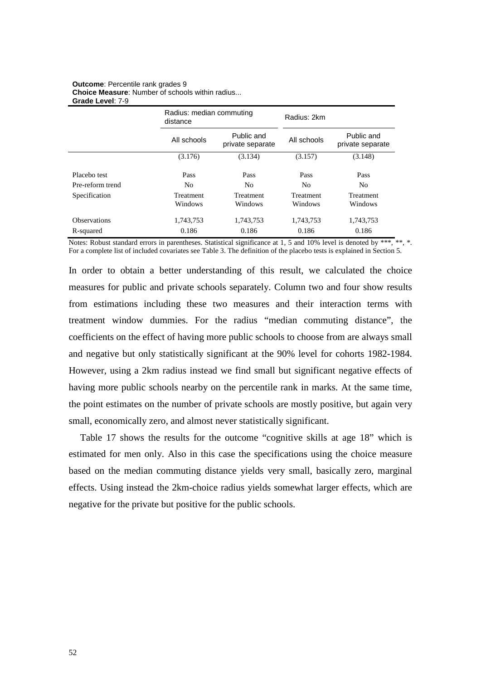#### **Outcome**: Percentile rank grades 9 **Choice Measure**: Number of schools within radius... **Grade Level**: 7-9

|                     | Radius: median commuting<br>distance |                                | Radius: 2km          |                                |  |
|---------------------|--------------------------------------|--------------------------------|----------------------|--------------------------------|--|
|                     | All schools                          | Public and<br>private separate | All schools          | Public and<br>private separate |  |
|                     | (3.176)                              | (3.134)                        | (3.157)              | (3.148)                        |  |
| Placebo test        | Pass                                 | Pass                           | Pass                 | Pass                           |  |
| Pre-reform trend    | N <sub>0</sub>                       | N <sub>0</sub>                 | No                   | No                             |  |
| Specification       | Treatment<br>Windows                 | Treatment<br>Windows           | Treatment<br>Windows | Treatment<br>Windows           |  |
| <b>Observations</b> | 1,743,753                            | 1,743,753                      | 1,743,753            | 1,743,753                      |  |
| R-squared           | 0.186                                | 0.186                          | 0.186                | 0.186                          |  |

Notes: Robust standard errors in parentheses. Statistical significance at 1, 5 and 10% level is denoted by \*\*\*, \*\*, \*. For a complete list of included covariates see Table 3. The definition of the placebo tests is explained in Section 5.

In order to obtain a better understanding of this result, we calculated the choice measures for public and private schools separately. Column two and four show results from estimations including these two measures and their interaction terms with treatment window dummies. For the radius "median commuting distance", the coefficients on the effect of having more public schools to choose from are always small and negative but only statistically significant at the 90% level for cohorts 1982-1984. However, using a 2km radius instead we find small but significant negative effects of having more public schools nearby on the percentile rank in marks. At the same time, the point estimates on the number of private schools are mostly positive, but again very small, economically zero, and almost never statistically significant.

Table 17 shows the results for the outcome "cognitive skills at age 18" which is estimated for men only. Also in this case the specifications using the choice measure based on the median commuting distance yields very small, basically zero, marginal effects. Using instead the 2km-choice radius yields somewhat larger effects, which are negative for the private but positive for the public schools.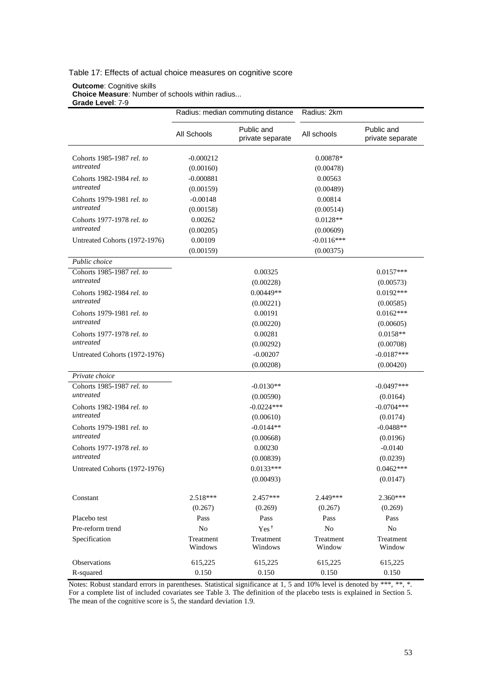### Table 17: Effects of actual choice measures on cognitive score

**Outcome**: Cognitive skills **Choice Measure**: Number of schools within radius... **Grade Level**: 7-9

|                                        | Radius: median commuting distance |                                | Radius: 2km           |                                |
|----------------------------------------|-----------------------------------|--------------------------------|-----------------------|--------------------------------|
|                                        | All Schools                       | Public and<br>private separate | All schools           | Public and<br>private separate |
| Cohorts 1985-1987 rel. to<br>untreated | $-0.000212$<br>(0.00160)          |                                | 0.00878*<br>(0.00478) |                                |
| Cohorts 1982-1984 rel. to              | $-0.000881$                       |                                | 0.00563               |                                |
| untreated                              | (0.00159)                         |                                | (0.00489)             |                                |
| Cohorts 1979-1981 rel. to              | $-0.00148$                        |                                | 0.00814               |                                |
| untreated                              | (0.00158)                         |                                | (0.00514)             |                                |
| Cohorts 1977-1978 rel. to              | 0.00262                           |                                | $0.0128**$            |                                |
| untreated                              | (0.00205)                         |                                | (0.00609)             |                                |
| Untreated Cohorts (1972-1976)          | 0.00109                           |                                | $-0.0116***$          |                                |
|                                        | (0.00159)                         |                                | (0.00375)             |                                |
| Public choice                          |                                   |                                |                       |                                |
| Cohorts 1985-1987 rel. to              |                                   | 0.00325                        |                       | $0.0157***$                    |
| untreated                              |                                   | (0.00228)                      |                       | (0.00573)                      |
| Cohorts 1982-1984 rel. to              |                                   | $0.00449**$                    |                       | $0.0192***$                    |
| untreated                              |                                   | (0.00221)                      |                       | (0.00585)                      |
| Cohorts 1979-1981 rel. to              |                                   | 0.00191                        |                       | $0.0162***$                    |
| untreated                              |                                   | (0.00220)                      |                       | (0.00605)                      |
| Cohorts 1977-1978 rel. to              |                                   | 0.00281                        |                       | $0.0158**$                     |
| untreated                              |                                   | (0.00292)                      |                       | (0.00708)                      |
| Untreated Cohorts (1972-1976)          |                                   | $-0.00207$                     |                       | $-0.0187***$                   |
|                                        |                                   | (0.00208)                      |                       | (0.00420)                      |
| Private choice                         |                                   |                                |                       |                                |
| Cohorts 1985-1987 rel. to              |                                   | $-0.0130**$                    |                       | $-0.0497***$                   |
| untreated                              |                                   | (0.00590)                      |                       | (0.0164)                       |
| Cohorts 1982-1984 rel. to              |                                   | $-0.0224***$                   |                       | $-0.0704***$                   |
| untreated                              |                                   | (0.00610)                      |                       | (0.0174)                       |
| Cohorts 1979-1981 rel. to              |                                   | $-0.0144**$                    |                       | $-0.0488**$                    |
| untreated                              |                                   | (0.00668)                      |                       | (0.0196)                       |
| Cohorts 1977-1978 rel. to<br>untreated |                                   | 0.00230                        |                       | $-0.0140$                      |
|                                        |                                   | (0.00839)                      |                       | (0.0239)                       |
| Untreated Cohorts (1972-1976)          |                                   | $0.0133***$                    |                       | $0.0462***$                    |
|                                        |                                   | (0.00493)                      |                       | (0.0147)                       |
| Constant                               | 2.518***                          | 2.457***                       | 2.449***              | $2.360***$                     |
|                                        | (0.267)                           | (0.269)                        | (0.267)               | (0.269)                        |
| Placebo test                           | Pass                              | Pass                           | Pass                  | Pass                           |
| Pre-reform trend                       | $\rm No$                          | Yes <sup>†</sup>               | ${\rm No}$            | $\rm No$                       |
| Specification                          | Treatment                         | Treatment                      | Treatment             | Treatment                      |
|                                        | Windows                           | Windows                        | Window                | Window                         |
| Observations                           | 615,225                           | 615,225                        | 615,225               | 615,225                        |
| R-squared                              | 0.150                             | 0.150                          | 0.150                 | 0.150                          |

Notes: Robust standard errors in parentheses. Statistical significance at 1, 5 and 10% level is denoted by \*\*\*, \*\*, \*. For a complete list of included covariates see Table 3. The definition of the placebo tests is explained in Section 5. The mean of the cognitive score is 5, the standard deviation 1.9.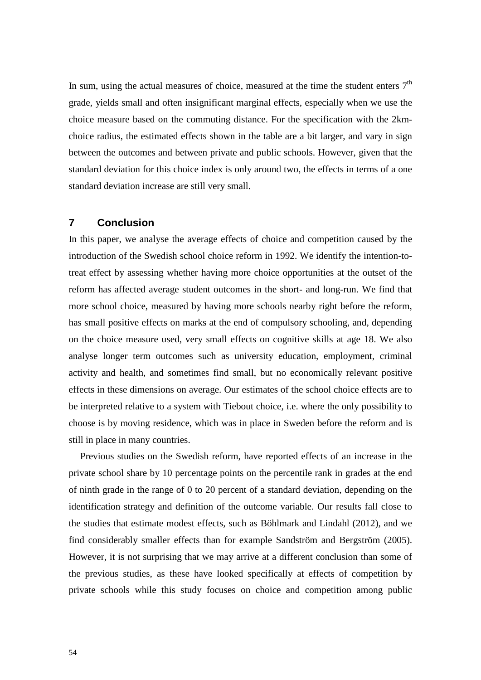In sum, using the actual measures of choice, measured at the time the student enters  $7<sup>th</sup>$ grade, yields small and often insignificant marginal effects, especially when we use the choice measure based on the commuting distance. For the specification with the 2kmchoice radius, the estimated effects shown in the table are a bit larger, and vary in sign between the outcomes and between private and public schools. However, given that the standard deviation for this choice index is only around two, the effects in terms of a one standard deviation increase are still very small.

# **7 Conclusion**

In this paper, we analyse the average effects of choice and competition caused by the introduction of the Swedish school choice reform in 1992. We identify the intention-totreat effect by assessing whether having more choice opportunities at the outset of the reform has affected average student outcomes in the short- and long-run. We find that more school choice, measured by having more schools nearby right before the reform, has small positive effects on marks at the end of compulsory schooling, and, depending on the choice measure used, very small effects on cognitive skills at age 18. We also analyse longer term outcomes such as university education, employment, criminal activity and health, and sometimes find small, but no economically relevant positive effects in these dimensions on average. Our estimates of the school choice effects are to be interpreted relative to a system with Tiebout choice, i.e. where the only possibility to choose is by moving residence, which was in place in Sweden before the reform and is still in place in many countries.

Previous studies on the Swedish reform, have reported effects of an increase in the private school share by 10 percentage points on the percentile rank in grades at the end of ninth grade in the range of 0 to 20 percent of a standard deviation, depending on the identification strategy and definition of the outcome variable. Our results fall close to the studies that estimate modest effects, such as Böhlmark and Lindahl (2012), and we find considerably smaller effects than for example Sandström and Bergström (2005). However, it is not surprising that we may arrive at a different conclusion than some of the previous studies, as these have looked specifically at effects of competition by private schools while this study focuses on choice and competition among public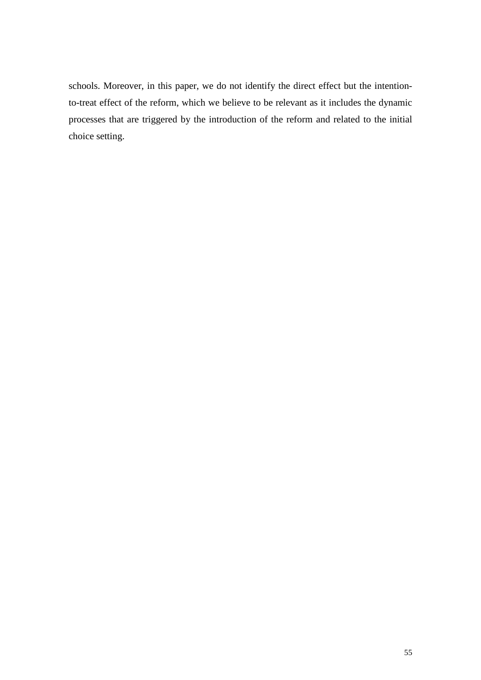schools. Moreover, in this paper, we do not identify the direct effect but the intentionto-treat effect of the reform, which we believe to be relevant as it includes the dynamic processes that are triggered by the introduction of the reform and related to the initial choice setting.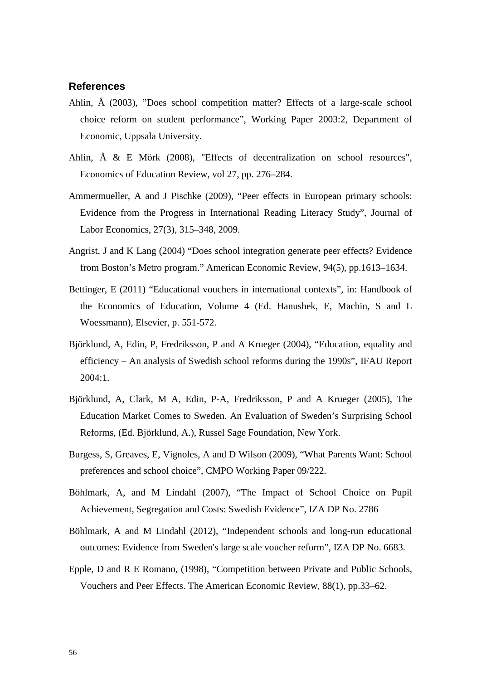# **References**

- Ahlin, Å (2003), "Does school competition matter? Effects of a large-scale school choice reform on student performance", Working Paper 2003:2, Department of Economic, Uppsala University.
- Ahlin, Å & E Mörk (2008), "Effects of decentralization on school resources", Economics of Education Review, vol 27, pp. 276–284.
- Ammermueller, A and J Pischke (2009), "Peer effects in European primary schools: Evidence from the Progress in International Reading Literacy Study", Journal of Labor Economics, 27(3), 315–348, 2009.
- Angrist, J and K Lang (2004) "Does school integration generate peer effects? Evidence from Boston's Metro program." American Economic Review, 94(5), pp.1613–1634.
- Bettinger, E (2011) "Educational vouchers in international contexts", in: Handbook of the Economics of Education, Volume 4 (Ed. Hanushek, E, Machin, S and L Woessmann), Elsevier, p. 551-572.
- Björklund, A, Edin, P, Fredriksson, P and A Krueger (2004), "Education, equality and efficiency – An analysis of Swedish school reforms during the 1990s", IFAU Report 2004:1.
- Björklund, A, Clark, M A, Edin, P-A, Fredriksson, P and A Krueger (2005), The Education Market Comes to Sweden. An Evaluation of Sweden's Surprising School Reforms, (Ed. Björklund, A.), Russel Sage Foundation, New York.
- Burgess, S, Greaves, E, Vignoles, A and D Wilson (2009), ["What Parents Want: School](http://www.bris.ac.uk/cmpo/publications/papers/2009/wp222.pdf)  [preferences and school choice"](http://www.bris.ac.uk/cmpo/publications/papers/2009/wp222.pdf), CMPO Working Paper 09/222.
- Böhlmark, A, and M Lindahl (2007), "The Impact of School Choice on Pupil Achievement, Segregation and Costs: Swedish Evidence", IZA DP No. 2786
- Böhlmark, A and M Lindahl (2012), "Independent schools and long-run educational outcomes: Evidence from Sweden's large scale voucher reform", IZA DP No. 6683.
- Epple, D and R E Romano, (1998), "Competition between Private and Public Schools, Vouchers and Peer Effects. The American Economic Review, 88(1), pp.33–62.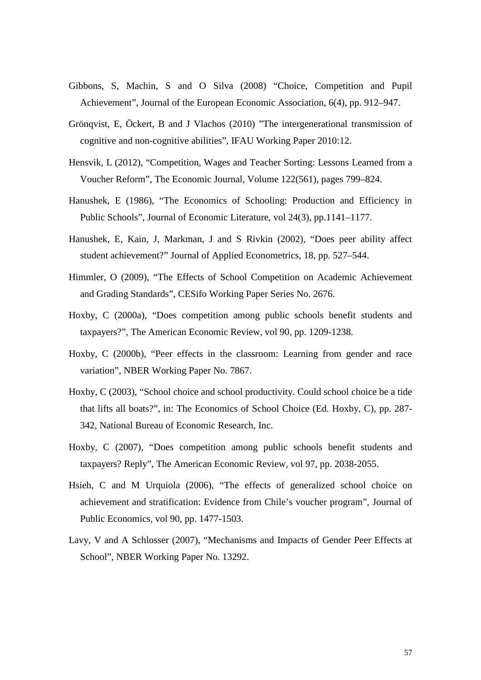- Gibbons, S, Machin, S and O Silva (2008) "Choice, Competition and Pupil Achievement", Journal of the European Economic Association, 6(4), pp. 912–947.
- Grönqvist, E, Öckert, B and J Vlachos (2010) "The intergenerational transmission of cognitive and non-cognitive abilities", IFAU Working Paper 2010:12.
- Hensvik, L (2012), "Competition, Wages and Teacher Sorting: Lessons Learned from a Voucher Reform", The Economic Journal, [Volume 122\(561\), p](http://onlinelibrary.wiley.com/doi/10.1111/ecoj.2012.122.issue-561/issuetoc)ages 799–824.
- Hanushek, E (1986), "The Economics of Schooling: Production and Efficiency in Public Schools", Journal of Economic Literature, vol 24(3), pp.1141–1177.
- Hanushek, E, Kain, J, Markman, J and S Rivkin (2002), "Does peer ability affect student achievement?" Journal of Applied Econometrics, 18, pp. 527–544.
- Himmler, O (2009), "The Effects of School Competition on Academic Achievement and Grading Standards", [CESifo Working Paper Series No. 2676.](http://papers.ssrn.com/sol3/papers.cfm?abstract_id=1427131##)
- Hoxby, C (2000a), "Does competition among public schools benefit students and taxpayers?", The American Economic Review, vol 90, pp. 1209-1238.
- Hoxby, C (2000b), "Peer effects in the classroom: Learning from gender and race variation", NBER Working Paper No. 7867.
- Hoxby, C (2003), "School choice and school productivity. Could school choice be a tide that lifts all boats?", in: The Economics of School Choice (Ed. Hoxby, C), pp. 287- 342, National Bureau of Economic Research, Inc.
- Hoxby, C (2007), "Does competition among public schools benefit students and taxpayers? Reply", The American Economic Review, vol 97, pp. 2038-2055.
- Hsieh, C and M Urquiola (2006), "The effects of generalized school choice on achievement and stratification: Evidence from Chile's voucher program", Journal of Public Economics, vol 90, pp. 1477-1503.
- [Lavy,](http://www.nber.org/people/victor_lavy) V and A Schlosser (2007), "Mechanisms and Impacts of Gender Peer Effects at School", NBER Working Paper No. 13292.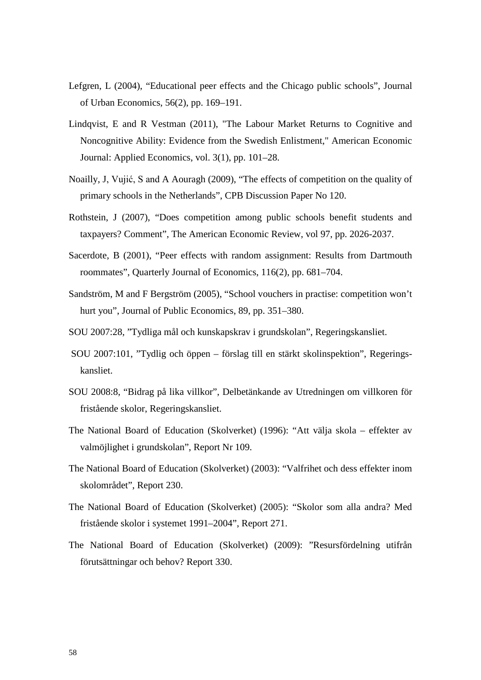- Lefgren, L (2004), "Educational peer effects and the Chicago public schools", Journal of Urban Economics, 56(2), pp. 169–191.
- Lindqvist, E and R Vestman (2011), ["The Labour Market Returns to Cognitive and](http://ideas.repec.org/a/aea/aejapp/v3y2011i1p101-28.html)  [Noncognitive Ability: Evidence from the Swedish Enlistment,](http://ideas.repec.org/a/aea/aejapp/v3y2011i1p101-28.html)" [American Economic](http://ideas.repec.org/s/aea/aejapp.html)  [Journal: Applied Economics,](http://ideas.repec.org/s/aea/aejapp.html) vol. 3(1), pp. 101–28.
- Noailly, J, Vujić, S and A Aouragh (2009), "The effects of competition on the quality of primary schools in the Netherlands", CPB Discussion Paper No 120.
- Rothstein, J (2007), "Does competition among public schools benefit students and taxpayers? Comment", The American Economic Review, vol 97, pp. 2026-2037.
- Sacerdote, B (2001), "Peer effects with random assignment: Results from Dartmouth roommates", Quarterly Journal of Economics, 116(2), pp. 681–704.
- Sandström, M and F Bergström (2005), "School vouchers in practise: competition won't hurt you", Journal of Public Economics, 89, pp. 351–380.
- SOU 2007:28, "Tydliga mål och kunskapskrav i grundskolan", Regeringskansliet.
- SOU 2007:101, "Tydlig och öppen förslag till en stärkt skolinspektion", Regeringskansliet.
- SOU 2008:8, "Bidrag på lika villkor", Delbetänkande av Utredningen om villkoren för fristående skolor, Regeringskansliet.
- The National Board of Education (Skolverket) (1996): "Att välja skola effekter av valmöjlighet i grundskolan", Report Nr 109.
- The National Board of Education (Skolverket) (2003): "Valfrihet och dess effekter inom skolområdet", Report 230.
- The National Board of Education (Skolverket) (2005): "Skolor som alla andra? Med fristående skolor i systemet 1991–2004", Report 271.
- The National Board of Education (Skolverket) (2009): "Resursfördelning utifrån förutsättningar och behov? Report 330.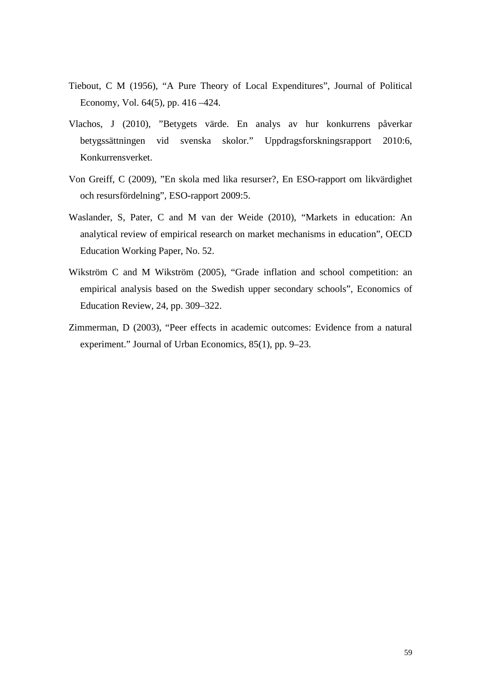- Tiebout, C M (1956), "A Pure Theory of Local Expenditures", Journal of Political Economy, Vol. 64(5), pp. 416 –424.
- Vlachos, J (2010), "Betygets värde. En analys av hur konkurrens påverkar betygssättningen vid svenska skolor." Uppdragsforskningsrapport 2010:6, Konkurrensverket.
- Von Greiff, C (2009), "En skola med lika resurser?, En ESO-rapport om likvärdighet och resursfördelning", ESO-rapport 2009:5.
- Waslander, S, Pater, C and M van der Weide (2010), "Markets in education: An analytical review of empirical research on market mechanisms in education", OECD Education Working Paper, No. 52.
- Wikström C and M Wikström (2005), "Grade inflation and school competition: an empirical analysis based on the Swedish upper secondary schools", Economics of Education Review, 24, pp. 309–322.
- Zimmerman, D (2003), "Peer effects in academic outcomes: Evidence from a natural experiment." Journal of Urban Economics, 85(1), pp. 9–23.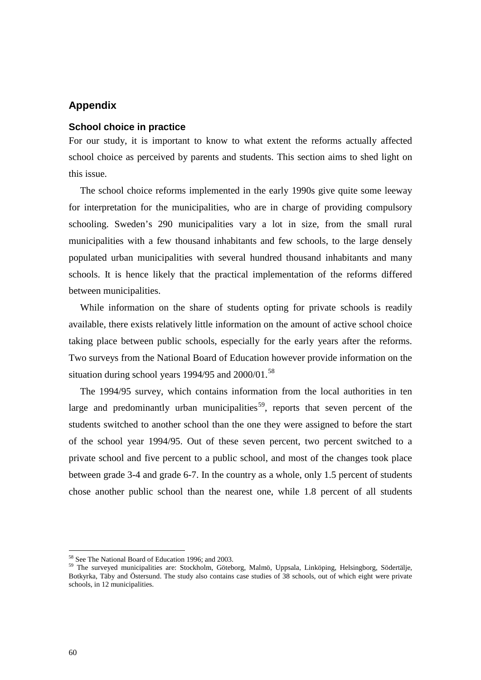# **Appendix**

# **School choice in practice**

For our study, it is important to know to what extent the reforms actually affected school choice as perceived by parents and students. This section aims to shed light on this issue.

The school choice reforms implemented in the early 1990s give quite some leeway for interpretation for the municipalities, who are in charge of providing compulsory schooling. Sweden's 290 municipalities vary a lot in size, from the small rural municipalities with a few thousand inhabitants and few schools, to the large densely populated urban municipalities with several hundred thousand inhabitants and many schools. It is hence likely that the practical implementation of the reforms differed between municipalities.

While information on the share of students opting for private schools is readily available, there exists relatively little information on the amount of active school choice taking place between public schools, especially for the early years after the reforms. Two surveys from the National Board of Education however provide information on the situation during school years 1994/95 and  $2000/01$ .<sup>[58](#page-50-0)</sup>

The 1994/95 survey, which contains information from the local authorities in ten large and predominantly urban municipalities<sup>59</sup>, reports that seven percent of the students switched to another school than the one they were assigned to before the start of the school year 1994/95. Out of these seven percent, two percent switched to a private school and five percent to a public school, and most of the changes took place between grade 3-4 and grade 6-7. In the country as a whole, only 1.5 percent of students chose another public school than the nearest one, while 1.8 percent of all students

<span id="page-61-1"></span><span id="page-61-0"></span> $58$  See The National Board of Education 1996; and 2003.<br> $59$  The surveyed municipalities are: Stockholm, Göteborg, Malmö, Uppsala, Linköping, Helsingborg, Södertälje, Botkyrka, Täby and Östersund. The study also contains case studies of 38 schools, out of which eight were private schools, in 12 municipalities.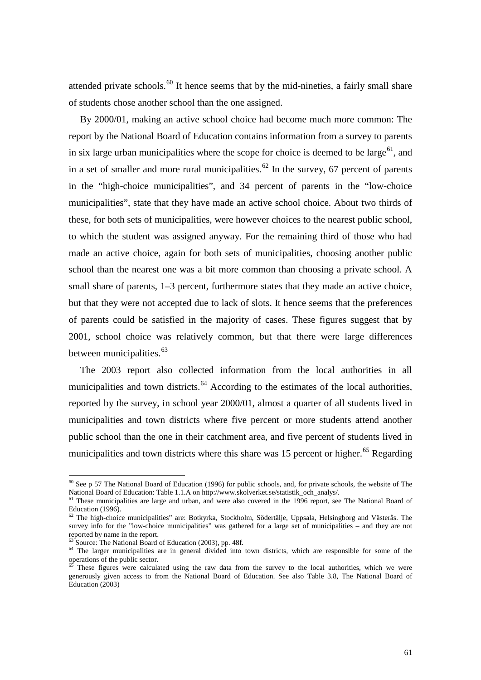attended private schools. $^{60}$  $^{60}$  $^{60}$  It hence seems that by the mid-nineties, a fairly small share of students chose another school than the one assigned.

By 2000/01, making an active school choice had become much more common: The report by the National Board of Education contains information from a survey to parents in six large urban municipalities where the scope for choice is deemed to be large<sup>[61](#page-62-0)</sup>, and in a set of smaller and more rural municipalities.<sup>[62](#page-62-1)</sup> In the survey, 67 percent of parents in the "high-choice municipalities", and 34 percent of parents in the "low-choice municipalities", state that they have made an active school choice. About two thirds of these, for both sets of municipalities, were however choices to the nearest public school, to which the student was assigned anyway. For the remaining third of those who had made an active choice, again for both sets of municipalities, choosing another public school than the nearest one was a bit more common than choosing a private school. A small share of parents, 1–3 percent, furthermore states that they made an active choice, but that they were not accepted due to lack of slots. It hence seems that the preferences of parents could be satisfied in the majority of cases. These figures suggest that by 2001, school choice was relatively common, but that there were large differences between municipalities.<sup>[63](#page-62-2)</sup>

The 2003 report also collected information from the local authorities in all municipalities and town districts. $^{64}$  $^{64}$  $^{64}$  According to the estimates of the local authorities, reported by the survey, in school year 2000/01, almost a quarter of all students lived in municipalities and town districts where five percent or more students attend another public school than the one in their catchment area, and five percent of students lived in municipalities and town districts where this share was 15 percent or higher.<sup>[65](#page-62-4)</sup> Regarding

<sup>&</sup>lt;sup>60</sup> See p 57 The National Board of Education (1996) for public schools, and, for private schools, the website of The National Board of Education: Table 1.1.A on http://www.skolverket.se/statistik och analys/.

<span id="page-62-0"></span>of These municipalities are large and urban, and were also covered in the 1996 report, see The National Board of<br>Education (1996).

<span id="page-62-1"></span> $^{62}$  The high-choice municipalities" are: Botkyrka, Stockholm, Södertälje, Uppsala, Helsingborg and Västerås. The survey info for the "low-choice municipalities" was gathered for a large set of municipalities – and they are not reported by name in the report.

<span id="page-62-3"></span><span id="page-62-2"></span> $\frac{63}{64}$  Source: The National Board of Education (2003), pp. 48f.  $\frac{64}{64}$  The larger municipalities are in general divided into town districts, which are responsible for some of the operations of the public sector.

<span id="page-62-5"></span><span id="page-62-4"></span>These figures were calculated using the raw data from the survey to the local authorities, which we were generously given access to from the National Board of Education. See also Table 3.8, The National Board of Education (2003)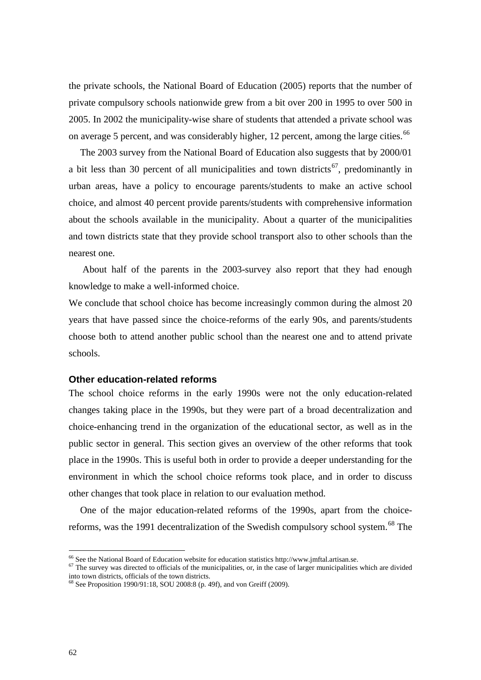the private schools, the National Board of Education (2005) reports that the number of private compulsory schools nationwide grew from a bit over 200 in 1995 to over 500 in 2005. In 2002 the municipality-wise share of students that attended a private school was on average 5 percent, and was considerably higher, 12 percent, among the large cities.<sup>[66](#page-62-5)</sup>

The 2003 survey from the National Board of Education also suggests that by 2000/01 a bit less than 30 percent of all municipalities and town districts<sup>67</sup>, predominantly in urban areas, have a policy to encourage parents/students to make an active school choice, and almost 40 percent provide parents/students with comprehensive information about the schools available in the municipality. About a quarter of the municipalities and town districts state that they provide school transport also to other schools than the nearest one.

About half of the parents in the 2003-survey also report that they had enough knowledge to make a well-informed choice.

We conclude that school choice has become increasingly common during the almost 20 years that have passed since the choice-reforms of the early 90s, and parents/students choose both to attend another public school than the nearest one and to attend private schools.

## **Other education-related reforms**

<span id="page-63-2"></span>The school choice reforms in the early 1990s were not the only education-related changes taking place in the 1990s, but they were part of a broad decentralization and choice-enhancing trend in the organization of the educational sector, as well as in the public sector in general. This section gives an overview of the other reforms that took place in the 1990s. This is useful both in order to provide a deeper understanding for the environment in which the school choice reforms took place, and in order to discuss other changes that took place in relation to our evaluation method.

One of the major education-related reforms of the 1990s, apart from the choice-reforms, was the 1991 decentralization of the Swedish compulsory school system.<sup>[68](#page-63-1)</sup> The

<span id="page-63-0"></span><sup>&</sup>lt;sup>66</sup> See the National Board of Education website for education statistics http://www.jmftal.artisan.se.  $67$  The survey was directed to officials of the municipalities, or, in the case of larger municipalities which are d into town districts, officials of the town districts.

<span id="page-63-1"></span><sup>&</sup>lt;sup>68</sup> See Proposition 1990/91:18, SOU 2008:8 (p. 49f), and von Greiff (2009).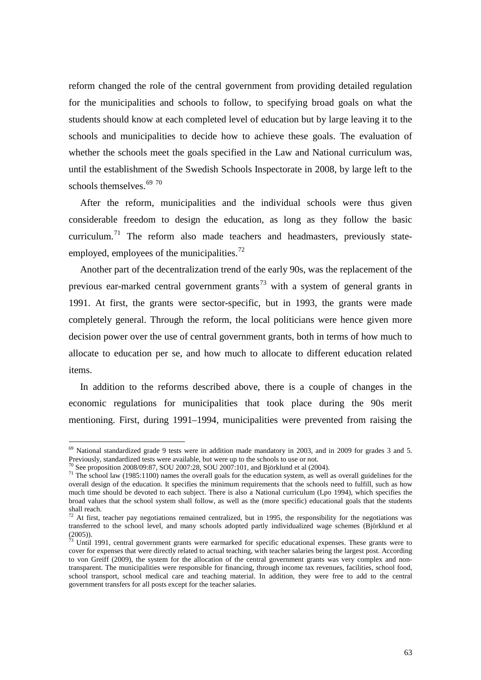reform changed the role of the central government from providing detailed regulation for the municipalities and schools to follow, to specifying broad goals on what the students should know at each completed level of education but by large leaving it to the schools and municipalities to decide how to achieve these goals. The evaluation of whether the schools meet the goals specified in the Law and National curriculum was, until the establishment of the Swedish Schools Inspectorate in 2008, by large left to the schools themselves.<sup>[69](#page-63-2) [70](#page-64-0)</sup>

After the reform, municipalities and the individual schools were thus given considerable freedom to design the education, as long as they follow the basic curriculum.<sup>[71](#page-64-1)</sup> The reform also made teachers and headmasters, previously state-employed, employees of the municipalities.<sup>[72](#page-64-2)</sup>

Another part of the decentralization trend of the early 90s, was the replacement of the previous ear-marked central government grants<sup>[73](#page-64-3)</sup> with a system of general grants in 1991. At first, the grants were sector-specific, but in 1993, the grants were made completely general. Through the reform, the local politicians were hence given more decision power over the use of central government grants, both in terms of how much to allocate to education per se, and how much to allocate to different education related items.

In addition to the reforms described above, there is a couple of changes in the economic regulations for municipalities that took place during the 90s merit mentioning. First, during 1991–1994, municipalities were prevented from raising the

 $^{69}$  National standardized grade 9 tests were in addition made mandatory in 2003, and in 2009 for grades 3 and 5. Previously, standardized tests were available, but were up to the schools to use or not.<br><sup>70</sup> See proposition 2008/09:87, SOU 2007:28, SOU 2007:101, and Björklund et al (2004).

<span id="page-64-1"></span><span id="page-64-0"></span><sup>&</sup>lt;sup>71</sup> The school law (1985:1100) names the overall goals for the education system, as well as overall guidelines for the overall design of the education. It specifies the minimum requirements that the schools need to fulfill, such as how much time should be devoted to each subject. There is also a National curriculum (Lpo 1994), which specifies the broad values that the school system shall follow, as well as the (more specific) educational goals that the students shall reach.

<span id="page-64-2"></span> $72$  At first, teacher pay negotiations remained centralized, but in 1995, the responsibility for the negotiations was transferred to the school level, and many schools adopted partly individualized wage schemes (Björklund et al  $(2005)$ ).

<span id="page-64-3"></span> $7<sup>3</sup>$  Until 1991, central government grants were earmarked for specific educational expenses. These grants were to cover for expenses that were directly related to actual teaching, with teacher salaries being the largest post. According to von Greiff (2009), the system for the allocation of the central government grants was very complex and nontransparent. The municipalities were responsible for financing, through income tax revenues, facilities, school food, school transport, school medical care and teaching material. In addition, they were free to add to the central government transfers for all posts except for the teacher salaries.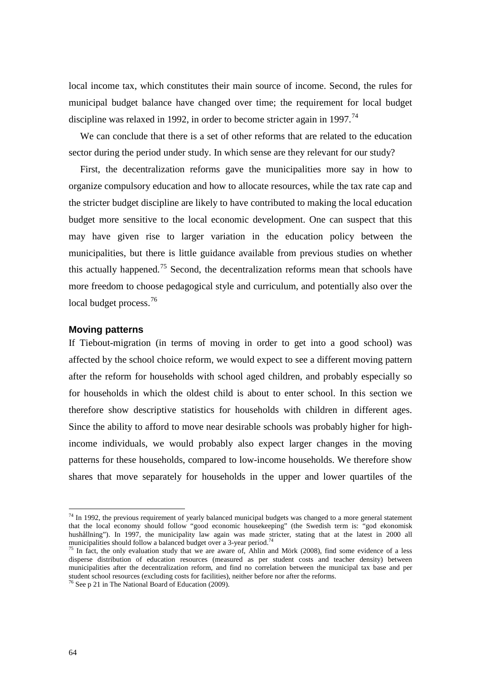local income tax, which constitutes their main source of income. Second, the rules for municipal budget balance have changed over time; the requirement for local budget discipline was relaxed in 1992, in order to become stricter again in 1997.<sup>[74](#page-64-2)</sup>

We can conclude that there is a set of other reforms that are related to the education sector during the period under study. In which sense are they relevant for our study?

First, the decentralization reforms gave the municipalities more say in how to organize compulsory education and how to allocate resources, while the tax rate cap and the stricter budget discipline are likely to have contributed to making the local education budget more sensitive to the local economic development. One can suspect that this may have given rise to larger variation in the education policy between the municipalities, but there is little guidance available from previous studies on whether this actually happened.<sup>[75](#page-65-0)</sup> Second, the decentralization reforms mean that schools have more freedom to choose pedagogical style and curriculum, and potentially also over the local budget process.<sup>[76](#page-65-1)</sup>

### **Moving patterns**

If Tiebout-migration (in terms of moving in order to get into a good school) was affected by the school choice reform, we would expect to see a different moving pattern after the reform for households with school aged children, and probably especially so for households in which the oldest child is about to enter school. In this section we therefore show descriptive statistics for households with children in different ages. Since the ability to afford to move near desirable schools was probably higher for highincome individuals, we would probably also expect larger changes in the moving patterns for these households, compared to low-income households. We therefore show shares that move separately for households in the upper and lower quartiles of the

 $74$  In 1992, the previous requirement of yearly balanced municipal budgets was changed to a more general statement that the local economy should follow "good economic housekeeping" (the Swedish term is: "god ekonomisk hushållning"). In 1997, the municipality law again was made stricter, stating that at the latest in 2000 all municipalities should follow a balanced budget over a 3-year period.<sup>74</sup>

<span id="page-65-0"></span><sup>&</sup>lt;sup>75</sup> In fact, the only evaluation study that we are aware of, Ahlin and Mörk (2008), find some evidence of a less disperse distribution of education resources (measured as per student costs and teacher density) between municipalities after the decentralization reform, and find no correlation between the municipal tax base and per student school resources (excluding costs for facilities), neither before nor after the reforms.

<span id="page-65-2"></span><span id="page-65-1"></span> $\frac{76}{76}$  See p 21 in The National Board of Education (2009).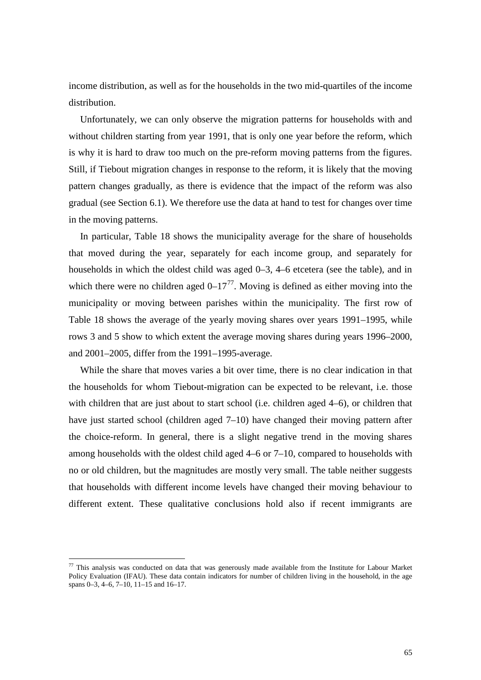income distribution, as well as for the households in the two mid-quartiles of the income distribution.

Unfortunately, we can only observe the migration patterns for households with and without children starting from year 1991, that is only one year before the reform, which is why it is hard to draw too much on the pre-reform moving patterns from the figures. Still, if Tiebout migration changes in response to the reform, it is likely that the moving pattern changes gradually, as there is evidence that the impact of the reform was also gradual (see Section [6.1\)](#page-24-0). We therefore use the data at hand to test for changes over time in the moving patterns.

In particular, [Table 18](#page-67-0) shows the municipality average for the share of households that moved during the year, separately for each income group, and separately for households in which the oldest child was aged 0–3, 4–6 etcetera (see the table), and in which there were no children aged  $0-17^{77}$ . Moving is defined as either moving into the municipality or moving between parishes within the municipality. The first row of [Table 18](#page-67-0) shows the average of the yearly moving shares over years 1991–1995, while rows 3 and 5 show to which extent the average moving shares during years 1996–2000, and 2001–2005, differ from the 1991–1995-average.

While the share that moves varies a bit over time, there is no clear indication in that the households for whom Tiebout-migration can be expected to be relevant, i.e. those with children that are just about to start school (i.e. children aged 4–6), or children that have just started school (children aged 7–10) have changed their moving pattern after the choice-reform. In general, there is a slight negative trend in the moving shares among households with the oldest child aged 4–6 or 7–10, compared to households with no or old children, but the magnitudes are mostly very small. The table neither suggests that households with different income levels have changed their moving behaviour to different extent. These qualitative conclusions hold also if recent immigrants are

<span id="page-66-0"></span> $77$  This analysis was conducted on data that was generously made available from the Institute for Labour Market Policy Evaluation (IFAU). These data contain indicators for number of children living in the household, in the age spans 0–3, 4–6, 7–10, 11–15 and 16–17.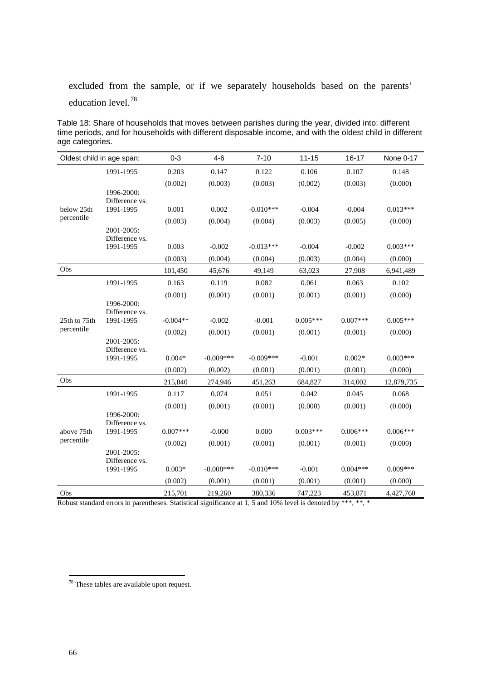excluded from the sample, or if we separately households based on the parents' education level.[78](#page-66-0)

<span id="page-67-0"></span>Table 18: Share of households that moves between parishes during the year, divided into: different time periods, and for households with different disposable income, and with the oldest child in different age categories.

|              | Oldest child in age span:    | $0 - 3$    | $4 - 6$      | $7 - 10$    | $11 - 15$  | $16 - 17$  | None 0-17  |
|--------------|------------------------------|------------|--------------|-------------|------------|------------|------------|
|              | 1991-1995                    | 0.203      | 0.147        | 0.122       | 0.106      | 0.107      | 0.148      |
|              |                              | (0.002)    | (0.003)      | (0.003)     | (0.002)    | (0.003)    | (0.000)    |
|              | 1996-2000:                   |            |              |             |            |            |            |
| below 25th   | Difference vs.<br>1991-1995  | 0.001      | 0.002        | $-0.010***$ | $-0.004$   | $-0.004$   | $0.013***$ |
| percentile   |                              | (0.003)    | (0.004)      | (0.004)     | (0.003)    | (0.005)    | (0.000)    |
|              | 2001-2005:<br>Difference vs. |            |              |             |            |            |            |
|              | 1991-1995                    | 0.003      | $-0.002$     | $-0.013***$ | $-0.004$   | $-0.002$   | $0.003***$ |
|              |                              | (0.003)    | (0.004)      | (0.004)     | (0.003)    | (0.004)    | (0.000)    |
| Obs          |                              | 101,450    | 45,676       | 49,149      | 63,023     | 27,908     | 6,941,489  |
|              | 1991-1995                    | 0.163      | 0.119        | 0.082       | 0.061      | 0.063      | 0.102      |
|              |                              | (0.001)    | (0.001)      | (0.001)     | (0.001)    | (0.001)    | (0.000)    |
|              | 1996-2000:<br>Difference vs. |            |              |             |            |            |            |
| 25th to 75th | 1991-1995                    | $-0.004**$ | $-0.002$     | $-0.001$    | $0.005***$ | $0.007***$ | $0.005***$ |
| percentile   |                              | (0.002)    | (0.001)      | (0.001)     | (0.001)    | (0.001)    | (0.000)    |
|              | 2001-2005:                   |            |              |             |            |            |            |
|              | Difference vs.<br>1991-1995  | $0.004*$   | $-0.009***$  | $-0.009***$ | $-0.001$   | $0.002*$   | $0.003***$ |
|              |                              | (0.002)    | (0.002)      | (0.001)     | (0.001)    | (0.001)    | (0.000)    |
| Obs          |                              | 215,840    | 274,946      | 451,263     | 684,827    | 314,002    | 12,879,735 |
|              | 1991-1995                    | 0.117      | 0.074        | 0.051       | 0.042      | 0.045      | 0.068      |
|              |                              | (0.001)    | (0.001)      | (0.001)     | (0.000)    | (0.001)    | (0.000)    |
|              | 1996-2000:                   |            |              |             |            |            |            |
| above 75th   | Difference vs.<br>1991-1995  | $0.007***$ | $-0.000$     | 0.000       | $0.003***$ | $0.006***$ | $0.006***$ |
| percentile   |                              | (0.002)    | (0.001)      | (0.001)     | (0.001)    | (0.001)    | (0.000)    |
|              | 2001-2005:                   |            |              |             |            |            |            |
|              | Difference vs.<br>1991-1995  | $0.003*$   | $-0.008$ *** | $-0.010***$ | $-0.001$   | $0.004***$ | $0.009***$ |
|              |                              | (0.002)    | (0.001)      | (0.001)     | (0.001)    | (0.001)    | (0.000)    |
| Obs          |                              | 215,701    | 219,260      | 380,336     | 747,223    | 453,871    | 4,427,760  |

Robust standard errors in parentheses. Statistical significance at 1, 5 and 10% level is denoted by \*\*\*, \*\*, \*

 <sup>78</sup> These tables are available upon request.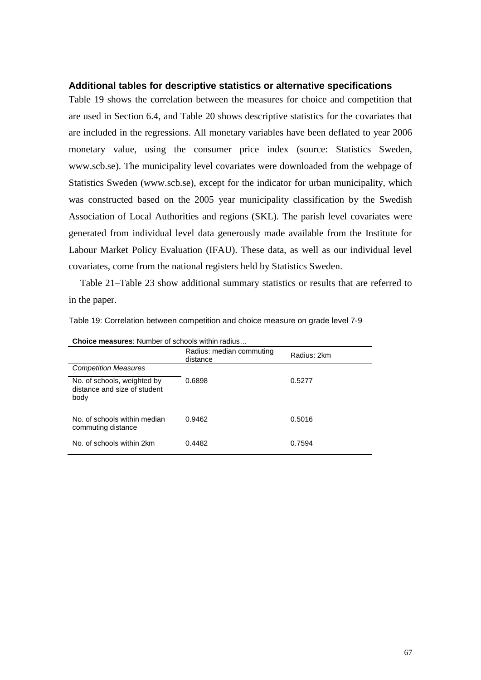## **Additional tables for descriptive statistics or alternative specifications**

[Table 19](#page-68-0) shows the correlation between the measures for choice and competition that are used in Section [6.4,](#page-41-1) and [Table 20](#page-69-0) shows descriptive statistics for the covariates that are included in the regressions. All monetary variables have been deflated to year 2006 monetary value, using the consumer price index (source: Statistics Sweden, [www.scb.se\)](http://www.scb.se/). The municipality level covariates were downloaded from the webpage of Statistics Sweden [\(www.scb.se\)](http://www.scb.se/), except for the indicator for urban municipality, which was constructed based on the 2005 year municipality classification by the Swedish Association of Local Authorities and regions (SKL). The parish level covariates were generated from individual level data generously made available from the Institute for Labour Market Policy Evaluation (IFAU). These data, as well as our individual level covariates, come from the national registers held by Statistics Sweden.

[Table 21–](#page-70-0)[Table 23](#page-71-0) show additional summary statistics or results that are referred to in the paper.

| <b>Choice measures:</b> Number of schools within radius             |                                      |             |  |  |  |  |
|---------------------------------------------------------------------|--------------------------------------|-------------|--|--|--|--|
|                                                                     | Radius: median commuting<br>distance | Radius: 2km |  |  |  |  |
| <b>Competition Measures</b>                                         |                                      |             |  |  |  |  |
| No. of schools, weighted by<br>distance and size of student<br>body | 0.6898                               | 0.5277      |  |  |  |  |
| No. of schools within median<br>commuting distance                  | 0.9462                               | 0.5016      |  |  |  |  |
| No. of schools within 2km                                           | 0.4482                               | 0.7594      |  |  |  |  |

<span id="page-68-0"></span>Table 19: Correlation between competition and choice measure on grade level 7-9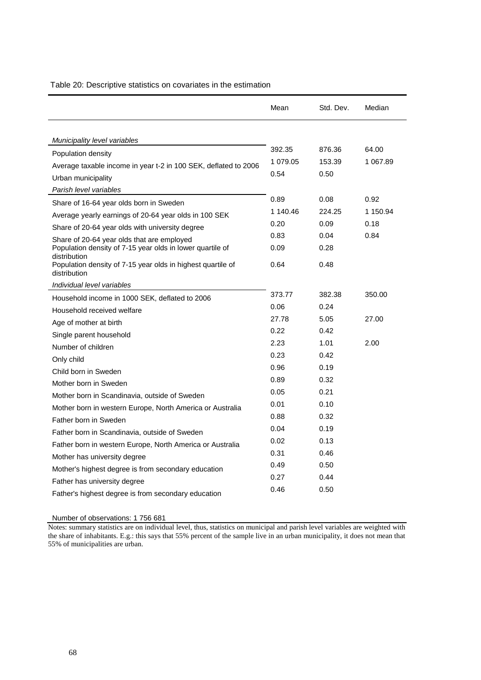|                                                                             | Mean     | Std. Dev. | Median   |
|-----------------------------------------------------------------------------|----------|-----------|----------|
| Municipality level variables                                                |          |           |          |
| Population density                                                          | 392.35   | 876.36    | 64.00    |
| Average taxable income in year t-2 in 100 SEK, deflated to 2006             | 1 079.05 | 153.39    | 1 067.89 |
| Urban municipality                                                          | 0.54     | 0.50      |          |
| Parish level variables                                                      |          |           |          |
| Share of 16-64 year olds born in Sweden                                     | 0.89     | 0.08      | 0.92     |
| Average yearly earnings of 20-64 year olds in 100 SEK                       | 1 140.46 | 224.25    | 1 150.94 |
| Share of 20-64 year olds with university degree                             | 0.20     | 0.09      | 0.18     |
| Share of 20-64 year olds that are employed                                  | 0.83     | 0.04      | 0.84     |
| Population density of 7-15 year olds in lower quartile of<br>distribution   | 0.09     | 0.28      |          |
| Population density of 7-15 year olds in highest quartile of<br>distribution | 0.64     | 0.48      |          |
| Individual level variables                                                  |          |           |          |
| Household income in 1000 SEK, deflated to 2006                              | 373.77   | 382.38    | 350.00   |
| Household received welfare                                                  | 0.06     | 0.24      |          |
| Age of mother at birth                                                      | 27.78    | 5.05      | 27.00    |
| Single parent household                                                     | 0.22     | 0.42      |          |
| Number of children                                                          | 2.23     | 1.01      | 2.00     |
| Only child                                                                  | 0.23     | 0.42      |          |
| Child born in Sweden                                                        | 0.96     | 0.19      |          |
| Mother born in Sweden                                                       | 0.89     | 0.32      |          |
| Mother born in Scandinavia, outside of Sweden                               | 0.05     | 0.21      |          |
| Mother born in western Europe, North America or Australia                   | 0.01     | 0.10      |          |
| Father born in Sweden                                                       | 0.88     | 0.32      |          |
| Father born in Scandinavia, outside of Sweden                               | 0.04     | 0.19      |          |
| Father born in western Europe, North America or Australia                   | 0.02     | 0.13      |          |
| Mother has university degree                                                | 0.31     | 0.46      |          |
| Mother's highest degree is from secondary education                         | 0.49     | 0.50      |          |
| Father has university degree                                                | 0.27     | 0.44      |          |
| Father's highest degree is from secondary education                         | 0.46     | 0.50      |          |

## <span id="page-69-0"></span>Table 20: Descriptive statistics on covariates in the estimation

Number of observations: 1 756 681

Notes: summary statistics are on individual level, thus, statistics on municipal and parish level variables are weighted with the share of inhabitants. E.g.: this says that 55% percent of the sample live in an urban municipality, it does not mean that 55% of municipalities are urban.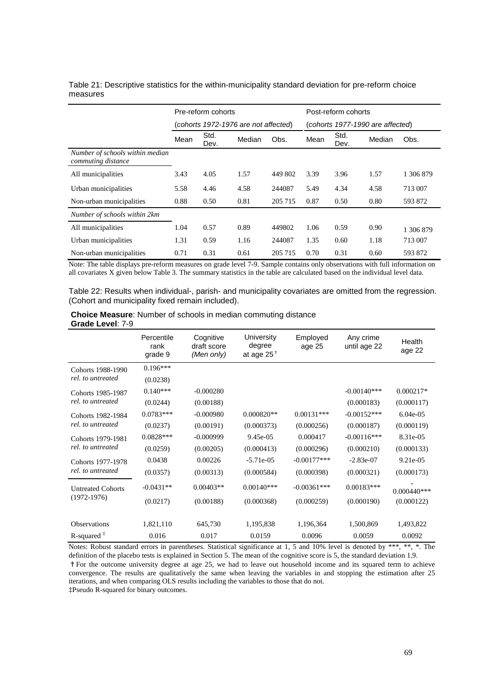<span id="page-70-0"></span>

| Table 21: Descriptive statistics for the within-municipality standard deviation for pre-reform choice |  |  |  |
|-------------------------------------------------------------------------------------------------------|--|--|--|
| measures                                                                                              |  |  |  |

|                                                       | Pre-reform cohorts                   |              |        |         | Post-reform cohorts              |              |        |           |
|-------------------------------------------------------|--------------------------------------|--------------|--------|---------|----------------------------------|--------------|--------|-----------|
|                                                       | (cohorts 1972-1976 are not affected) |              |        |         | (cohorts 1977-1990 are affected) |              |        |           |
|                                                       | Mean                                 | Std.<br>Dev. | Median | Obs.    | Mean                             | Std.<br>Dev. | Median | Obs.      |
| Number of schools within median<br>commuting distance |                                      |              |        |         |                                  |              |        |           |
| All municipalities                                    | 3.43                                 | 4.05         | 1.57   | 449 802 | 3.39                             | 3.96         | 1.57   | 1 306 879 |
| Urban municipalities                                  | 5.58                                 | 4.46         | 4.58   | 244087  | 5.49                             | 4.34         | 4.58   | 713 007   |
| Non-urban municipalities                              | 0.88                                 | 0.50         | 0.81   | 205 715 | 0.87                             | 0.50         | 0.80   | 593 872   |
| Number of schools within 2km                          |                                      |              |        |         |                                  |              |        |           |
| All municipalities                                    | 1.04                                 | 0.57         | 0.89   | 449802  | 1.06                             | 0.59         | 0.90   | 1 306 879 |
| Urban municipalities                                  | 1.31                                 | 0.59         | 1.16   | 244087  | 1.35                             | 0.60         | 1.18   | 713 007   |
| Non-urban municipalities                              | 0.71                                 | 0.31         | 0.61   | 205 715 | 0.70                             | 0.31         | 0.60   | 593 872   |

Note: The table displays pre-reform measures on grade level 7-9. Sample contains only observations with full information on all covariates X given below Table 3*.* The summary statistics in the table are calculated based on the individual level data.

Table 22: Results when individual-, parish- and municipality covariates are omitted from the regression. (Cohort and municipality fixed remain included).

#### **Choice Measure**: Number of schools in median commuting distance **Grade Level**: 7-9

|                                           | Percentile<br>rank<br>grade 9 | Cognitive<br>draft score<br>(Men only) | University<br>degree<br>at age $25^+$ | Employed<br>age 25 | Any crime<br>until age 22 | Health<br>age 22 |
|-------------------------------------------|-------------------------------|----------------------------------------|---------------------------------------|--------------------|---------------------------|------------------|
| Cohorts 1988-1990                         | $0.196***$                    |                                        |                                       |                    |                           |                  |
| rel, to untreated                         | (0.0238)                      |                                        |                                       |                    |                           |                  |
| Cohorts 1985-1987                         | $0.140***$                    | $-0.000280$                            |                                       |                    | $-0.00140***$             | $0.000217*$      |
| rel, to untreated                         | (0.0244)                      | (0.00188)                              |                                       |                    | (0.000183)                | (0.000117)       |
| Cohorts 1982-1984<br>rel, to untreated    | $0.0783***$                   | $-0.000980$                            | $0.000820**$                          | $0.00131***$       | $-0.00152***$             | $6.04e-05$       |
|                                           | (0.0237)                      | (0.00191)                              | (0.000373)                            | (0.000256)         | (0.000187)                | (0.000119)       |
| Cohorts 1979-1981<br>rel, to untreated    | $0.0828***$                   | $-0.000999$                            | 9.45e-05                              | 0.000417           | $-0.00116$ ***            | 8.31e-05         |
|                                           | (0.0259)                      | (0.00205)                              | (0.000413)                            | (0.000296)         | (0.000210)                | (0.000133)       |
| Cohorts 1977-1978<br>rel, to untreated    | 0.0438                        | 0.00226                                | $-5.71e-05$                           | $-0.00177***$      | $-2.83e-07$               | 9.21e-05         |
|                                           | (0.0357)                      | (0.00313)                              | (0.000584)                            | (0.000398)         | (0.000321)                | (0.000173)       |
| <b>Untreated Cohorts</b><br>$(1972-1976)$ | $-0.0431**$                   | $0.00403**$                            | $0.00140***$                          | $-0.00361$ ***     | $0.00183***$              | $0.000440***$    |
|                                           | (0.0217)                      | (0.00188)                              | (0.000368)                            | (0.000259)         | (0.000190)                | (0.000122)       |
|                                           |                               |                                        |                                       |                    |                           |                  |
| Observations                              | 1,821,110                     | 645,730                                | 1,195,838                             | 1,196,364          | 1,500,869                 | 1,493,822        |
| $R$ -squared $\frac{1}{4}$                | 0.016                         | 0.017                                  | 0.0159                                | 0.0096             | 0.0059                    | 0.0092           |

Notes: Robust standard errors in parentheses. Statistical significance at 1, 5 and 10% level is denoted by \*\*\*, \*\*, \*. The definition of the placebo tests is explained in Section 5. The mean of the cognitive score is 5, the standard deviation 1.9.

✝For the outcome university degree at age 25, we had to leave out household income and its squared term to achieve convergence. The results are qualitatively the same when leaving the variables in and stopping the estimation after 25 iterations, and when comparing OLS results including the variables to those that do not.

‡Pseudo R-squared for binary outcomes.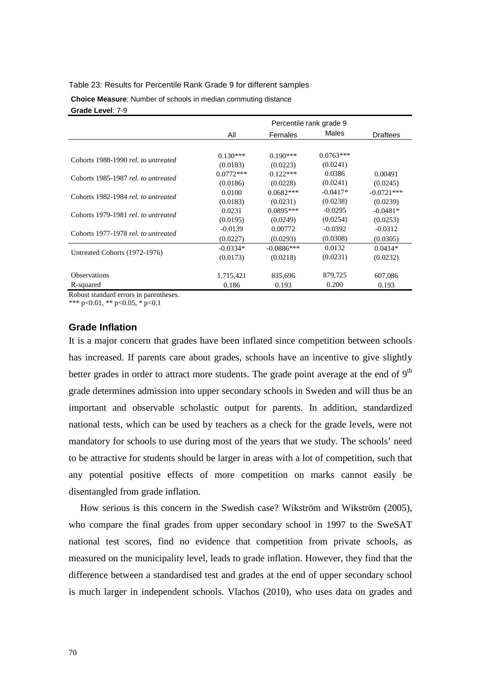### <span id="page-71-0"></span>Table 23: Results for Percentile Rank Grade 9 for different samples

**Choice Measure**: Number of schools in median commuting distance **Grade Level**: 7-9

|                                     | All         | Females      | Males       | <b>Draftees</b> |
|-------------------------------------|-------------|--------------|-------------|-----------------|
|                                     |             |              |             |                 |
|                                     | $0.130***$  | $0.190***$   | $0.0763***$ |                 |
| Cohorts 1988-1990 rel. to untreated | (0.0183)    | (0.0223)     | (0.0241)    |                 |
| Cohorts 1985-1987 rel. to untreated | $0.0772***$ | $0.122***$   | 0.0386      | 0.00491         |
|                                     | (0.0186)    | (0.0228)     | (0.0241)    | (0.0245)        |
| Cohorts 1982-1984 rel. to untreated | 0.0100      | $0.0682***$  | $-0.0417*$  | $-0.0721***$    |
|                                     | (0.0183)    | (0.0231)     | (0.0238)    | (0.0239)        |
| Cohorts 1979-1981 rel. to untreated | 0.0231      | $0.0895***$  | $-0.0295$   | $-0.0481*$      |
|                                     | (0.0195)    | (0.0249)     | (0.0254)    | (0.0253)        |
| Cohorts 1977-1978 rel. to untreated | $-0.0139$   | 0.00772      | $-0.0392$   | $-0.0312$       |
|                                     | (0.0227)    | (0.0293)     | (0.0308)    | (0.0305)        |
| Untreated Cohorts (1972-1976)       | $-0.0334*$  | $-0.0886***$ | 0.0132      | $0.0414*$       |
|                                     | (0.0173)    | (0.0218)     | (0.0231)    | (0.0232)        |
|                                     |             |              |             |                 |
| <b>Observations</b>                 | 1,715,421   | 835,696      | 879,725     | 607,086         |
| R-squared                           | 0.186       | 0.193        | 0.200       | 0.193           |

Robust standard errors in parentheses.

\*\*\* p<0.01, \*\* p<0.05, \* p<0.1

## **Grade Inflation**

It is a major concern that grades have been inflated since competition between schools has increased. If parents care about grades, schools have an incentive to give slightly better grades in order to attract more students. The grade point average at the end of  $9<sup>th</sup>$ grade determines admission into upper secondary schools in Sweden and will thus be an important and observable scholastic output for parents. In addition, standardized national tests, which can be used by teachers as a check for the grade levels, were not mandatory for schools to use during most of the years that we study. The schools' need to be attractive for students should be larger in areas with a lot of competition, such that any potential positive effects of more competition on marks cannot easily be disentangled from grade inflation.

How serious is this concern in the Swedish case? Wikström and Wikström (2005), who compare the final grades from upper secondary school in 1997 to the SweSAT national test scores, find no evidence that competition from private schools, as measured on the municipality level, leads to grade inflation. However, they find that the difference between a standardised test and grades at the end of upper secondary school is much larger in independent schools. Vlachos (2010), who uses data on grades and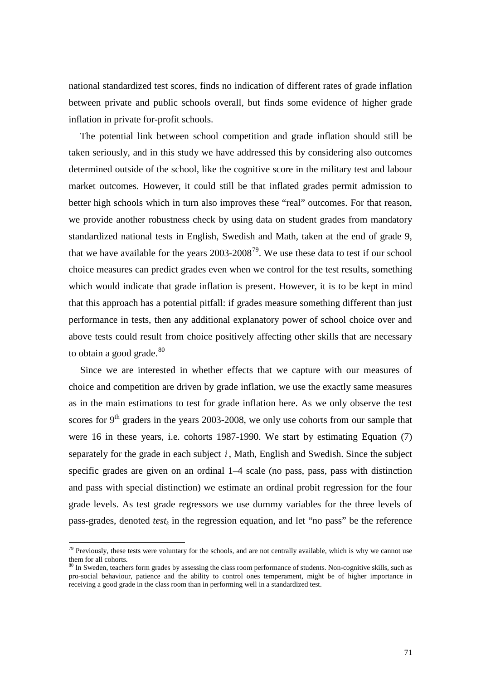national standardized test scores, finds no indication of different rates of grade inflation between private and public schools overall, but finds some evidence of higher grade inflation in private for-profit schools.

The potential link between school competition and grade inflation should still be taken seriously, and in this study we have addressed this by considering also outcomes determined outside of the school, like the cognitive score in the military test and labour market outcomes. However, it could still be that inflated grades permit admission to better high schools which in turn also improves these "real" outcomes. For that reason, we provide another robustness check by using data on student grades from mandatory standardized national tests in English, Swedish and Math, taken at the end of grade 9, that we have available for the years  $2003$ - $2008^{79}$  $2008^{79}$  $2008^{79}$ . We use these data to test if our school choice measures can predict grades even when we control for the test results, something which would indicate that grade inflation is present. However, it is to be kept in mind that this approach has a potential pitfall: if grades measure something different than just performance in tests, then any additional explanatory power of school choice over and above tests could result from choice positively affecting other skills that are necessary to obtain a good grade. $80$ 

Since we are interested in whether effects that we capture with our measures of choice and competition are driven by grade inflation, we use the exactly same measures as in the main estimations to test for grade inflation here. As we only observe the test scores for  $9<sup>th</sup>$  graders in the years 2003-2008, we only use cohorts from our sample that were 16 in these years, i.e. cohorts 1987-1990. We start by estimating Equation (7) separately for the grade in each subject *i* , Math, English and Swedish. Since the subject specific grades are given on an ordinal  $1-4$  scale (no pass, pass, pass with distinction and pass with special distinction) we estimate an ordinal probit regression for the four grade levels. As test grade regressors we use dummy variables for the three levels of pass-grades, denoted  $test_k$  in the regression equation, and let "no pass" be the reference

 $79$  Previously, these tests were voluntary for the schools, and are not centrally available, which is why we cannot use them for all cohorts.

<span id="page-72-1"></span><span id="page-72-0"></span><sup>&</sup>lt;sup>80</sup> In Sweden, teachers form grades by assessing the class room performance of students. Non-cognitive skills, such as pro-social behaviour, patience and the ability to control ones temperament, might be of higher importance in receiving a good grade in the class room than in performing well in a standardized test.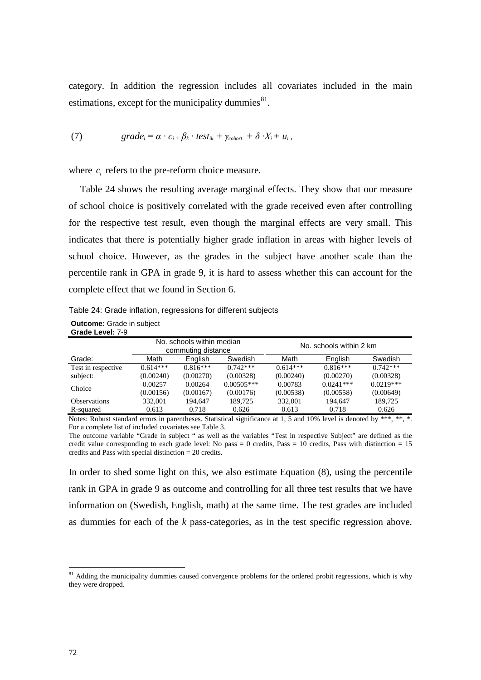category. In addition the regression includes all covariates included in the main estimations, except for the municipality dummies $^{81}$  $^{81}$  $^{81}$ .

(7) 
$$
grade_i = \alpha \cdot c_{i} + \beta_k \cdot test_{ik} + \gamma_{\text{color}} + \delta \cdot X_i + u_i,
$$

where  $c_i$  refers to the pre-reform choice measure.

[Table 24](#page-73-0) shows the resulting average marginal effects. They show that our measure of school choice is positively correlated with the grade received even after controlling for the respective test result, even though the marginal effects are very small. This indicates that there is potentially higher grade inflation in areas with higher levels of school choice. However, as the grades in the subject have another scale than the percentile rank in GPA in grade 9, it is hard to assess whether this can account for the complete effect that we found in Section [6.](#page-24-0)

<span id="page-73-0"></span>Table 24: Grade inflation, regressions for different subjects

| <b>Outcome:</b> Grade in subject |
|----------------------------------|
| Grade Level: 7-9                 |

|                     | No. schools within median<br>commuting distance |            | No. schools within 2 km |            |                |             |
|---------------------|-------------------------------------------------|------------|-------------------------|------------|----------------|-------------|
| Grade:              | Math                                            | Enalish    | Swedish                 | Math       | <b>English</b> | Swedish     |
| Test in respective  | $0.614***$                                      | $0.816***$ | $0.742***$              | $0.614***$ | $0.816***$     | $0.742***$  |
| subject:            | (0.00240)                                       | (0.00270)  | (0.00328)               | (0.00240)  | (0.00270)      | (0.00328)   |
| Choice              | 0.00257                                         | 0.00264    | $0.00505***$            | 0.00783    | $0.0241***$    | $0.0219***$ |
|                     | (0.00156)                                       | (0.00167)  | (0.00176)               | (0.00538)  | (0.00558)      | (0.00649)   |
| <b>Observations</b> | 332,001                                         | 194.647    | 189.725                 | 332,001    | 194.647        | 189,725     |
| R-squared           | 0.613                                           | 0.718      | 0.626                   | 0.613      | 0.718          | 0.626       |

Notes: Robust standard errors in parentheses. Statistical significance at 1, 5 and 10% level is denoted by \*\*\*, \*\*, \*. For a complete list of included covariates see Table 3.

The outcome variable "Grade in subject " as well as the variables "Test in respective Subject" are defined as the credit value corresponding to each grade level: No pass = 0 credits, Pass = 10 credits, Pass with distinction =  $15$ credits and Pass with special distinction = 20 credits.

In order to shed some light on this, we also estimate Equation (8), using the percentile rank in GPA in grade 9 as outcome and controlling for all three test results that we have information on (Swedish, English, math) at the same time. The test grades are included as dummies for each of the *k* pass-categories, as in the test specific regression above.

<span id="page-73-1"></span><sup>&</sup>lt;sup>81</sup> Adding the municipality dummies caused convergence problems for the ordered probit regressions, which is why they were dropped.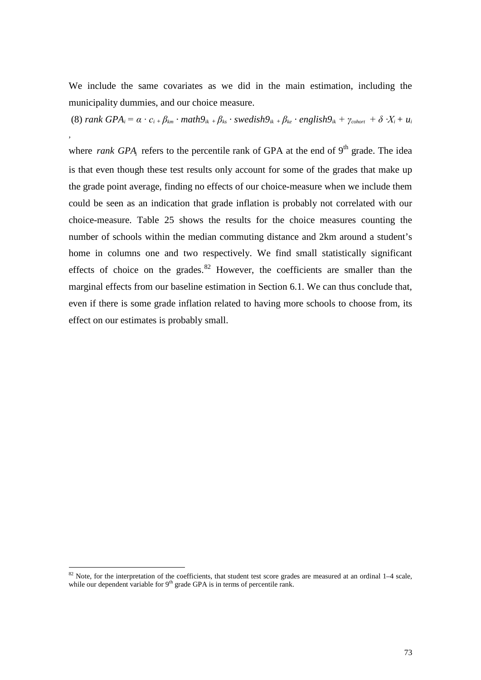We include the same covariates as we did in the main estimation, including the municipality dummies, and our choice measure.

(8) rank  $GPA_i = \alpha \cdot c_i + \beta_{km} \cdot math9_{ik} + \beta_{ks} \cdot swedish9_{ik} + \beta_{ke} \cdot english9_{ik} + \gamma_{chort} + \delta \cdot X_i + u_i$ 

*,*

where *rank GPA* refers to the percentile rank of GPA at the end of  $9<sup>th</sup>$  grade. The idea is that even though these test results only account for some of the grades that make up the grade point average, finding no effects of our choice-measure when we include them could be seen as an indication that grade inflation is probably not correlated with our choice-measure. [Table 25](#page-75-0) shows the results for the choice measures counting the number of schools within the median commuting distance and 2km around a student's home in columns one and two respectively. We find small statistically significant effects of choice on the grades. $82$  However, the coefficients are smaller than the marginal effects from our baseline estimation in Section [6.1.](#page-24-1) We can thus conclude that, even if there is some grade inflation related to having more schools to choose from, its effect on our estimates is probably small.

 $82$  Note, for the interpretation of the coefficients, that student test score grades are measured at an ordinal  $1-4$  scale, while our dependent variable for 9<sup>th</sup> grade GPA is in terms of percentile rank.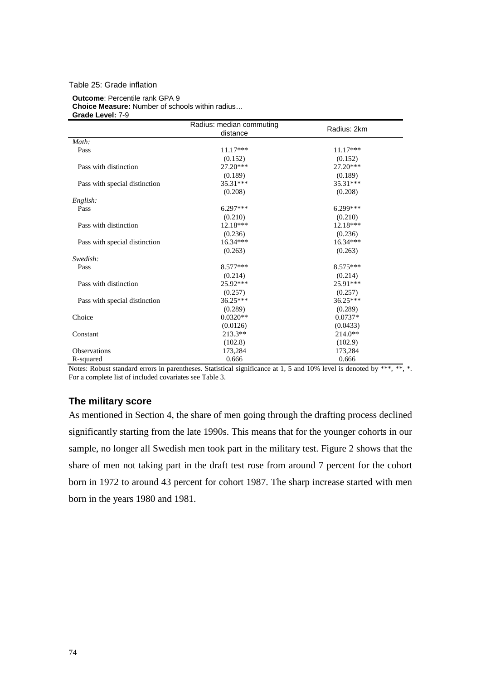## <span id="page-75-0"></span>Table 25: Grade inflation

## **Outcome**: Percentile rank GPA 9 **Choice Measure:** Number of schools within radius… **Grade Level:** 7-9

|                               | Radius: median commuting<br>distance | Radius: 2km |
|-------------------------------|--------------------------------------|-------------|
| Math:                         |                                      |             |
| Pass                          | $11.17***$                           | $11.17***$  |
|                               | (0.152)                              | (0.152)     |
| Pass with distinction         | $27.20***$                           | $27.20***$  |
|                               | (0.189)                              | (0.189)     |
| Pass with special distinction | $35.31***$                           | 35.31***    |
|                               | (0.208)                              | (0.208)     |
| English:                      |                                      |             |
| Pass                          | $6.297***$                           | $6.299***$  |
|                               | (0.210)                              | (0.210)     |
| Pass with distinction         | $12.18***$                           | $12.18***$  |
|                               | (0.236)                              | (0.236)     |
| Pass with special distinction | $16.34***$                           | $16.34***$  |
|                               | (0.263)                              | (0.263)     |
| Swedish:                      |                                      |             |
| Pass                          | 8.577***                             | 8.575***    |
|                               | (0.214)                              | (0.214)     |
| Pass with distinction         | 25.92***                             | $25.91***$  |
|                               | (0.257)                              | (0.257)     |
| Pass with special distinction | 36.25***                             | 36.25***    |
|                               | (0.289)                              | (0.289)     |
| Choice                        | $0.0320**$                           | $0.0737*$   |
|                               | (0.0126)                             | (0.0433)    |
| Constant                      | $213.3**$                            | $214.0**$   |
|                               | (102.8)                              | (102.9)     |
| <b>Observations</b>           | 173,284                              | 173,284     |
| R-squared                     | 0.666                                | 0.666       |

Notes: Robust standard errors in parentheses. Statistical significance at 1, 5 and 10% level is denoted by \*\*\*, \*\*, \*. For a complete list of included covariates see Table 3.

## **The military score**

As mentioned in Section [4,](#page-14-0) the share of men going through the drafting process declined significantly starting from the late 1990s. This means that for the younger cohorts in our sample, no longer all Swedish men took part in the military test. [Figure 2](#page-76-0) shows that the share of men not taking part in the draft test rose from around 7 percent for the cohort born in 1972 to around 43 percent for cohort 1987. The sharp increase started with men born in the years 1980 and 1981.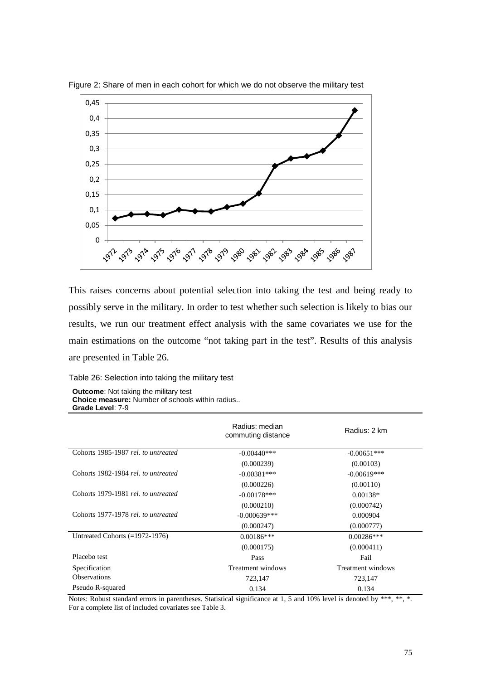

<span id="page-76-0"></span>Figure 2: Share of men in each cohort for which we do not observe the military test

This raises concerns about potential selection into taking the test and being ready to possibly serve in the military. In order to test whether such selection is likely to bias our results, we run our treatment effect analysis with the same covariates we use for the main estimations on the outcome "not taking part in the test". Results of this analysis are presented in [Table 26.](#page-76-1)

## <span id="page-76-1"></span>Table 26: Selection into taking the military test

| <b>Outcome:</b> Not taking the military test           |
|--------------------------------------------------------|
| <b>Choice measure:</b> Number of schools within radius |
| Grade Level: 7-9                                       |

|                                     | Radius: median<br>commuting distance | Radius: 2 km      |
|-------------------------------------|--------------------------------------|-------------------|
| Cohorts 1985-1987 rel. to untreated | $-0.00440***$                        | $-0.00651***$     |
|                                     | (0.000239)                           | (0.00103)         |
| Cohorts 1982-1984 rel. to untreated | $-0.00381***$                        | $-0.00619***$     |
|                                     | (0.000226)                           | (0.00110)         |
| Cohorts 1979-1981 rel. to untreated | $-0.00178$ ***                       | $0.00138*$        |
|                                     | (0.000210)                           | (0.000742)        |
| Cohorts 1977-1978 rel. to untreated | $-0.000639***$                       | 0.000904          |
|                                     | (0.000247)                           | (0.000777)        |
| Untreated Cohorts $(=1972-1976)$    | $0.00186***$                         | $0.00286***$      |
|                                     | (0.000175)                           | (0.000411)        |
| Placebo test                        | Pass                                 | Fail              |
| Specification                       | Treatment windows                    | Treatment windows |
| <b>Observations</b>                 | 723,147                              | 723,147           |
| Pseudo R-squared                    | 0.134                                | 0.134             |

Notes: Robust standard errors in parentheses. Statistical significance at 1, 5 and 10% level is denoted by \*\*\*, \*\*, \*. For a complete list of included covariates see Table 3.